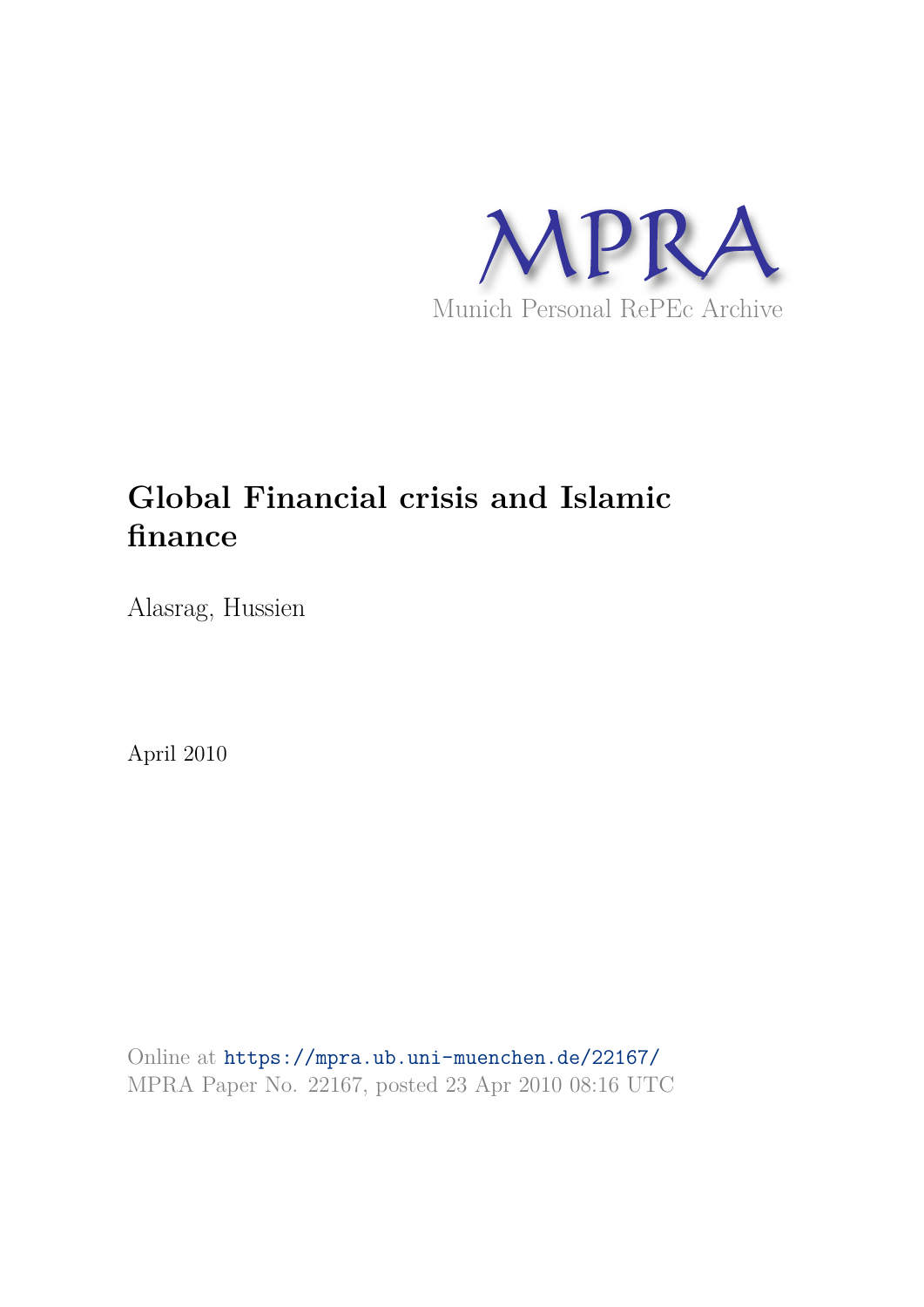

# **Global Financial crisis and Islamic finance**

Alasrag, Hussien

April 2010

Online at https://mpra.ub.uni-muenchen.de/22167/ MPRA Paper No. 22167, posted 23 Apr 2010 08:16 UTC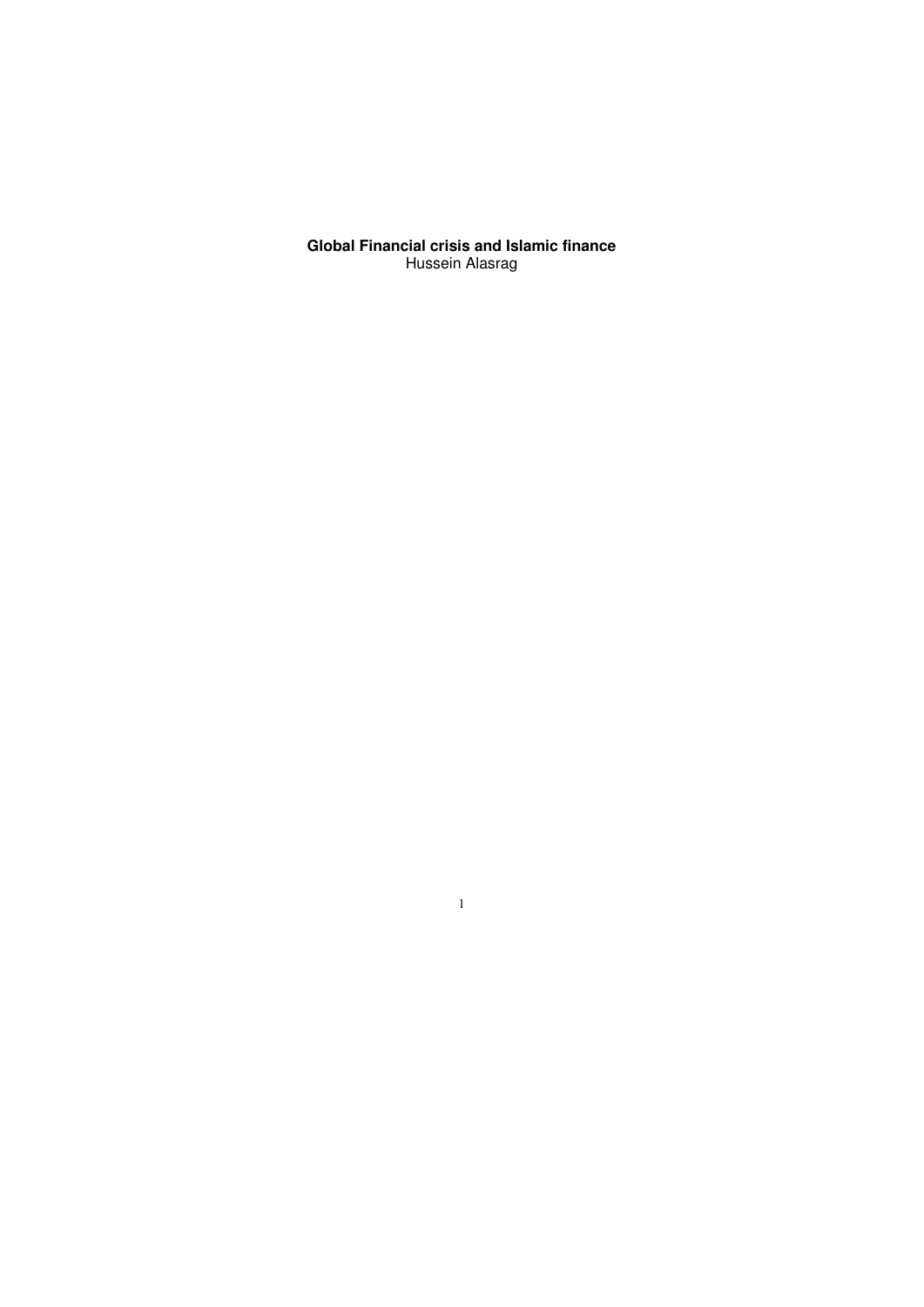Global Financial crisis and Islamic finance Hussein Alasrag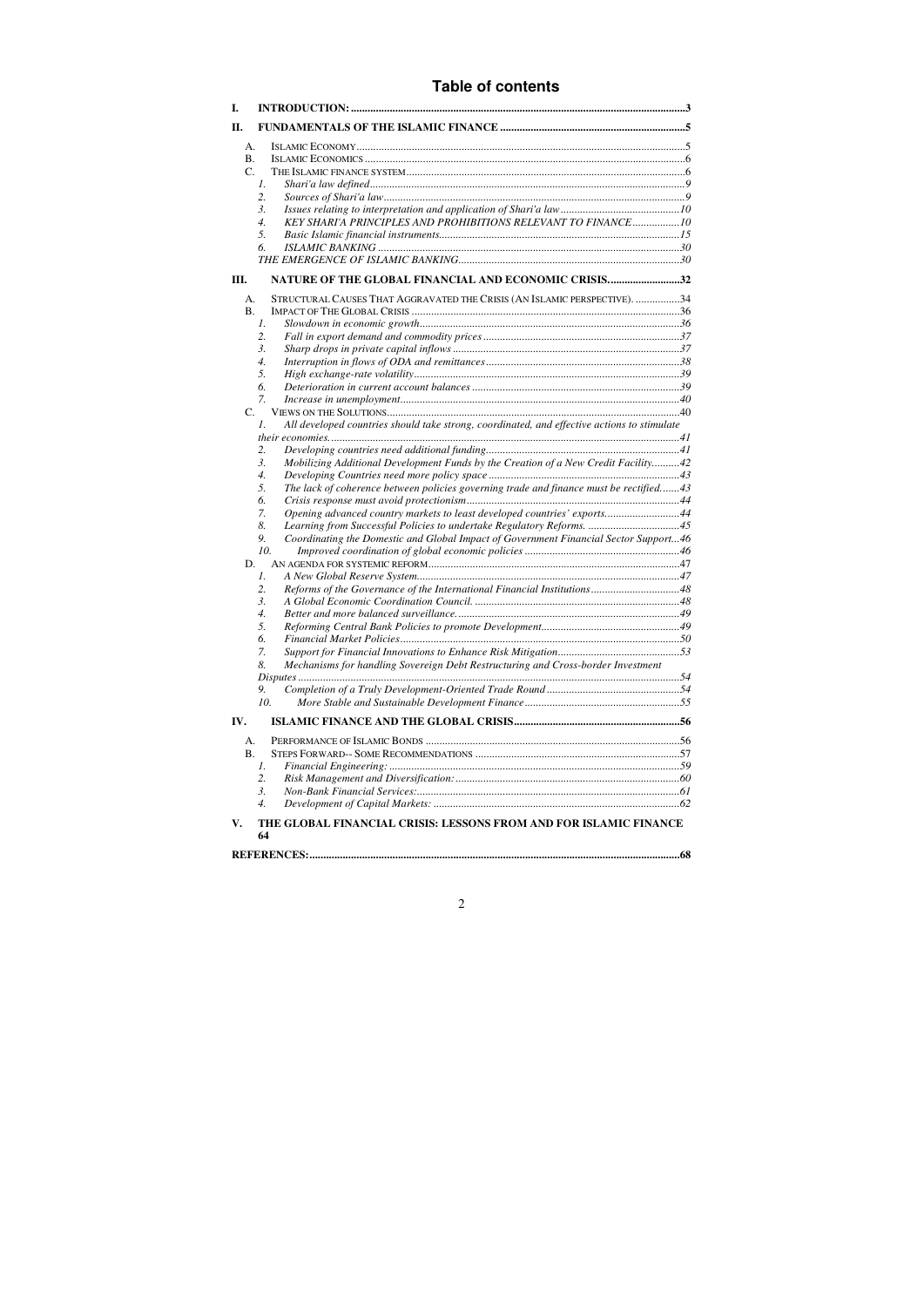# Table of contents

| I.          |                                                                                                   |  |  |
|-------------|---------------------------------------------------------------------------------------------------|--|--|
| П.          |                                                                                                   |  |  |
| A.          |                                                                                                   |  |  |
| <b>B.</b>   |                                                                                                   |  |  |
| $C_{\cdot}$ |                                                                                                   |  |  |
|             | 1.                                                                                                |  |  |
|             | 2.                                                                                                |  |  |
|             | $\mathfrak{Z}$ .                                                                                  |  |  |
|             | KEY SHARI'A PRINCIPLES AND PROHIBITIONS RELEVANT TO FINANCE10<br>$\overline{4}$ .                 |  |  |
|             | 5.                                                                                                |  |  |
|             | 6.                                                                                                |  |  |
|             |                                                                                                   |  |  |
| Ш.          | NATURE OF THE GLOBAL FINANCIAL AND ECONOMIC CRISIS32                                              |  |  |
| A.          | STRUCTURAL CAUSES THAT AGGRAVATED THE CRISIS (AN ISLAMIC PERSPECTIVE). 34                         |  |  |
| <b>B.</b>   |                                                                                                   |  |  |
|             | 1.                                                                                                |  |  |
|             | 2.                                                                                                |  |  |
|             | 3.                                                                                                |  |  |
|             | 4.                                                                                                |  |  |
|             | 5.                                                                                                |  |  |
|             | 6.<br>7.                                                                                          |  |  |
| $C_{\cdot}$ |                                                                                                   |  |  |
|             | All developed countries should take strong, coordinated, and effective actions to stimulate<br>1. |  |  |
|             |                                                                                                   |  |  |
|             | 2.                                                                                                |  |  |
|             | Mobilizing Additional Development Funds by the Creation of a New Credit Facility42<br>3.          |  |  |
|             | $\overline{4}$ .                                                                                  |  |  |
|             | The lack of coherence between policies governing trade and finance must be rectified43<br>5.      |  |  |
|             | 6.                                                                                                |  |  |
|             | Opening advanced country markets to least developed countries' exports44<br>7.                    |  |  |
|             | Learning from Successful Policies to undertake Regulatory Reforms. 45<br>8.                       |  |  |
|             | Coordinating the Domestic and Global Impact of Government Financial Sector Support46<br>9.        |  |  |
|             | 10.                                                                                               |  |  |
| D.          |                                                                                                   |  |  |
|             | 1.                                                                                                |  |  |
|             | Reforms of the Governance of the International Financial Institutions48<br>2.<br>3.               |  |  |
|             | 4.                                                                                                |  |  |
|             | 5.                                                                                                |  |  |
|             | 6.                                                                                                |  |  |
|             | 7.                                                                                                |  |  |
|             | Mechanisms for handling Sovereign Debt Restructuring and Cross-border Investment<br>8.            |  |  |
|             |                                                                                                   |  |  |
|             | 9.                                                                                                |  |  |
|             | 10.                                                                                               |  |  |
| IV.         |                                                                                                   |  |  |
| A.          |                                                                                                   |  |  |
| <b>B.</b>   |                                                                                                   |  |  |
|             | $l_{\cdot}$                                                                                       |  |  |
|             | 2.                                                                                                |  |  |
|             | 3.                                                                                                |  |  |
|             | $\overline{4}$ .                                                                                  |  |  |
| V.          | THE GLOBAL FINANCIAL CRISIS: LESSONS FROM AND FOR ISLAMIC FINANCE                                 |  |  |
|             | 64                                                                                                |  |  |
|             |                                                                                                   |  |  |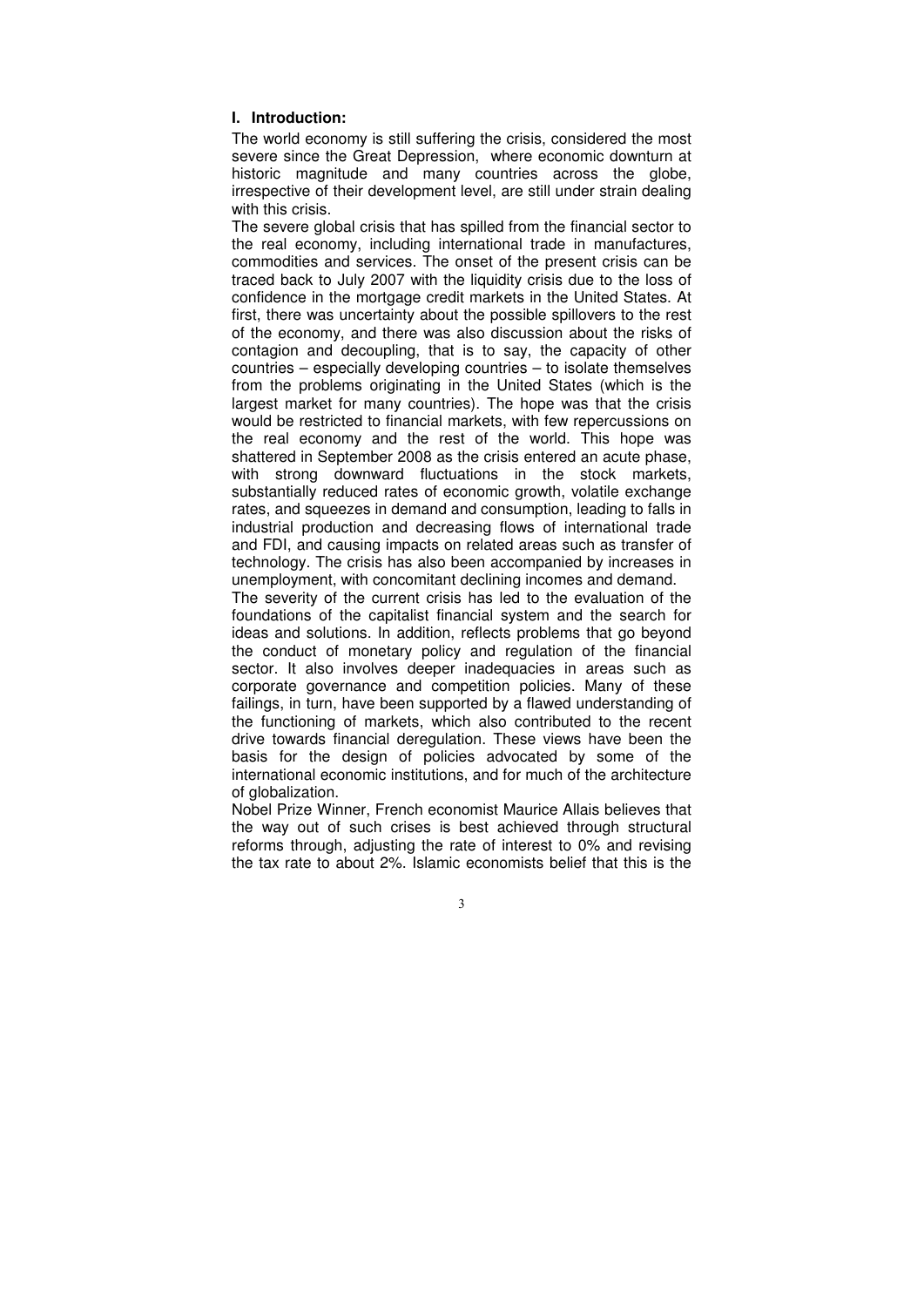The world economy is still suffering the crisis, considered the most severe since the Great Depression, where economic downturn at historic magnitude and many countries across the globe, irrespective of their development level, are still under strain dealing with this crisis.

I. Introduction:<br>The world economy is still suffering<br>severe since the Great Depression<br>inistoric magnitude and many<br>irrespective of their development I<br>with this crisis.<br>The severe global crisis that has s<br>the read econom The severe global crisis that has spilled from the financial sector to the real economy, including international trade in manufactures, commodities and services. The onset of the present crisis can be traced back to July 2007 with the liquidity crisis due to the loss of confidence in the mortgage credit markets in the United States. At first, there was uncertainty about the possible spillovers to the rest of the economy, and there was also discussion about the risks of contagion and decoupling, that is to say, the capacity of other countries – especially developing countries – to isolate themselves from the problems originating in the United States (which is the largest market for many countries). The hope was that the crisis would be restricted to financial markets, with few repercussions on the real economy and the rest of the world. This hope was shattered in September 2008 as the crisis entered an acute phase, with strong downward fluctuations in the stock markets, substantially reduced rates of economic growth, volatile exchange rates, and squeezes in demand and consumption, leading to falls in industrial production and decreasing flows of international trade and FDI, and causing impacts on related areas such as transfer of technology. The crisis has also been accompanied by increases in unemployment, with concomitant declining incomes and demand.

The severity of the current crisis has led to the evaluation of the foundations of the capitalist financial system and the search for ideas and solutions. In addition, reflects problems that go beyond the conduct of monetary policy and regulation of the financial sector. It also involves deeper inadequacies in areas such as corporate governance and competition policies. Many of these failings, in turn, have been supported by a flawed understanding of the functioning of markets, which also contributed to the recent drive towards financial deregulation. These views have been the basis for the design of policies advocated by some of the international economic institutions, and for much of the architecture of globalization.

Nobel Prize Winner, French economist Maurice Allais believes that the way out of such crises is best achieved through structural reforms through, adjusting the rate of interest to 0% and revising the tax rate to about 2%. Islamic economists belief that this is the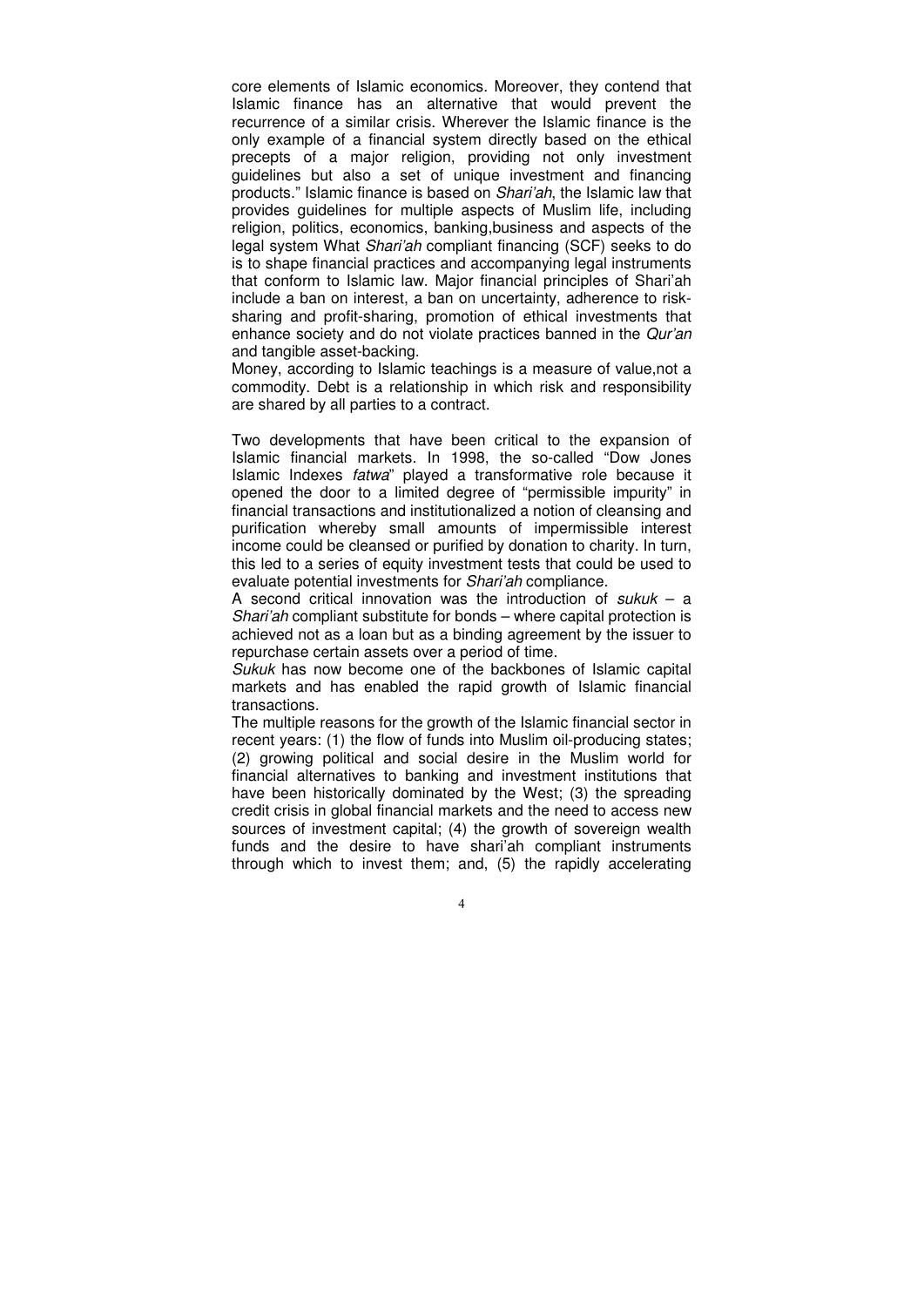core elements of Islamic economics. Moreover, they contend that Islamic finance has an alternative that would prevent the recurrence of a similar crisis. Wherever the Islamic finance is the only example of a financial system directly based on the ethical precepts of a major religion, providing not only investment guidelines but also a set of unique investment and financing products." Islamic finance is based on Shari'ah, the Islamic law that provides guidelines for multiple aspects of Muslim life, including religion, politics, economics, banking,business and aspects of the legal system What Shari'ah compliant financing (SCF) seeks to do is to shape financial practices and accompanying legal instruments that conform to Islamic law. Major financial principles of Shari'ah include a ban on interest, a ban on uncertainty, adherence to risksharing and profit-sharing, promotion of ethical investments that enhance society and do not violate practices banned in the Qur'an and tangible asset-backing.

A second critical innovation was the introduction of  $sukuk - a$ Shari'ah compliant substitute for bonds – where capital protection is achieved not as a loan but as a binding agreement by the issuer to repurchase certain assets over a period of time.

Money, according to Islamic teachings is a measure of value,not a commodity. Debt is a relationship in which risk and responsibility are shared by all parties to a contract.

Two developments that have been critical to the expansion of Islamic financial markets. In 1998, the so-called "Dow Jones Islamic Indexes fatwa" played a transformative role because it opened the door to a limited degree of "permissible impurity" in financial transactions and institutionalized a notion of cleansing and purification whereby small amounts of impermissible interest income could be cleansed or purified by donation to charity. In turn, this led to a series of equity investment tests that could be used to evaluate potential investments for Shari'ah compliance.

Sukuk has now become one of the backbones of Islamic capital markets and has enabled the rapid growth of Islamic financial transactions.

The multiple reasons for the growth of the Islamic financial sector in recent years: (1) the flow of funds into Muslim oil-producing states; (2) growing political and social desire in the Muslim world for financial alternatives to banking and investment institutions that have been historically dominated by the West; (3) the spreading credit crisis in global financial markets and the need to access new sources of investment capital; (4) the growth of sovereign wealth funds and the desire to have shari'ah compliant instruments through which to invest them; and, (5) the rapidly accelerating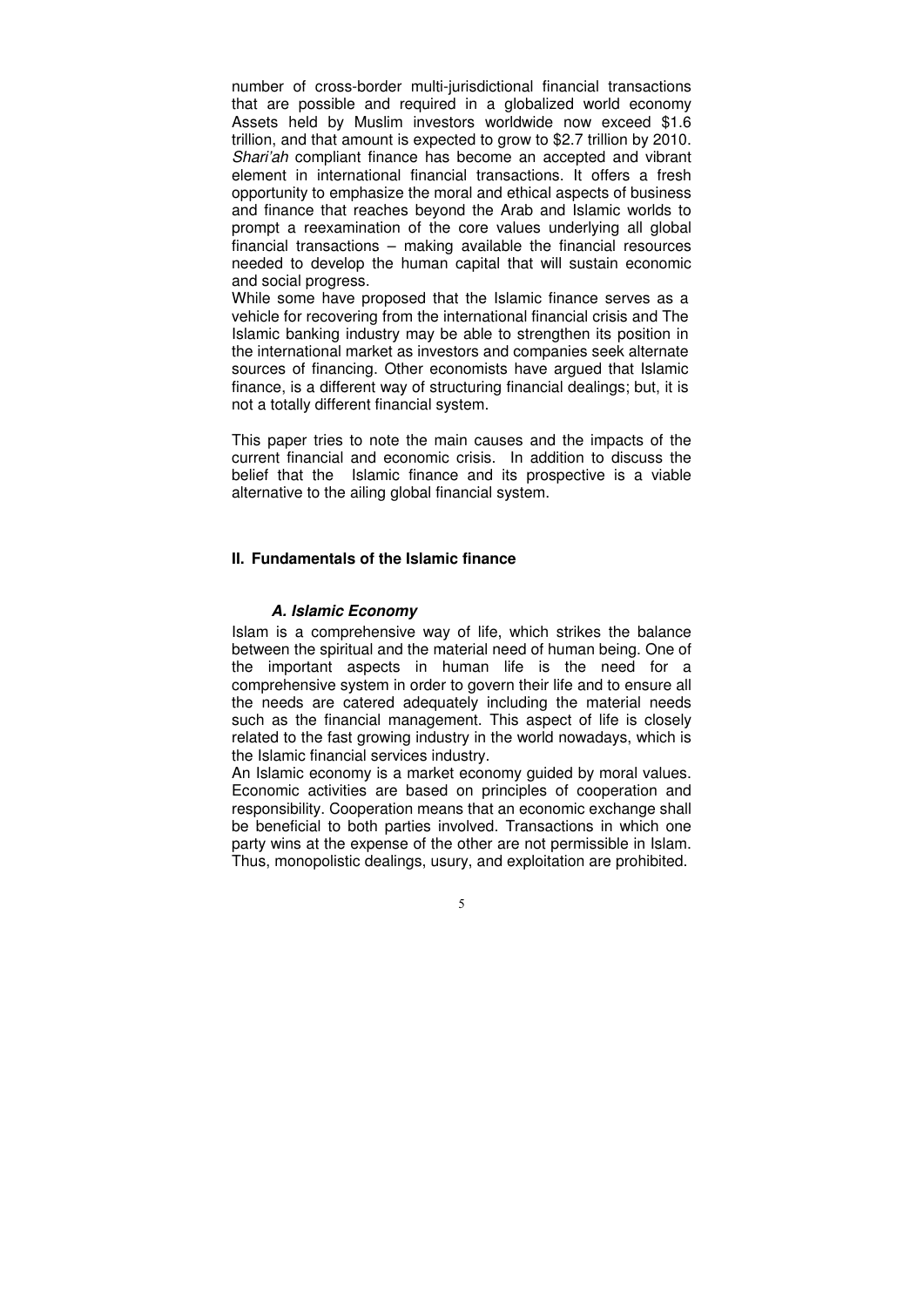number of cross-border multi-jurisdictional financial transactions that are possible and required in a globalized world economy Assets held by Muslim investors worldwide now exceed \$1.6 trillion, and that amount is expected to grow to \$2.7 trillion by 2010. Shari'ah compliant finance has become an accepted and vibrant element in international financial transactions. It offers a fresh opportunity to emphasize the moral and ethical aspects of business and finance that reaches beyond the Arab and Islamic worlds to prompt a reexamination of the core values underlying all global financial transactions – making available the financial resources needed to develop the human capital that will sustain economic and social progress.

While some have proposed that the Islamic finance serves as a vehicle for recovering from the international financial crisis and The Islamic banking industry may be able to strengthen its position in the international market as investors and companies seek alternate sources of financing. Other economists have argued that Islamic finance, is a different way of structuring financial dealings; but, it is not a totally different financial system.

This paper tries to note the main causes and the impacts of the current financial and economic crisis. In addition to discuss the belief that the Islamic finance and its prospective is a viable alternative to the ailing global financial system.

#### II. Fundamentals of the Islamic finance

#### A. Islamic Economy

Islam is a comprehensive way of life, which strikes the balance between the spiritual and the material need of human being. One of the important aspects in human life is the need for a comprehensive system in order to govern their life and to ensure all the needs are catered adequately including the material needs such as the financial management. This aspect of life is closely related to the fast growing industry in the world nowadays, which is the Islamic financial services industry.

An Islamic economy is a market economy guided by moral values. Economic activities are based on principles of cooperation and responsibility. Cooperation means that an economic exchange shall be beneficial to both parties involved. Transactions in which one party wins at the expense of the other are not permissible in Islam. Thus, monopolistic dealings, usury, and exploitation are prohibited.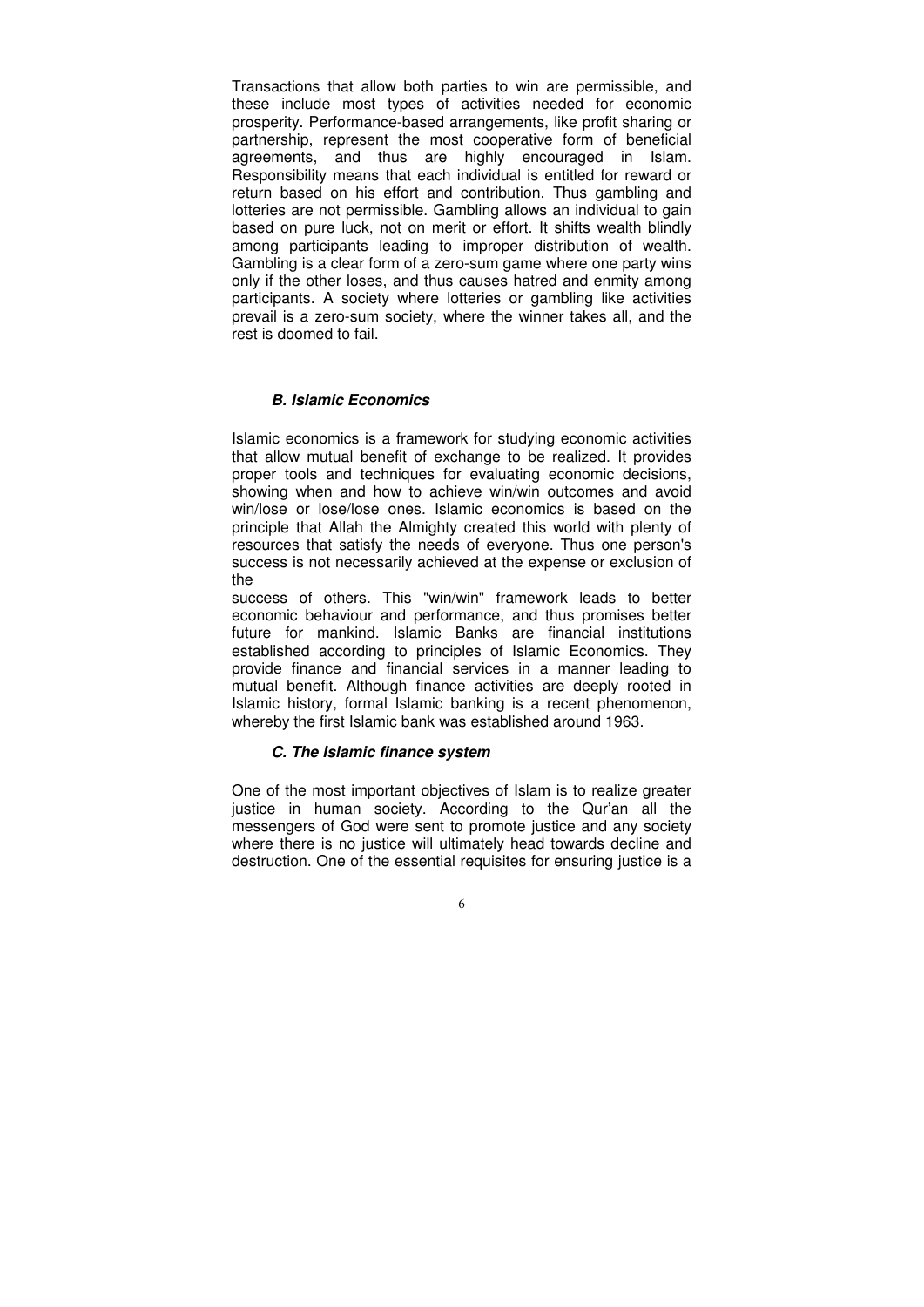Transactions that allow both parties to win are permissible, and these include most types of activities needed for economic prosperity. Performance-based arrangements, like profit sharing or partnership, represent the most cooperative form of beneficial agreements, and thus are highly encouraged in Islam. Responsibility means that each individual is entitled for reward or return based on his effort and contribution. Thus gambling and lotteries are not permissible. Gambling allows an individual to gain based on pure luck, not on merit or effort. It shifts wealth blindly among participants leading to improper distribution of wealth. Gambling is a clear form of a zero-sum game where one party wins only if the other loses, and thus causes hatred and enmity among participants. A society where lotteries or gambling like activities prevail is a zero-sum society, where the winner takes all, and the rest is doomed to fail.

# B. Islamic Economics

Islamic economics is a framework for studying economic activities that allow mutual benefit of exchange to be realized. It provides proper tools and techniques for evaluating economic decisions, showing when and how to achieve win/win outcomes and avoid win/lose or lose/lose ones. Islamic economics is based on the principle that Allah the Almighty created this world with plenty of resources that satisfy the needs of everyone. Thus one person's success is not necessarily achieved at the expense or exclusion of the

success of others. This "win/win" framework leads to better economic behaviour and performance, and thus promises better future for mankind. Islamic Banks are financial institutions established according to principles of Islamic Economics. They provide finance and financial services in a manner leading to mutual benefit. Although finance activities are deeply rooted in Islamic history, formal Islamic banking is a recent phenomenon, whereby the first Islamic bank was established around 1963.

#### C. The Islamic finance system

One of the most important objectives of Islam is to realize greater justice in human society. According to the Qur'an all the messengers of God were sent to promote justice and any society where there is no justice will ultimately head towards decline and destruction. One of the essential requisites for ensuring justice is a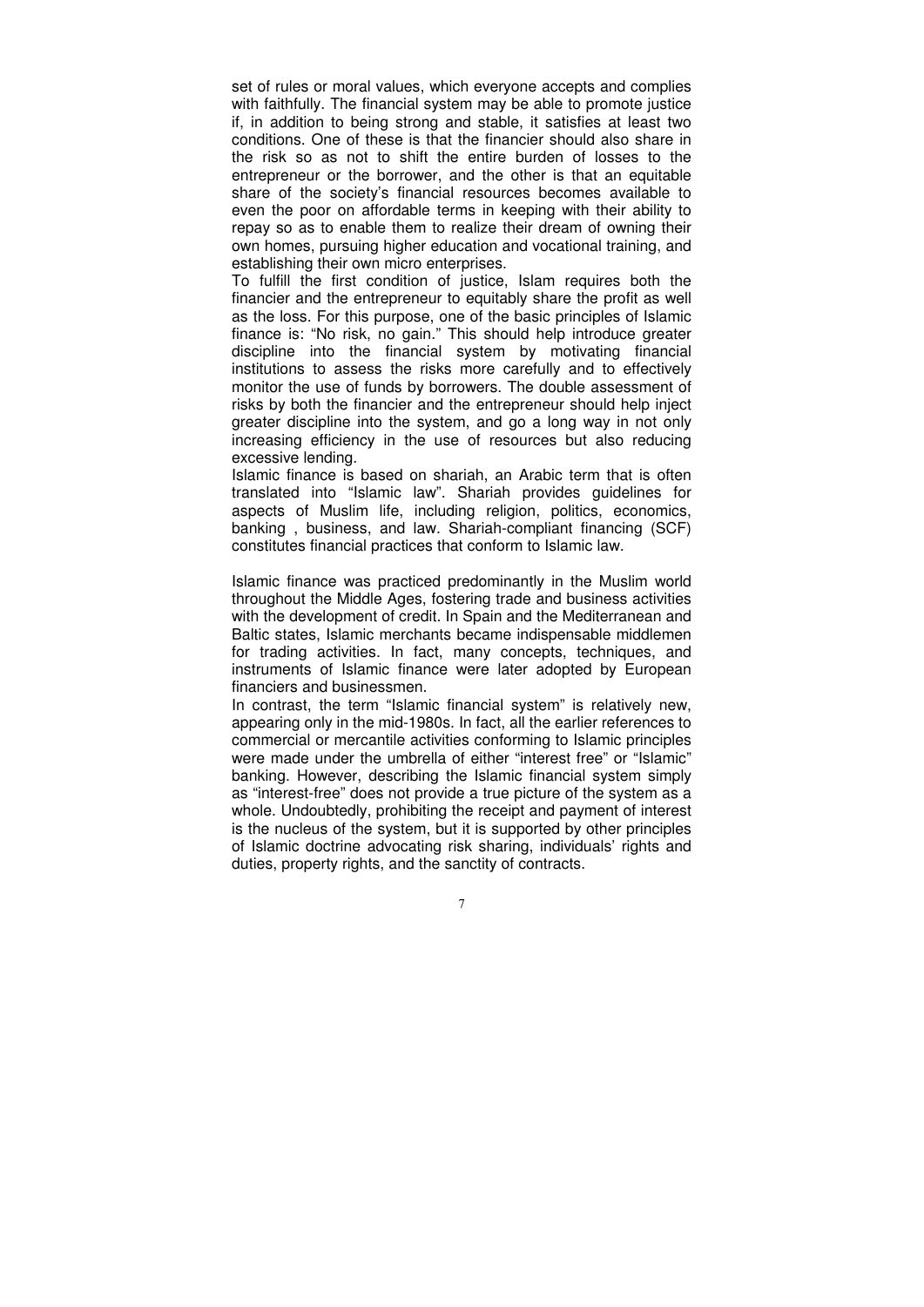set of rules or moral values, which everyone accepts and complies with faithfully. The financial system may be able to promote justice if, in addition to being strong and stable, it satisfies at least two conditions. One of these is that the financier should also share in the risk so as not to shift the entire burden of losses to the entrepreneur or the borrower, and the other is that an equitable share of the society's financial resources becomes available to even the poor on affordable terms in keeping with their ability to repay so as to enable them to realize their dream of owning their own homes, pursuing higher education and vocational training, and establishing their own micro enterprises.

To fulfill the first condition of justice, Islam requires both the financier and the entrepreneur to equitably share the profit as well as the loss. For this purpose, one of the basic principles of Islamic finance is: "No risk, no gain." This should help introduce greater discipline into the financial system by motivating financial institutions to assess the risks more carefully and to effectively monitor the use of funds by borrowers. The double assessment of risks by both the financier and the entrepreneur should help inject greater discipline into the system, and go a long way in not only increasing efficiency in the use of resources but also reducing excessive lending.

Islamic finance is based on shariah, an Arabic term that is often translated into "Islamic law". Shariah provides guidelines for aspects of Muslim life, including religion, politics, economics, banking , business, and law. Shariah-compliant financing (SCF) constitutes financial practices that conform to Islamic law.

Islamic finance was practiced predominantly in the Muslim world throughout the Middle Ages, fostering trade and business activities with the development of credit. In Spain and the Mediterranean and Baltic states, Islamic merchants became indispensable middlemen for trading activities. In fact, many concepts, techniques, and instruments of Islamic finance were later adopted by European financiers and businessmen.

In contrast, the term "Islamic financial system" is relatively new, appearing only in the mid-1980s. In fact, all the earlier references to commercial or mercantile activities conforming to Islamic principles were made under the umbrella of either "interest free" or "Islamic" banking. However, describing the Islamic financial system simply as "interest-free" does not provide a true picture of the system as a whole. Undoubtedly, prohibiting the receipt and payment of interest is the nucleus of the system, but it is supported by other principles of Islamic doctrine advocating risk sharing, individuals' rights and duties, property rights, and the sanctity of contracts.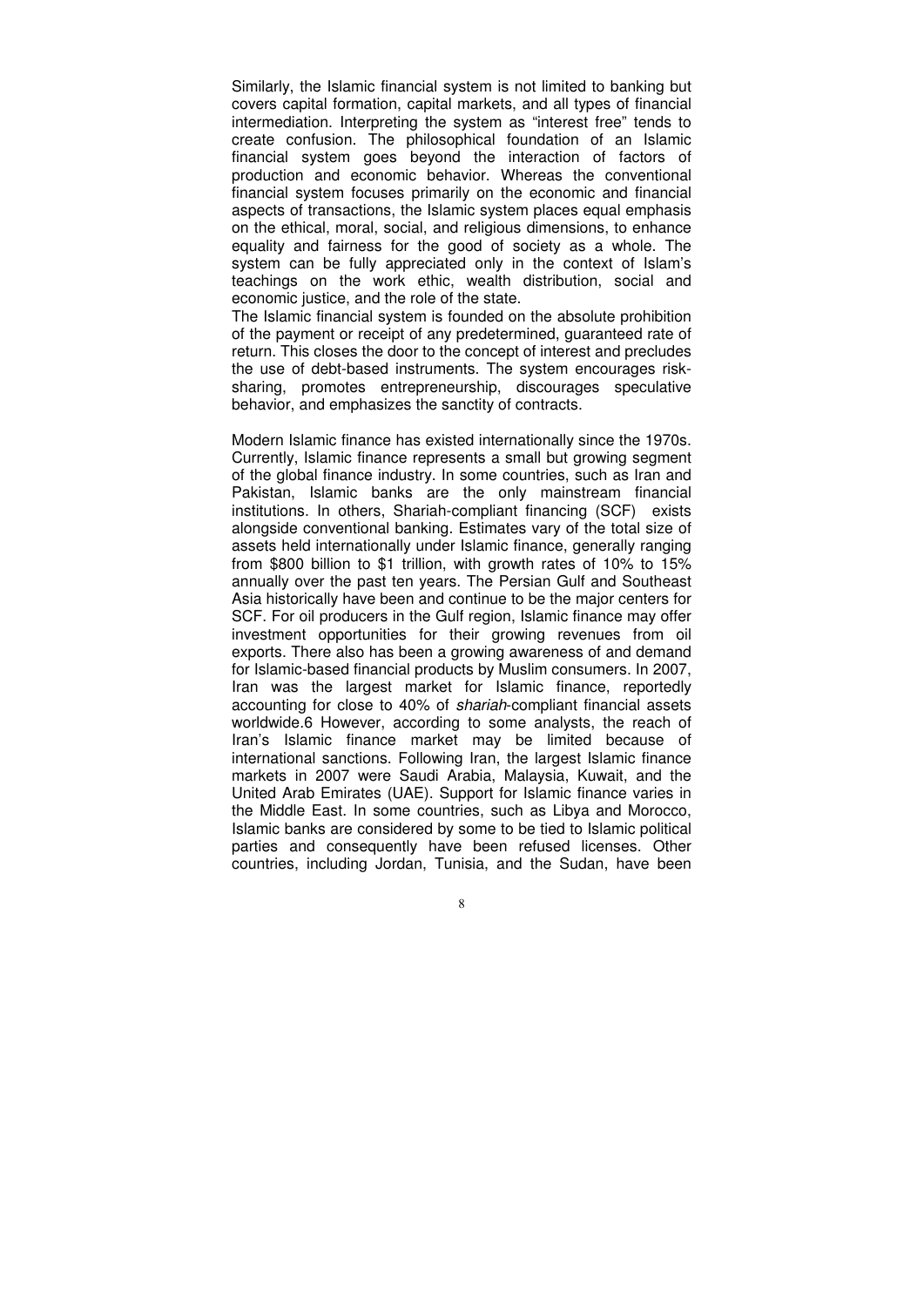Similarly, the Islamic financial system is not limited to banking but covers capital formation, capital markets, and all types of financial intermediation. Interpreting the system as "interest free" tends to create confusion. The philosophical foundation of an Islamic financial system goes beyond the interaction of factors of production and economic behavior. Whereas the conventional financial system focuses primarily on the economic and financial aspects of transactions, the Islamic system places equal emphasis on the ethical, moral, social, and religious dimensions, to enhance equality and fairness for the good of society as a whole. The system can be fully appreciated only in the context of Islam's teachings on the work ethic, wealth distribution, social and economic justice, and the role of the state.

The Islamic financial system is founded on the absolute prohibition of the payment or receipt of any predetermined, guaranteed rate of return. This closes the door to the concept of interest and precludes the use of debt-based instruments. The system encourages risksharing, promotes entrepreneurship, discourages speculative behavior, and emphasizes the sanctity of contracts.

Modern Islamic finance has existed internationally since the 1970s. Currently, Islamic finance represents a small but growing segment of the global finance industry. In some countries, such as Iran and Pakistan, Islamic banks are the only mainstream financial institutions. In others, Shariah-compliant financing (SCF) exists alongside conventional banking. Estimates vary of the total size of assets held internationally under Islamic finance, generally ranging from \$800 billion to \$1 trillion, with growth rates of 10% to 15% annually over the past ten years. The Persian Gulf and Southeast Asia historically have been and continue to be the major centers for SCF. For oil producers in the Gulf region, Islamic finance may offer investment opportunities for their growing revenues from oil exports. There also has been a growing awareness of and demand for Islamic-based financial products by Muslim consumers. In 2007, Iran was the largest market for Islamic finance, reportedly accounting for close to 40% of shariah-compliant financial assets worldwide.6 However, according to some analysts, the reach of Iran's Islamic finance market may be limited because of international sanctions. Following Iran, the largest Islamic finance markets in 2007 were Saudi Arabia, Malaysia, Kuwait, and the United Arab Emirates (UAE). Support for Islamic finance varies in the Middle East. In some countries, such as Libya and Morocco, Islamic banks are considered by some to be tied to Islamic political parties and consequently have been refused licenses. Other countries, including Jordan, Tunisia, and the Sudan, have been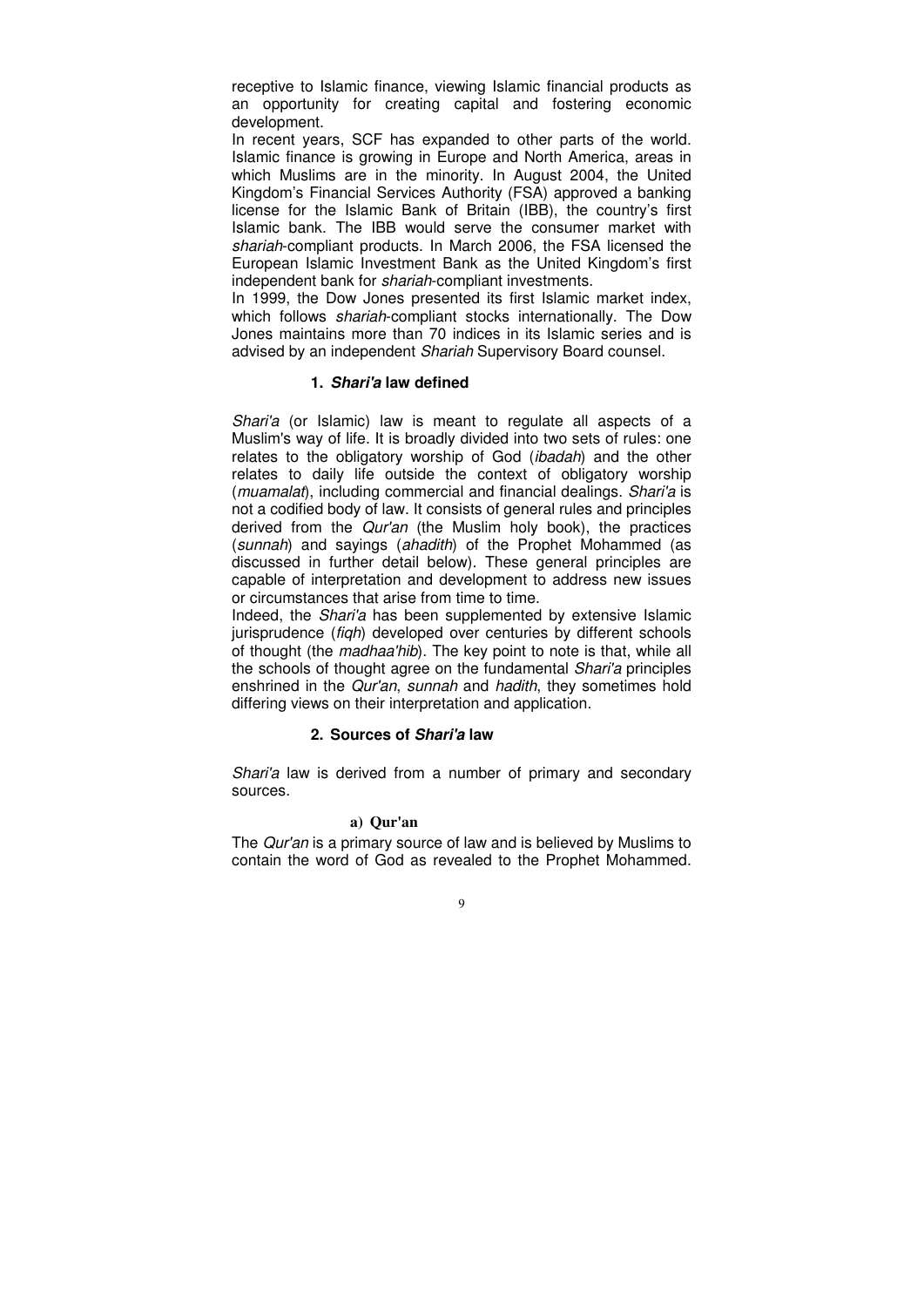receptive to Islamic finance, viewing Islamic financial products as an opportunity for creating capital and fostering economic development.

In recent years, SCF has expanded to other parts of the world. Islamic finance is growing in Europe and North America, areas in which Muslims are in the minority. In August 2004, the United Kingdom's Financial Services Authority (FSA) approved a banking license for the Islamic Bank of Britain (IBB), the country's first Islamic bank. The IBB would serve the consumer market with shariah-compliant products. In March 2006, the FSA licensed the European Islamic Investment Bank as the United Kingdom's first independent bank for shariah-compliant investments.

In 1999, the Dow Jones presented its first Islamic market index, which follows *shariah*-compliant stocks internationally. The Dow Jones maintains more than 70 indices in its Islamic series and is advised by an independent Shariah Supervisory Board counsel.

# 1. Shari'a law defined

Indeed, the *Shari'a* has been supplemented by extensive Islamic jurisprudence (fiqh) developed over centuries by different schools of thought (the madhaa'hib). The key point to note is that, while all the schools of thought agree on the fundamental Shari'a principles enshrined in the *Qur'an*, sunnah and hadith, they sometimes hold differing views on their interpretation and application.

Shari'a (or Islamic) law is meant to regulate all aspects of a Muslim's way of life. It is broadly divided into two sets of rules: one relates to the obligatory worship of God *(ibadah)* and the other relates to daily life outside the context of obligatory worship (*muamalat*), including commercial and financial dealings. Shari'a is not a codified body of law. It consists of general rules and principles derived from the Qur'an (the Muslim holy book), the practices (sunnah) and sayings (ahadith) of the Prophet Mohammed (as discussed in further detail below). These general principles are capable of interpretation and development to address new issues or circumstances that arise from time to time.

# 2. Sources of Shari'a law

Shari'a law is derived from a number of primary and secondary sources.

#### a) Qur'an

The Qur'an is a primary source of law and is believed by Muslims to contain the word of God as revealed to the Prophet Mohammed.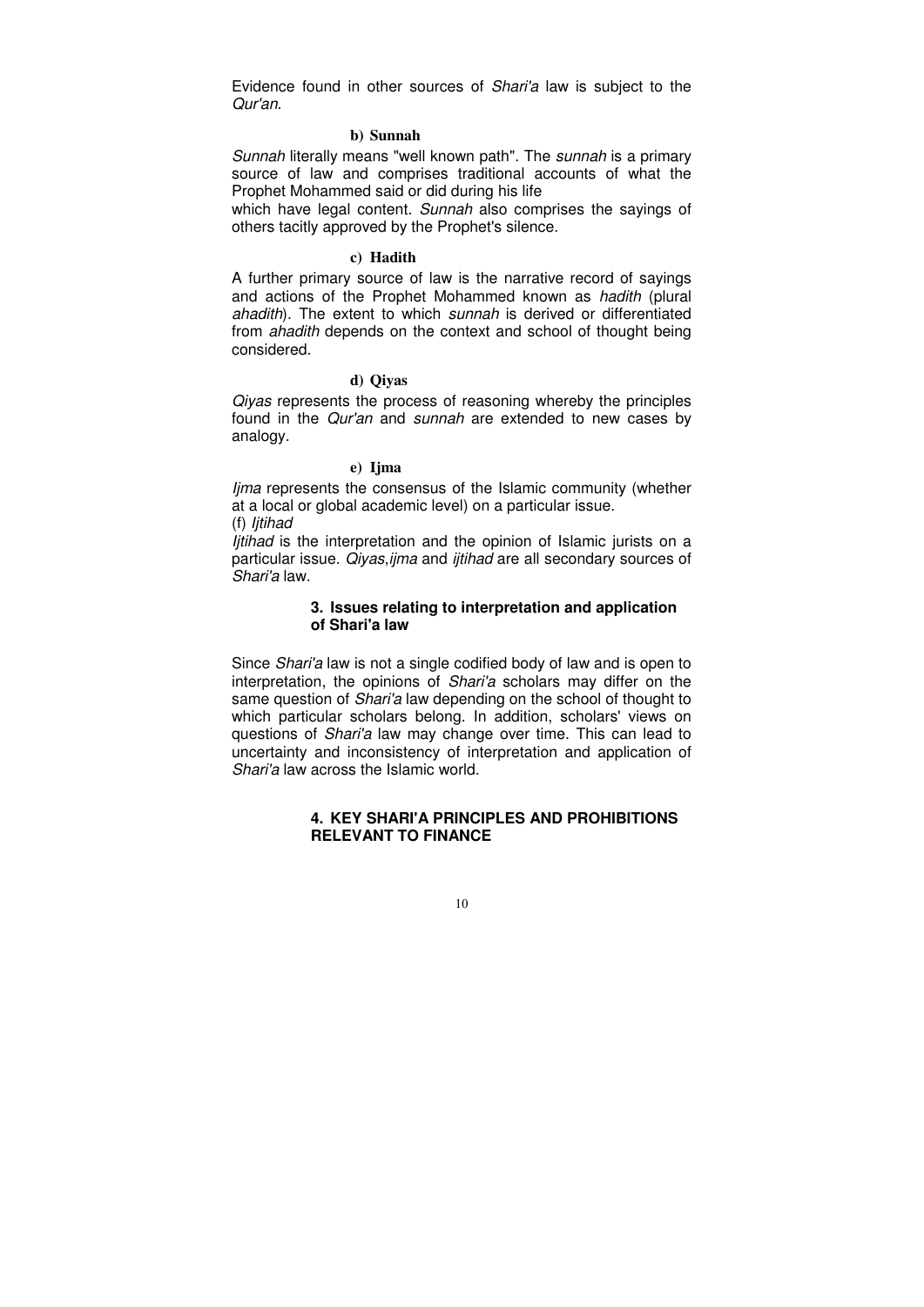Evidence found in other sources of Shari'a law is subject to the Qur'an.

#### b) Sunnah

Sunnah literally means "well known path". The sunnah is a primary source of law and comprises traditional accounts of what the Prophet Mohammed said or did during his life

which have legal content. Sunnah also comprises the sayings of others tacitly approved by the Prophet's silence.

#### c) Hadith

A further primary source of law is the narrative record of sayings and actions of the Prophet Mohammed known as hadith (plural ahadith). The extent to which sunnah is derived or differentiated from ahadith depends on the context and school of thought being considered.

Ijtihad is the interpretation and the opinion of Islamic jurists on a particular issue. Qiyas,ijma and ijtihad are all secondary sources of Shari'a law.

#### d) Qiyas

Qiyas represents the process of reasoning whereby the principles found in the Qur'an and sunnah are extended to new cases by analogy.

#### e) Ijma

Ijma represents the consensus of the Islamic community (whether at a local or global academic level) on a particular issue.

(f) Ijtihad

# 3. Issues relating to interpretation and application of Shari'a law

Since Shari'a law is not a single codified body of law and is open to interpretation, the opinions of Shari'a scholars may differ on the same question of *Shari'a* law depending on the school of thought to which particular scholars belong. In addition, scholars' views on questions of Shari'a law may change over time. This can lead to uncertainty and inconsistency of interpretation and application of Shari'a law across the Islamic world.

# 4. KEY SHARI'A PRINCIPLES AND PROHIBITIONS RELEVANT TO FINANCE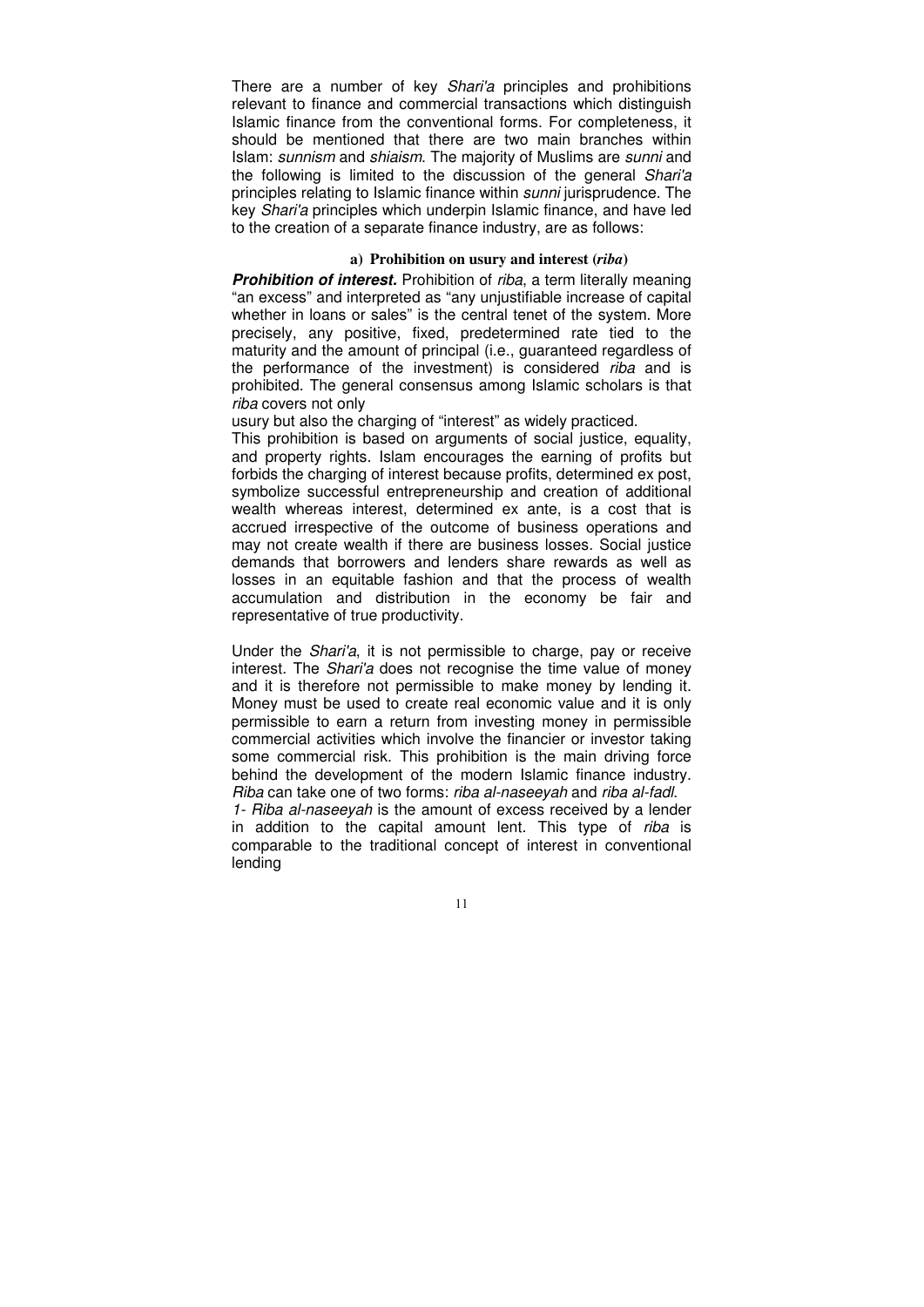There are a number of key Shari'a principles and prohibitions relevant to finance and commercial transactions which distinguish Islamic finance from the conventional forms. For completeness, it should be mentioned that there are two main branches within Islam: sunnism and shiaism. The majority of Muslims are sunni and the following is limited to the discussion of the general Shari'a principles relating to Islamic finance within sunni jurisprudence. The key Shari'a principles which underpin Islamic finance, and have led to the creation of a separate finance industry, are as follows:

**Prohibition of interest.** Prohibition of *riba*, a term literally meaning "an excess" and interpreted as "any unjustifiable increase of capital whether in loans or sales" is the central tenet of the system. More precisely, any positive, fixed, predetermined rate tied to the maturity and the amount of principal (i.e., guaranteed regardless of the performance of the investment) is considered riba and is prohibited. The general consensus among Islamic scholars is that riba covers not only

#### a) Prohibition on usury and interest (riba)

usury but also the charging of "interest" as widely practiced.

This prohibition is based on arguments of social justice, equality, and property rights. Islam encourages the earning of profits but forbids the charging of interest because profits, determined ex post, symbolize successful entrepreneurship and creation of additional wealth whereas interest, determined ex ante, is a cost that is accrued irrespective of the outcome of business operations and may not create wealth if there are business losses. Social justice demands that borrowers and lenders share rewards as well as losses in an equitable fashion and that the process of wealth accumulation and distribution in the economy be fair and representative of true productivity.

Under the Shari'a, it is not permissible to charge, pay or receive interest. The Shari'a does not recognise the time value of money and it is therefore not permissible to make money by lending it. Money must be used to create real economic value and it is only permissible to earn a return from investing money in permissible commercial activities which involve the financier or investor taking some commercial risk. This prohibition is the main driving force behind the development of the modern Islamic finance industry. Riba can take one of two forms: riba al-naseeyah and riba al-fadl.

1- Riba al-naseeyah is the amount of excess received by a lender in addition to the capital amount lent. This type of *riba* is comparable to the traditional concept of interest in conventional lending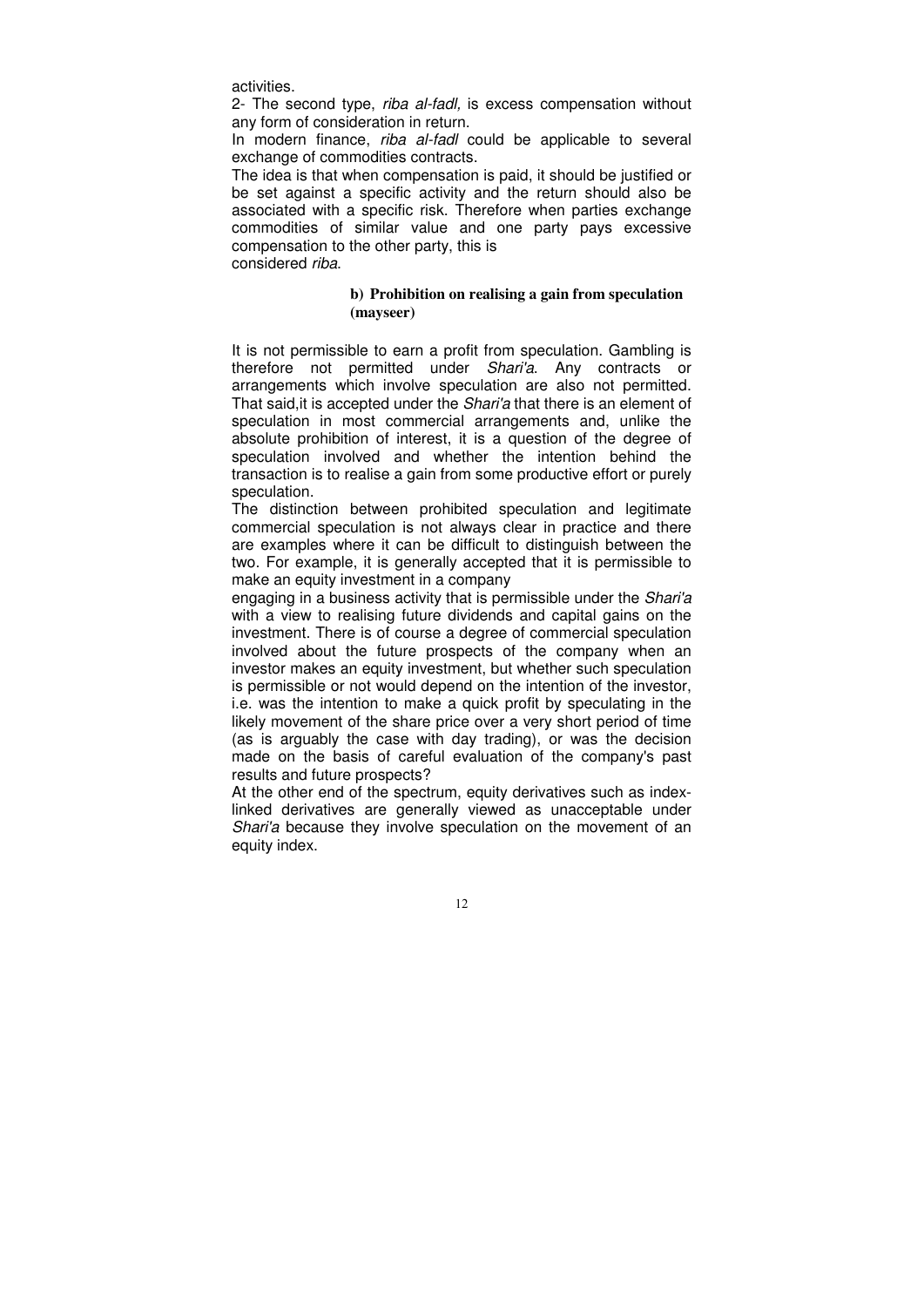activities.

2- The second type, riba al-fadl, is excess compensation without any form of consideration in return.

In modern finance, *riba al-fadl* could be applicable to several exchange of commodities contracts.

The idea is that when compensation is paid, it should be justified or be set against a specific activity and the return should also be associated with a specific risk. Therefore when parties exchange commodities of similar value and one party pays excessive compensation to the other party, this is

considered riba.

# b) Prohibition on realising a gain from speculation (mayseer)

It is not permissible to earn a profit from speculation. Gambling is therefore not permitted under Shari'a. Any contracts or arrangements which involve speculation are also not permitted. That said, it is accepted under the *Shari'a* that there is an element of speculation in most commercial arrangements and, unlike the absolute prohibition of interest, it is a question of the degree of speculation involved and whether the intention behind the transaction is to realise a gain from some productive effort or purely speculation.

The distinction between prohibited speculation and legitimate commercial speculation is not always clear in practice and there are examples where it can be difficult to distinguish between the two. For example, it is generally accepted that it is permissible to make an equity investment in a company

engaging in a business activity that is permissible under the Shari'a with a view to realising future dividends and capital gains on the investment. There is of course a degree of commercial speculation involved about the future prospects of the company when an investor makes an equity investment, but whether such speculation is permissible or not would depend on the intention of the investor, i.e. was the intention to make a quick profit by speculating in the likely movement of the share price over a very short period of time (as is arguably the case with day trading), or was the decision made on the basis of careful evaluation of the company's past results and future prospects?

At the other end of the spectrum, equity derivatives such as indexlinked derivatives are generally viewed as unacceptable under Shari'a because they involve speculation on the movement of an equity index.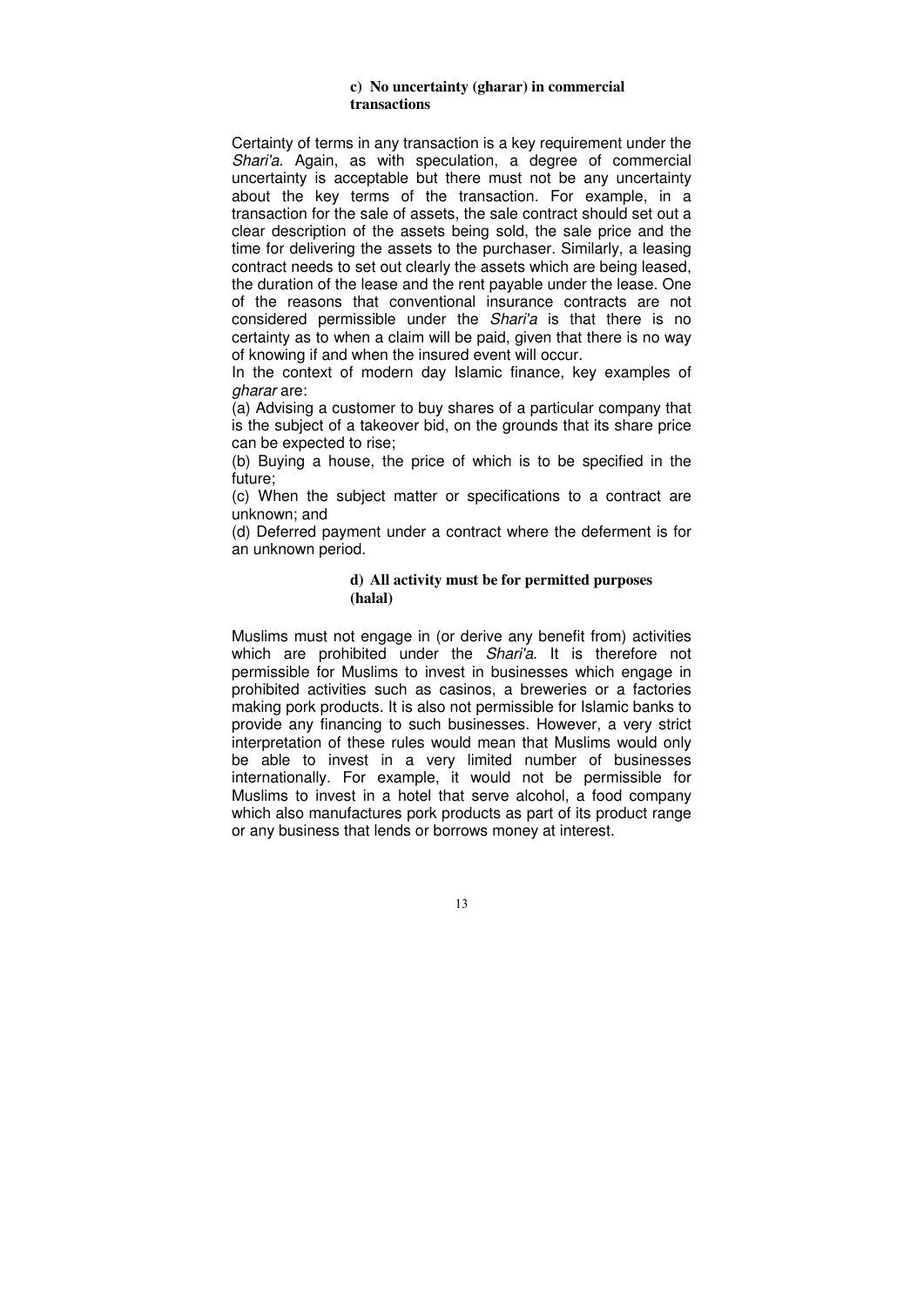#### c) No uncertainty (gharar) in commercial transactions

Certainty of terms in any transaction is a key requirement under the Shari'a. Again, as with speculation, a degree of commercial uncertainty is acceptable but there must not be any uncertainty about the key terms of the transaction. For example, in a transaction for the sale of assets, the sale contract should set out a clear description of the assets being sold, the sale price and the time for delivering the assets to the purchaser. Similarly, a leasing contract needs to set out clearly the assets which are being leased, the duration of the lease and the rent payable under the lease. One of the reasons that conventional insurance contracts are not considered permissible under the Shari'a is that there is no certainty as to when a claim will be paid, given that there is no way of knowing if and when the insured event will occur.

In the context of modern day Islamic finance, key examples of gharar are:

(a) Advising a customer to buy shares of a particular company that is the subject of a takeover bid, on the grounds that its share price can be expected to rise;

(b) Buying a house, the price of which is to be specified in the future;

(c) When the subject matter or specifications to a contract are unknown; and

(d) Deferred payment under a contract where the deferment is for an unknown period.

# d) All activity must be for permitted purposes (halal)

Muslims must not engage in (or derive any benefit from) activities which are prohibited under the *Shari'a*. It is therefore not permissible for Muslims to invest in businesses which engage in prohibited activities such as casinos, a breweries or a factories making pork products. It is also not permissible for Islamic banks to provide any financing to such businesses. However, a very strict interpretation of these rules would mean that Muslims would only be able to invest in a very limited number of businesses internationally. For example, it would not be permissible for Muslims to invest in a hotel that serve alcohol, a food company which also manufactures pork products as part of its product range or any business that lends or borrows money at interest.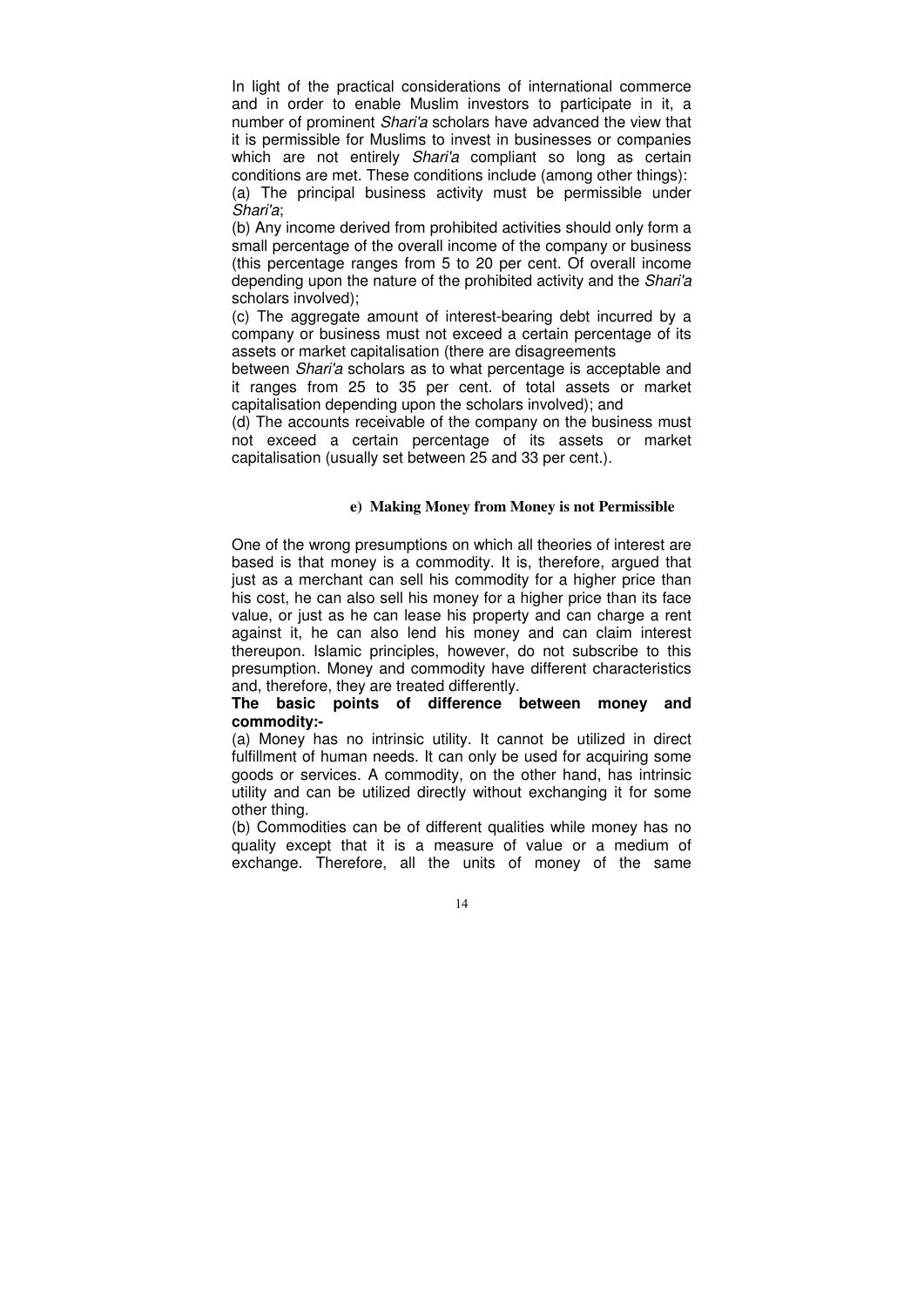In light of the practical considerations of international commerce and in order to enable Muslim investors to participate in it, a number of prominent *Shari'a* scholars have advanced the view that it is permissible for Muslims to invest in businesses or companies which are not entirely Shari'a compliant so long as certain conditions are met. These conditions include (among other things): (a) The principal business activity must be permissible under Shari'a;

(b) Any income derived from prohibited activities should only form a small percentage of the overall income of the company or business (this percentage ranges from 5 to 20 per cent. Of overall income depending upon the nature of the prohibited activity and the Shari'a scholars involved);

(c) The aggregate amount of interest-bearing debt incurred by a company or business must not exceed a certain percentage of its assets or market capitalisation (there are disagreements

between Shari'a scholars as to what percentage is acceptable and it ranges from 25 to 35 per cent. of total assets or market capitalisation depending upon the scholars involved); and

(d) The accounts receivable of the company on the business must not exceed a certain percentage of its assets or market capitalisation (usually set between 25 and 33 per cent.).

# e) Making Money from Money is not Permissible

One of the wrong presumptions on which all theories of interest are based is that money is a commodity. It is, therefore, argued that just as a merchant can sell his commodity for a higher price than his cost, he can also sell his money for a higher price than its face value, or just as he can lease his property and can charge a rent against it, he can also lend his money and can claim interest thereupon. Islamic principles, however, do not subscribe to this presumption. Money and commodity have different characteristics and, therefore, they are treated differently.

#### The basic points of difference between money and commodity:-

(a) Money has no intrinsic utility. It cannot be utilized in direct fulfillment of human needs. It can only be used for acquiring some goods or services. A commodity, on the other hand, has intrinsic utility and can be utilized directly without exchanging it for some other thing.

(b) Commodities can be of different qualities while money has no quality except that it is a measure of value or a medium of exchange. Therefore, all the units of money of the same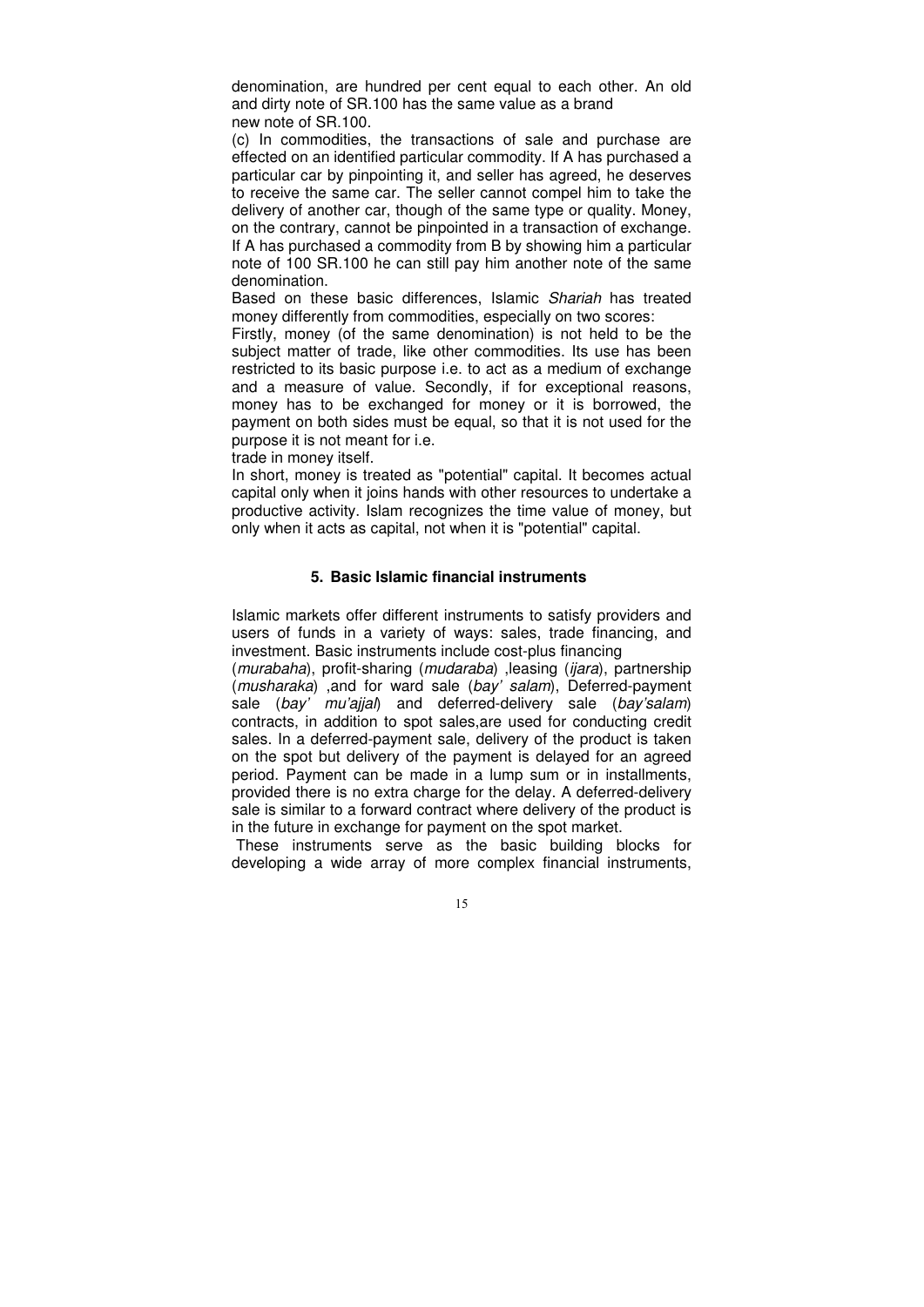denomination, are hundred per cent equal to each other. An old and dirty note of SR.100 has the same value as a brand new note of SR.100.

(c) In commodities, the transactions of sale and purchase are effected on an identified particular commodity. If A has purchased a particular car by pinpointing it, and seller has agreed, he deserves to receive the same car. The seller cannot compel him to take the delivery of another car, though of the same type or quality. Money, on the contrary, cannot be pinpointed in a transaction of exchange. If A has purchased a commodity from B by showing him a particular note of 100 SR.100 he can still pay him another note of the same denomination.

Based on these basic differences, Islamic Shariah has treated money differently from commodities, especially on two scores:

Firstly, money (of the same denomination) is not held to be the subject matter of trade, like other commodities. Its use has been restricted to its basic purpose i.e. to act as a medium of exchange and a measure of value. Secondly, if for exceptional reasons, money has to be exchanged for money or it is borrowed, the payment on both sides must be equal, so that it is not used for the purpose it is not meant for i.e.

trade in money itself.

In short, money is treated as "potential" capital. It becomes actual capital only when it joins hands with other resources to undertake a productive activity. Islam recognizes the time value of money, but only when it acts as capital, not when it is "potential" capital.

# 5. Basic Islamic financial instruments

Islamic markets offer different instruments to satisfy providers and users of funds in a variety of ways: sales, trade financing, and investment. Basic instruments include cost-plus financing

(murabaha), profit-sharing (mudaraba) ,leasing (ijara), partnership (musharaka) ,and for ward sale (bay' salam), Deferred-payment sale (bay' mu'ajjal) and deferred-delivery sale (bay'salam) contracts, in addition to spot sales,are used for conducting credit sales. In a deferred-payment sale, delivery of the product is taken on the spot but delivery of the payment is delayed for an agreed period. Payment can be made in a lump sum or in installments, provided there is no extra charge for the delay. A deferred-delivery sale is similar to a forward contract where delivery of the product is in the future in exchange for payment on the spot market.

 These instruments serve as the basic building blocks for developing a wide array of more complex financial instruments,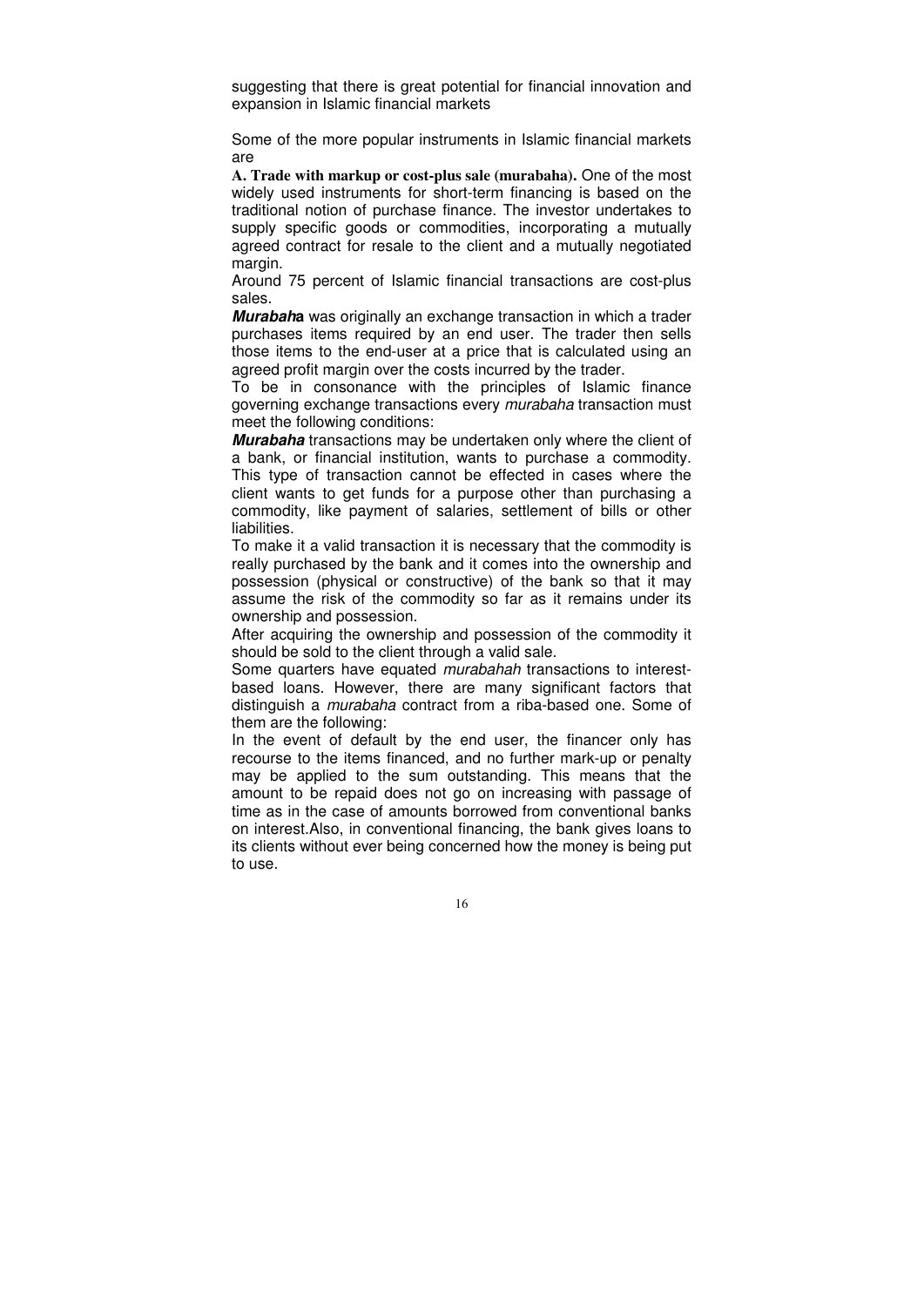suggesting that there is great potential for financial innovation and expansion in Islamic financial markets

Some of the more popular instruments in Islamic financial markets are

A. Trade with markup or cost-plus sale (murabaha). One of the most widely used instruments for short-term financing is based on the traditional notion of purchase finance. The investor undertakes to supply specific goods or commodities, incorporating a mutually agreed contract for resale to the client and a mutually negotiated margin.

**Murabaha** was originally an exchange transaction in which a trader purchases items required by an end user. The trader then sells those items to the end-user at a price that is calculated using an agreed profit margin over the costs incurred by the trader.

Around 75 percent of Islamic financial transactions are cost-plus sales.

**Murabaha** transactions may be undertaken only where the client of a bank, or financial institution, wants to purchase a commodity. This type of transaction cannot be effected in cases where the client wants to get funds for a purpose other than purchasing a commodity, like payment of salaries, settlement of bills or other liabilities.

To be in consonance with the principles of Islamic finance governing exchange transactions every murabaha transaction must meet the following conditions:

To make it a valid transaction it is necessary that the commodity is really purchased by the bank and it comes into the ownership and possession (physical or constructive) of the bank so that it may assume the risk of the commodity so far as it remains under its ownership and possession.

After acquiring the ownership and possession of the commodity it should be sold to the client through a valid sale.

Some quarters have equated murabahah transactions to interestbased loans. However, there are many significant factors that distinguish a murabaha contract from a riba-based one. Some of them are the following:

In the event of default by the end user, the financer only has recourse to the items financed, and no further mark-up or penalty may be applied to the sum outstanding. This means that the amount to be repaid does not go on increasing with passage of time as in the case of amounts borrowed from conventional banks on interest.Also, in conventional financing, the bank gives loans to its clients without ever being concerned how the money is being put to use.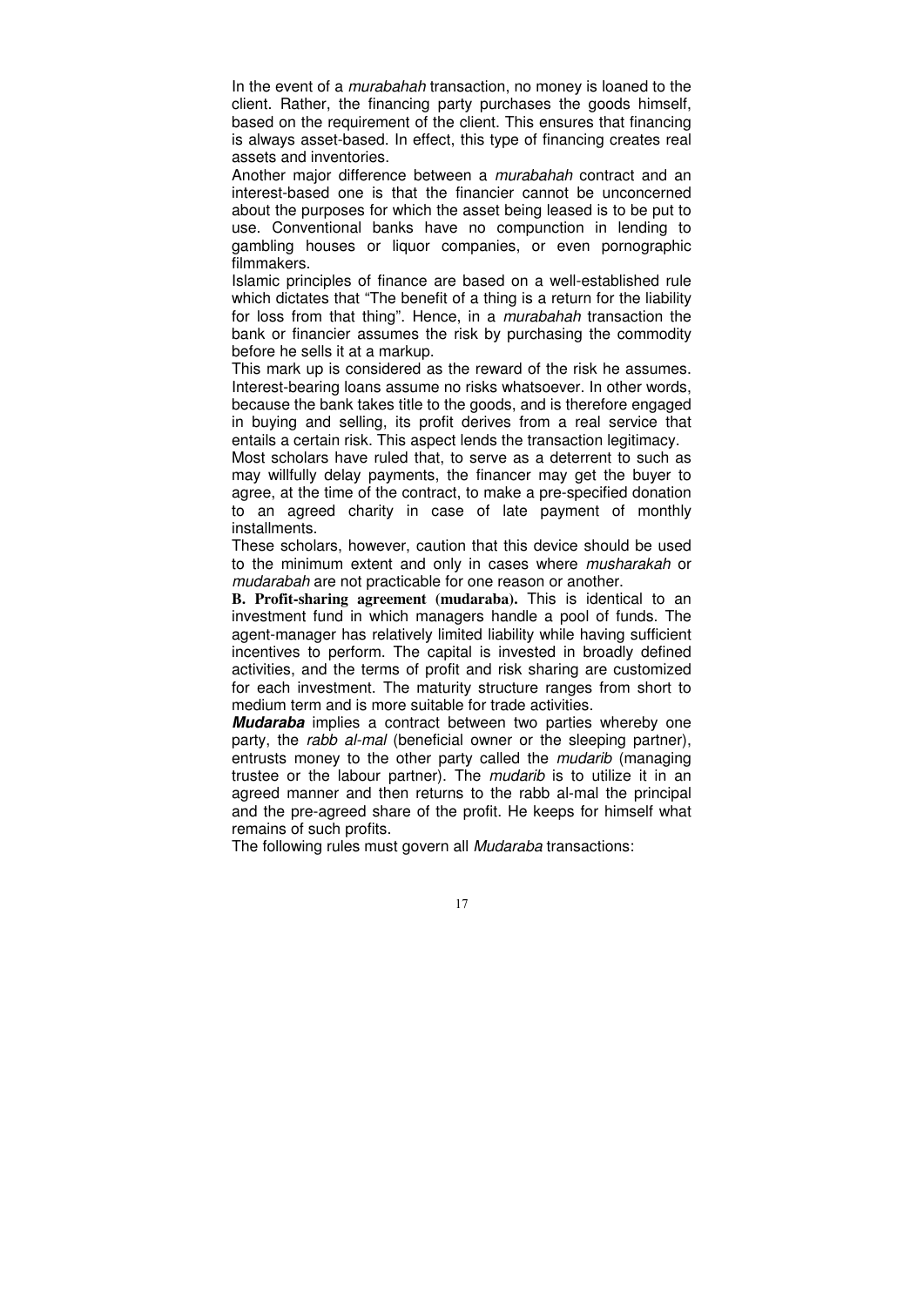In the event of a *murabahah* transaction, no money is loaned to the client. Rather, the financing party purchases the goods himself, based on the requirement of the client. This ensures that financing is always asset-based. In effect, this type of financing creates real assets and inventories.

Another major difference between a murabahah contract and an interest-based one is that the financier cannot be unconcerned about the purposes for which the asset being leased is to be put to use. Conventional banks have no compunction in lending to gambling houses or liquor companies, or even pornographic filmmakers.

Islamic principles of finance are based on a well-established rule which dictates that "The benefit of a thing is a return for the liability for loss from that thing". Hence, in a murabahah transaction the bank or financier assumes the risk by purchasing the commodity before he sells it at a markup.

This mark up is considered as the reward of the risk he assumes. Interest-bearing loans assume no risks whatsoever. In other words, because the bank takes title to the goods, and is therefore engaged in buying and selling, its profit derives from a real service that entails a certain risk. This aspect lends the transaction legitimacy.

**Mudaraba** implies a contract between two parties whereby one party, the rabb al-mal (beneficial owner or the sleeping partner), entrusts money to the other party called the *mudarib* (managing trustee or the labour partner). The *mudarib* is to utilize it in an agreed manner and then returns to the rabb al-mal the principal and the pre-agreed share of the profit. He keeps for himself what remains of such profits.

Most scholars have ruled that, to serve as a deterrent to such as may willfully delay payments, the financer may get the buyer to agree, at the time of the contract, to make a pre-specified donation to an agreed charity in case of late payment of monthly installments.

These scholars, however, caution that this device should be used to the minimum extent and only in cases where musharakah or mudarabah are not practicable for one reason or another.

B. Profit-sharing agreement (mudaraba). This is identical to an investment fund in which managers handle a pool of funds. The agent-manager has relatively limited liability while having sufficient incentives to perform. The capital is invested in broadly defined activities, and the terms of profit and risk sharing are customized for each investment. The maturity structure ranges from short to medium term and is more suitable for trade activities.

The following rules must govern all Mudaraba transactions: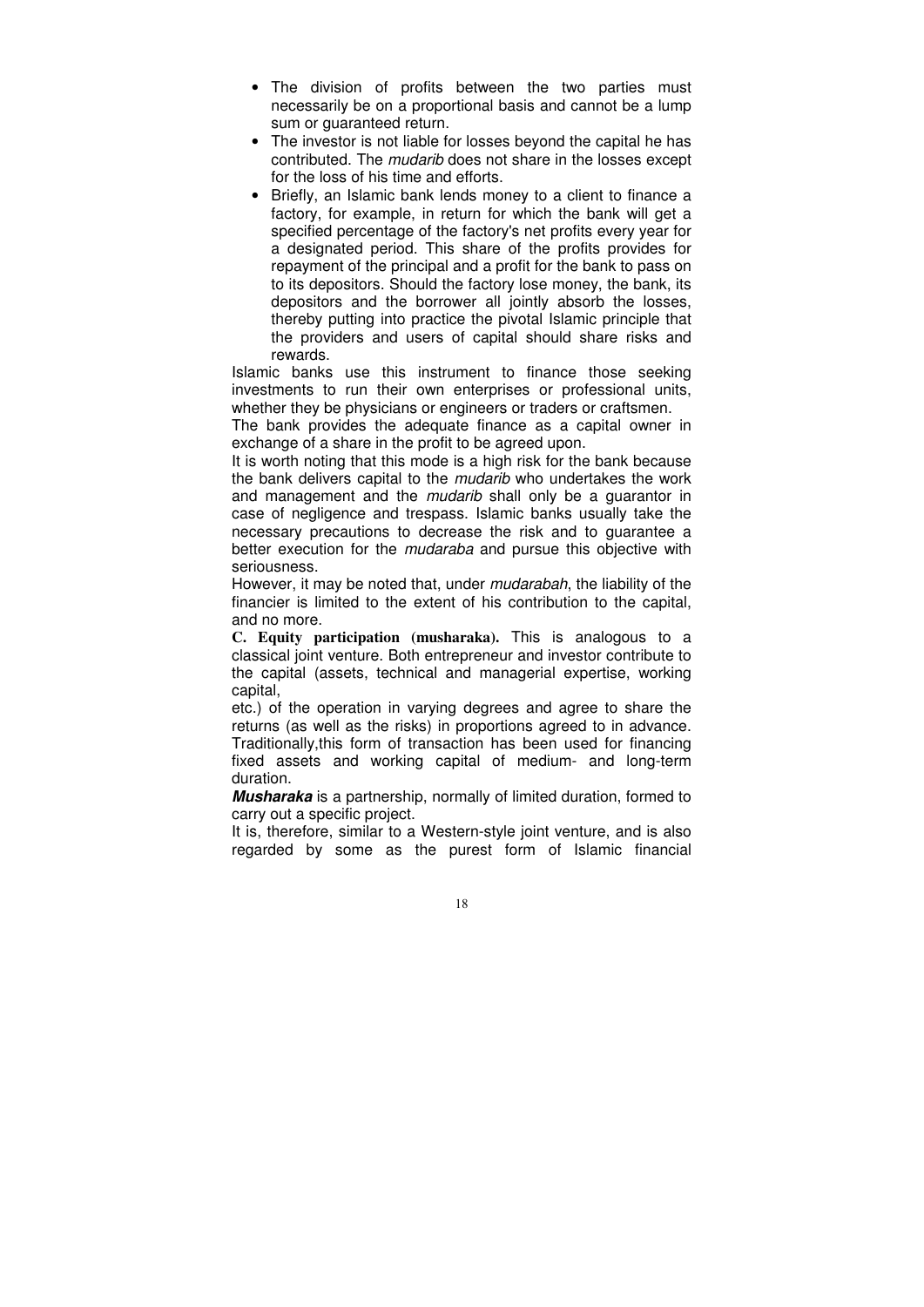- The division of profits between the two parties must necessarily be on a proportional basis and cannot be a lump sum or guaranteed return.
- The investor is not liable for losses beyond the capital he has contributed. The mudarib does not share in the losses except for the loss of his time and efforts.
- Briefly, an Islamic bank lends money to a client to finance a factory, for example, in return for which the bank will get a specified percentage of the factory's net profits every year for a designated period. This share of the profits provides for repayment of the principal and a profit for the bank to pass on to its depositors. Should the factory lose money, the bank, its depositors and the borrower all jointly absorb the losses, thereby putting into practice the pivotal Islamic principle that the providers and users of capital should share risks and rewards.

However, it may be noted that, under *mudarabah*, the liability of the financier is limited to the extent of his contribution to the capital, and no more.

Islamic banks use this instrument to finance those seeking investments to run their own enterprises or professional units, whether they be physicians or engineers or traders or craftsmen.

The bank provides the adequate finance as a capital owner in exchange of a share in the profit to be agreed upon.

**Musharaka** is a partnership, normally of limited duration, formed to carry out a specific project.

It is worth noting that this mode is a high risk for the bank because the bank delivers capital to the *mudarib* who undertakes the work and management and the *mudarib* shall only be a guarantor in case of negligence and trespass. Islamic banks usually take the necessary precautions to decrease the risk and to guarantee a better execution for the *mudaraba* and pursue this objective with seriousness.

C. Equity participation (musharaka). This is analogous to a classical joint venture. Both entrepreneur and investor contribute to the capital (assets, technical and managerial expertise, working capital,

etc.) of the operation in varying degrees and agree to share the returns (as well as the risks) in proportions agreed to in advance. Traditionally,this form of transaction has been used for financing fixed assets and working capital of medium- and long-term duration.

It is, therefore, similar to a Western-style joint venture, and is also regarded by some as the purest form of Islamic financial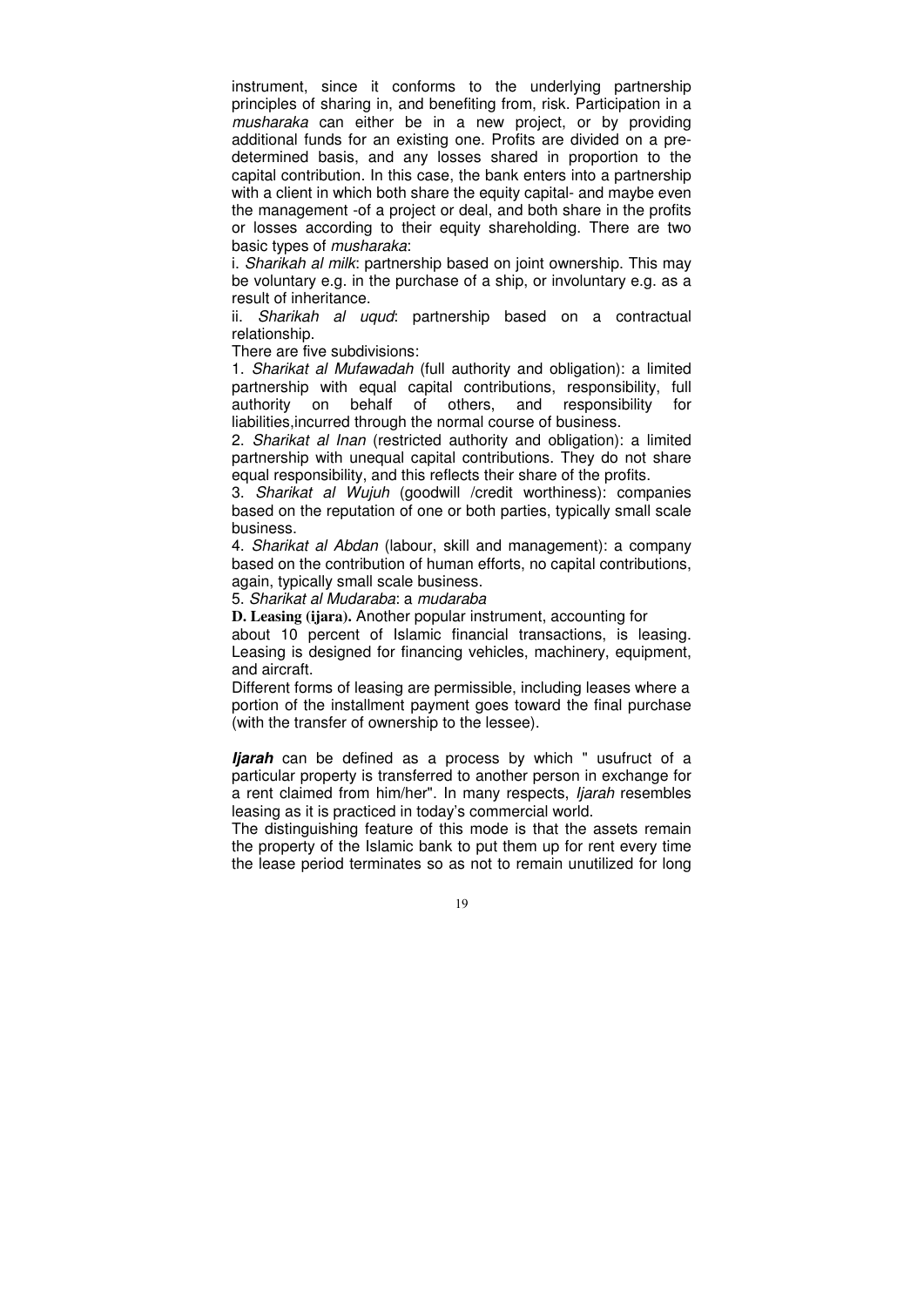instrument, since it conforms to the underlying partnership principles of sharing in, and benefiting from, risk. Participation in a musharaka can either be in a new project, or by providing additional funds for an existing one. Profits are divided on a predetermined basis, and any losses shared in proportion to the capital contribution. In this case, the bank enters into a partnership with a client in which both share the equity capital- and maybe even the management -of a project or deal, and both share in the profits or losses according to their equity shareholding. There are two basic types of musharaka:

i. Sharikah al milk: partnership based on joint ownership. This may be voluntary e.g. in the purchase of a ship, or involuntary e.g. as a result of inheritance.

ii. Sharikah al uqud: partnership based on a contractual relationship.

There are five subdivisions:

1. Sharikat al Mufawadah (full authority and obligation): a limited partnership with equal capital contributions, responsibility, full authority on behalf of others, and responsibility for liabilities,incurred through the normal course of business.

**Ijarah** can be defined as a process by which " usufruct of a particular property is transferred to another person in exchange for a rent claimed from him/her". In many respects, Ijarah resembles leasing as it is practiced in today's commercial world.

2. Sharikat al Inan (restricted authority and obligation): a limited partnership with unequal capital contributions. They do not share equal responsibility, and this reflects their share of the profits.

3. Sharikat al Wujuh (goodwill /credit worthiness): companies based on the reputation of one or both parties, typically small scale business.

4. Sharikat al Abdan (labour, skill and management): a company based on the contribution of human efforts, no capital contributions, again, typically small scale business.

5. Sharikat al Mudaraba: a mudaraba

D. Leasing (ijara). Another popular instrument, accounting for

about 10 percent of Islamic financial transactions, is leasing. Leasing is designed for financing vehicles, machinery, equipment, and aircraft.

Different forms of leasing are permissible, including leases where a portion of the installment payment goes toward the final purchase (with the transfer of ownership to the lessee).

The distinguishing feature of this mode is that the assets remain the property of the Islamic bank to put them up for rent every time the lease period terminates so as not to remain unutilized for long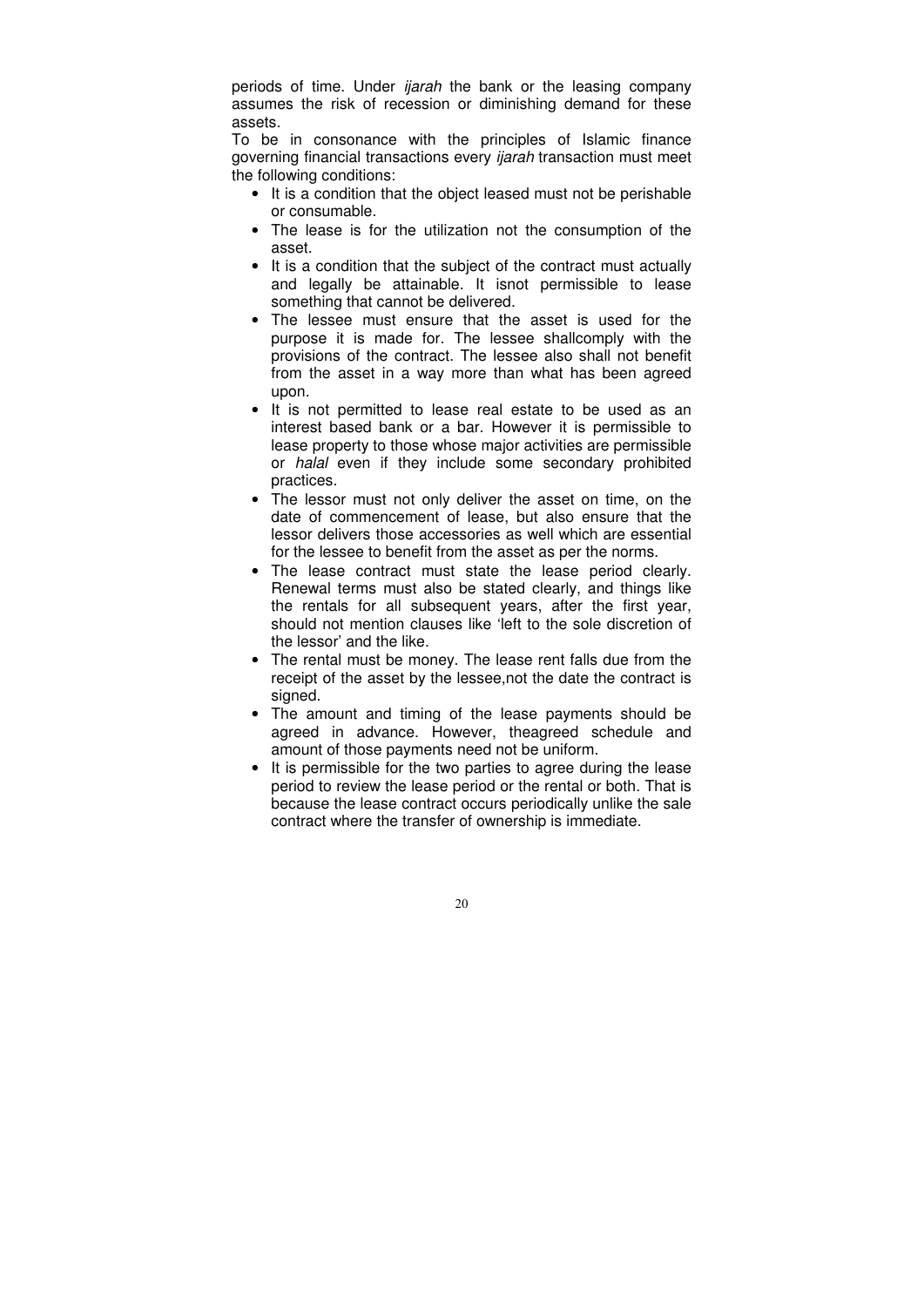periods of time. Under *ijarah* the bank or the leasing company assumes the risk of recession or diminishing demand for these assets.

To be in consonance with the principles of Islamic finance governing financial transactions every ijarah transaction must meet the following conditions:

- It is a condition that the object leased must not be perishable or consumable.
- The lease is for the utilization not the consumption of the asset.
- It is a condition that the subject of the contract must actually and legally be attainable. It isnot permissible to lease something that cannot be delivered.
- The lessee must ensure that the asset is used for the purpose it is made for. The lessee shallcomply with the provisions of the contract. The lessee also shall not benefit from the asset in a way more than what has been agreed upon.
- It is not permitted to lease real estate to be used as an interest based bank or a bar. However it is permissible to lease property to those whose major activities are permissible or halal even if they include some secondary prohibited practices.
- The lessor must not only deliver the asset on time, on the date of commencement of lease, but also ensure that the lessor delivers those accessories as well which are essential for the lessee to benefit from the asset as per the norms.
- The lease contract must state the lease period clearly. Renewal terms must also be stated clearly, and things like the rentals for all subsequent years, after the first year, should not mention clauses like 'left to the sole discretion of the lessor' and the like.
- The rental must be money. The lease rent falls due from the receipt of the asset by the lessee,not the date the contract is signed.
- The amount and timing of the lease payments should be agreed in advance. However, theagreed schedule and amount of those payments need not be uniform.
- It is permissible for the two parties to agree during the lease period to review the lease period or the rental or both. That is because the lease contract occurs periodically unlike the sale contract where the transfer of ownership is immediate.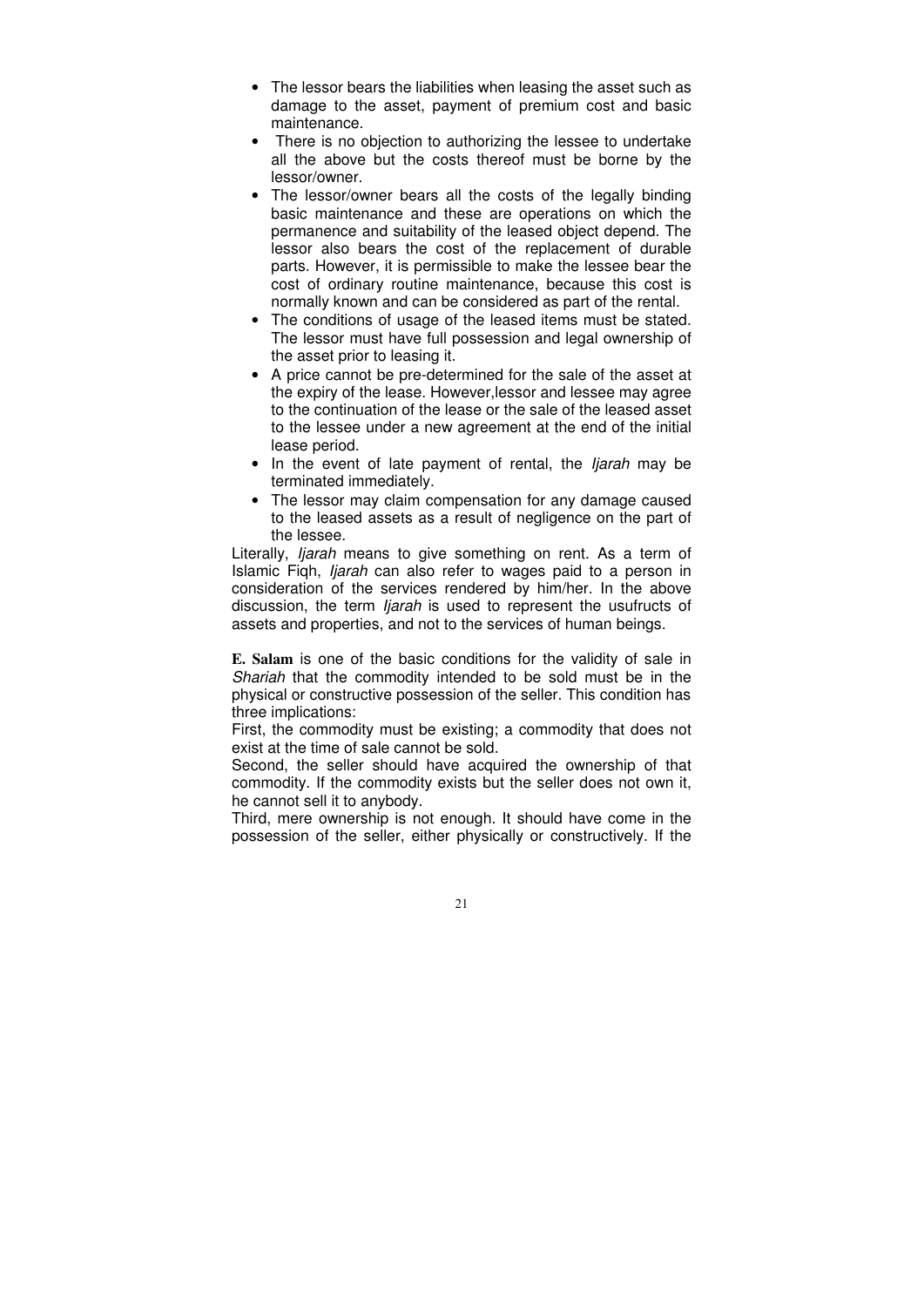- The lessor bears the liabilities when leasing the asset such as damage to the asset, payment of premium cost and basic maintenance.
- There is no objection to authorizing the lessee to undertake all the above but the costs thereof must be borne by the lessor/owner.
- The lessor/owner bears all the costs of the legally binding basic maintenance and these are operations on which the permanence and suitability of the leased object depend. The lessor also bears the cost of the replacement of durable parts. However, it is permissible to make the lessee bear the cost of ordinary routine maintenance, because this cost is normally known and can be considered as part of the rental.
- The conditions of usage of the leased items must be stated. The lessor must have full possession and legal ownership of the asset prior to leasing it.
- A price cannot be pre-determined for the sale of the asset at the expiry of the lease. However,lessor and lessee may agree to the continuation of the lease or the sale of the leased asset to the lessee under a new agreement at the end of the initial lease period.
- In the event of late payment of rental, the *ljarah* may be terminated immediately.
- The lessor may claim compensation for any damage caused to the leased assets as a result of negligence on the part of the lessee.

Literally, *liarah* means to give something on rent. As a term of Islamic Fiqh, Ijarah can also refer to wages paid to a person in consideration of the services rendered by him/her. In the above discussion, the term *liarah* is used to represent the usufructs of assets and properties, and not to the services of human beings.

E. Salam is one of the basic conditions for the validity of sale in Shariah that the commodity intended to be sold must be in the physical or constructive possession of the seller. This condition has three implications:

First, the commodity must be existing; a commodity that does not exist at the time of sale cannot be sold.

Second, the seller should have acquired the ownership of that commodity. If the commodity exists but the seller does not own it, he cannot sell it to anybody.

Third, mere ownership is not enough. It should have come in the possession of the seller, either physically or constructively. If the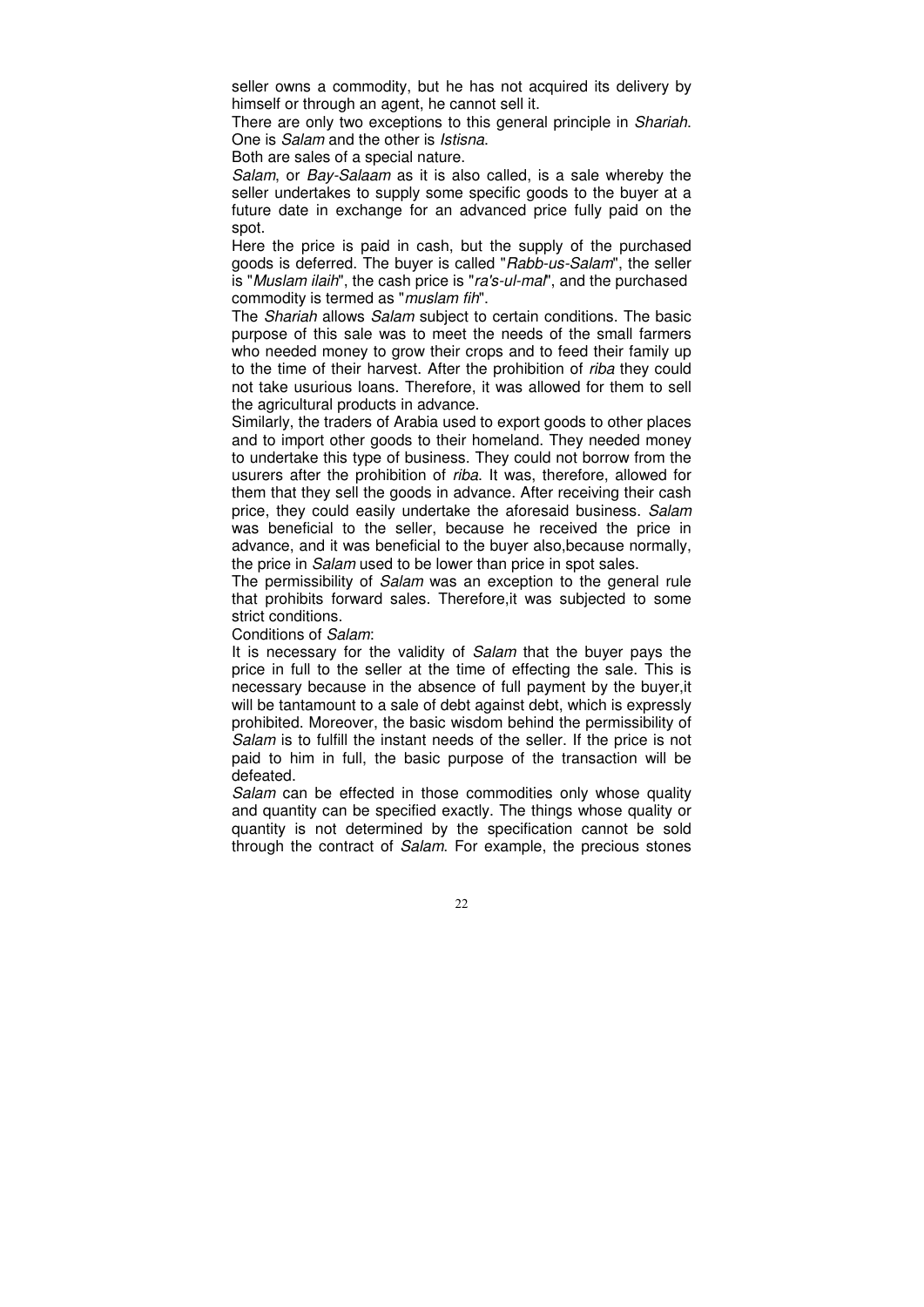seller owns a commodity, but he has not acquired its delivery by himself or through an agent, he cannot sell it.

There are only two exceptions to this general principle in Shariah. One is Salam and the other is Istisna.

Both are sales of a special nature.

Salam, or Bay-Salaam as it is also called, is a sale whereby the seller undertakes to supply some specific goods to the buyer at a future date in exchange for an advanced price fully paid on the spot.

Here the price is paid in cash, but the supply of the purchased goods is deferred. The buyer is called "Rabb-us-Salam", the seller is "Muslam ilaih", the cash price is "ra's-ul-mal", and the purchased commodity is termed as "muslam fih".

The Shariah allows Salam subject to certain conditions. The basic purpose of this sale was to meet the needs of the small farmers who needed money to grow their crops and to feed their family up to the time of their harvest. After the prohibition of riba they could not take usurious loans. Therefore, it was allowed for them to sell the agricultural products in advance.

The permissibility of *Salam* was an exception to the general rule that prohibits forward sales. Therefore,it was subjected to some strict conditions.

It is necessary for the validity of Salam that the buyer pays the price in full to the seller at the time of effecting the sale. This is necessary because in the absence of full payment by the buyer,it will be tantamount to a sale of debt against debt, which is expressly prohibited. Moreover, the basic wisdom behind the permissibility of Salam is to fulfill the instant needs of the seller. If the price is not paid to him in full, the basic purpose of the transaction will be defeated.

Similarly, the traders of Arabia used to export goods to other places and to import other goods to their homeland. They needed money to undertake this type of business. They could not borrow from the usurers after the prohibition of riba. It was, therefore, allowed for them that they sell the goods in advance. After receiving their cash price, they could easily undertake the aforesaid business. Salam was beneficial to the seller, because he received the price in advance, and it was beneficial to the buyer also,because normally, the price in Salam used to be lower than price in spot sales.

Conditions of Salam:

Salam can be effected in those commodities only whose quality and quantity can be specified exactly. The things whose quality or quantity is not determined by the specification cannot be sold through the contract of Salam. For example, the precious stones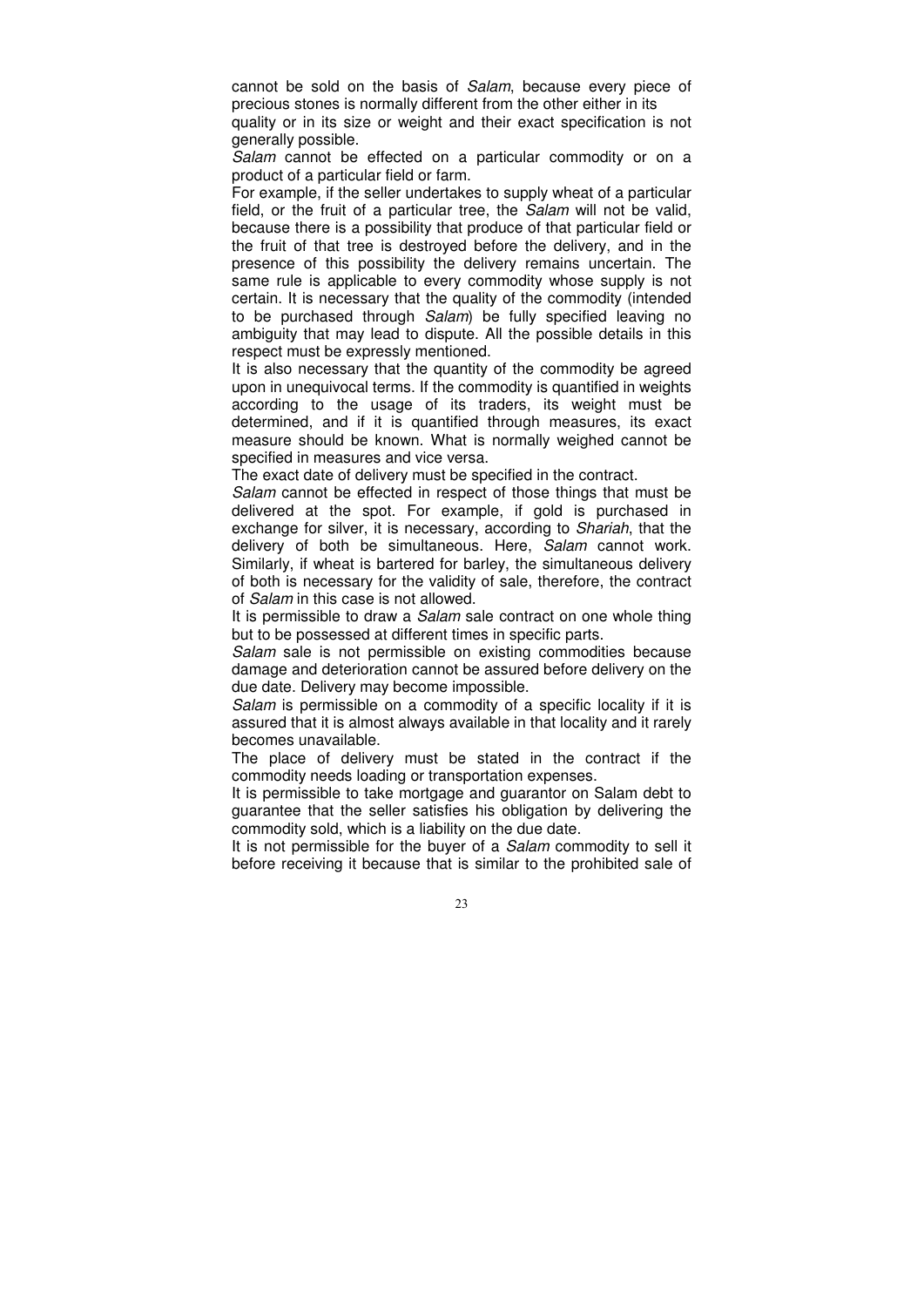precious stones is normally different from the other either in its

quality or in its size or weight and their exact specification is not generally possible.

Salam cannot be effected on a particular commodity or on a product of a particular field or farm.

cannot be sold on the basis of Salam, because every piece of<br>cannot be sold on the basis of Salam, because every piece of<br>grecious stones is normally different from the streat specification is not<br>grandmannot be effected o For example, if the seller undertakes to supply wheat of a particular field, or the fruit of a particular tree, the Salam will not be valid, because there is a possibility that produce of that particular field or the fruit of that tree is destroyed before the delivery, and in the presence of this possibility the delivery remains uncertain. The same rule is applicable to every commodity whose supply is not certain. It is necessary that the quality of the commodity (intended to be purchased through Salam) be fully specified leaving no ambiguity that may lead to dispute. All the possible details in this respect must be expressly mentioned.

It is permissible to draw a *Salam* sale contract on one whole thing but to be possessed at different times in specific parts.

It is also necessary that the quantity of the commodity be agreed upon in unequivocal terms. If the commodity is quantified in weights according to the usage of its traders, its weight must be determined, and if it is quantified through measures, its exact measure should be known. What is normally weighed cannot be specified in measures and vice versa.

The exact date of delivery must be specified in the contract.

It is not permissible for the buyer of a *Salam* commodity to sell it before receiving it because that is similar to the prohibited sale of

Salam cannot be effected in respect of those things that must be delivered at the spot. For example, if gold is purchased in exchange for silver, it is necessary, according to Shariah, that the delivery of both be simultaneous. Here, Salam cannot work. Similarly, if wheat is bartered for barley, the simultaneous delivery of both is necessary for the validity of sale, therefore, the contract of Salam in this case is not allowed.

Salam sale is not permissible on existing commodities because damage and deterioration cannot be assured before delivery on the due date. Delivery may become impossible.

Salam is permissible on a commodity of a specific locality if it is assured that it is almost always available in that locality and it rarely becomes unavailable.

The place of delivery must be stated in the contract if the commodity needs loading or transportation expenses.

It is permissible to take mortgage and guarantor on Salam debt to guarantee that the seller satisfies his obligation by delivering the commodity sold, which is a liability on the due date.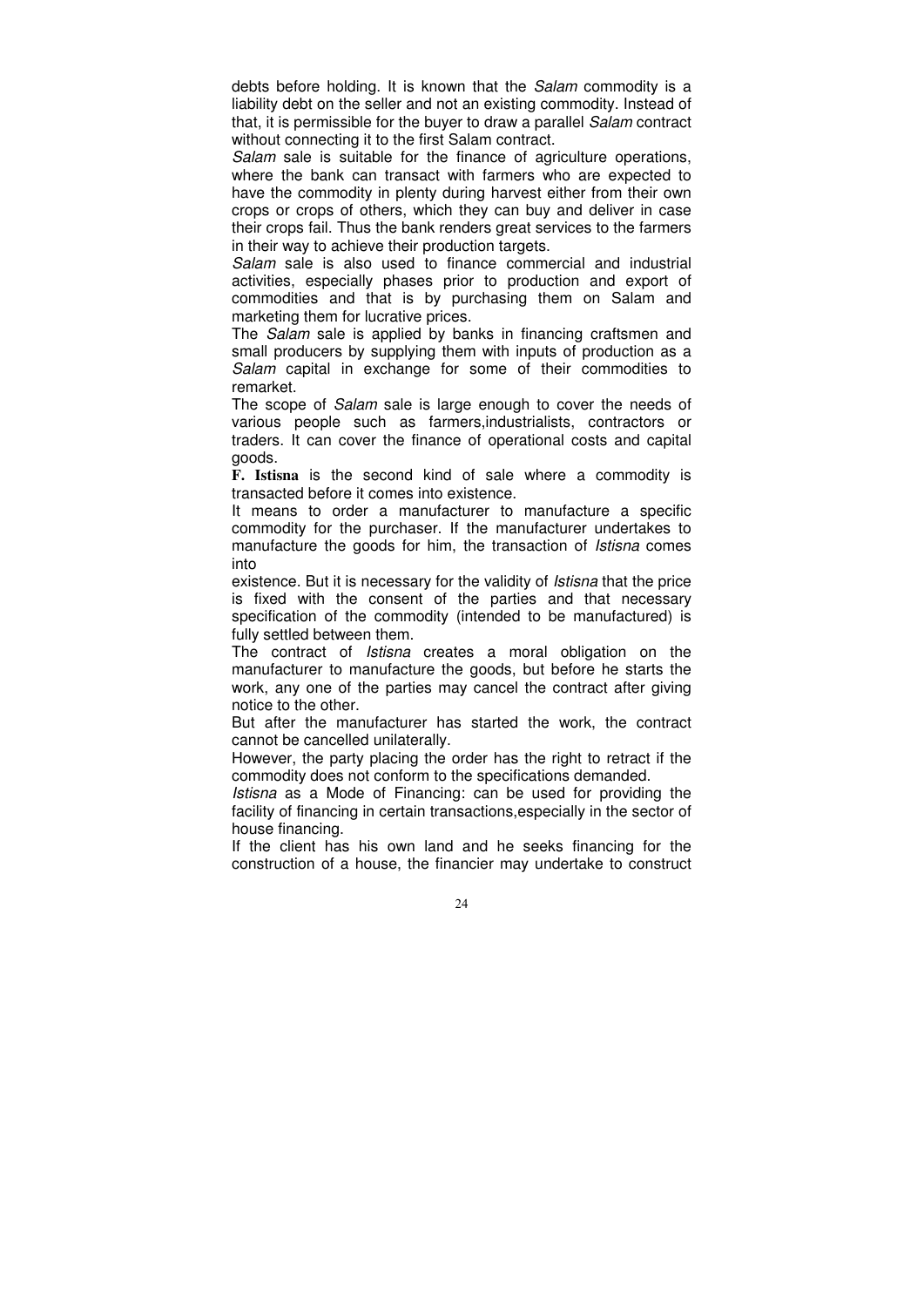debts before holding. It is known that the Salam commodity is a liability debt on the seller and not an existing commodity. Instead of that, it is permissible for the buyer to draw a parallel Salam contract without connecting it to the first Salam contract.

Salam sale is suitable for the finance of agriculture operations, where the bank can transact with farmers who are expected to have the commodity in plenty during harvest either from their own crops or crops of others, which they can buy and deliver in case their crops fail. Thus the bank renders great services to the farmers in their way to achieve their production targets.

The scope of *Salam* sale is large enough to cover the needs of various people such as farmers,industrialists, contractors or traders. It can cover the finance of operational costs and capital goods.

Salam sale is also used to finance commercial and industrial activities, especially phases prior to production and export of commodities and that is by purchasing them on Salam and marketing them for lucrative prices.

The Salam sale is applied by banks in financing craftsmen and small producers by supplying them with inputs of production as a Salam capital in exchange for some of their commodities to remarket.

F. Istisna is the second kind of sale where a commodity is transacted before it comes into existence.

It means to order a manufacturer to manufacture a specific commodity for the purchaser. If the manufacturer undertakes to manufacture the goods for him, the transaction of *Istisna* comes into

existence. But it is necessary for the validity of Istisna that the price is fixed with the consent of the parties and that necessary specification of the commodity (intended to be manufactured) is fully settled between them.

The contract of Istisna creates a moral obligation on the manufacturer to manufacture the goods, but before he starts the work, any one of the parties may cancel the contract after giving notice to the other.

But after the manufacturer has started the work, the contract cannot be cancelled unilaterally.

However, the party placing the order has the right to retract if the commodity does not conform to the specifications demanded.

Istisna as a Mode of Financing: can be used for providing the facility of financing in certain transactions,especially in the sector of house financing.

If the client has his own land and he seeks financing for the construction of a house, the financier may undertake to construct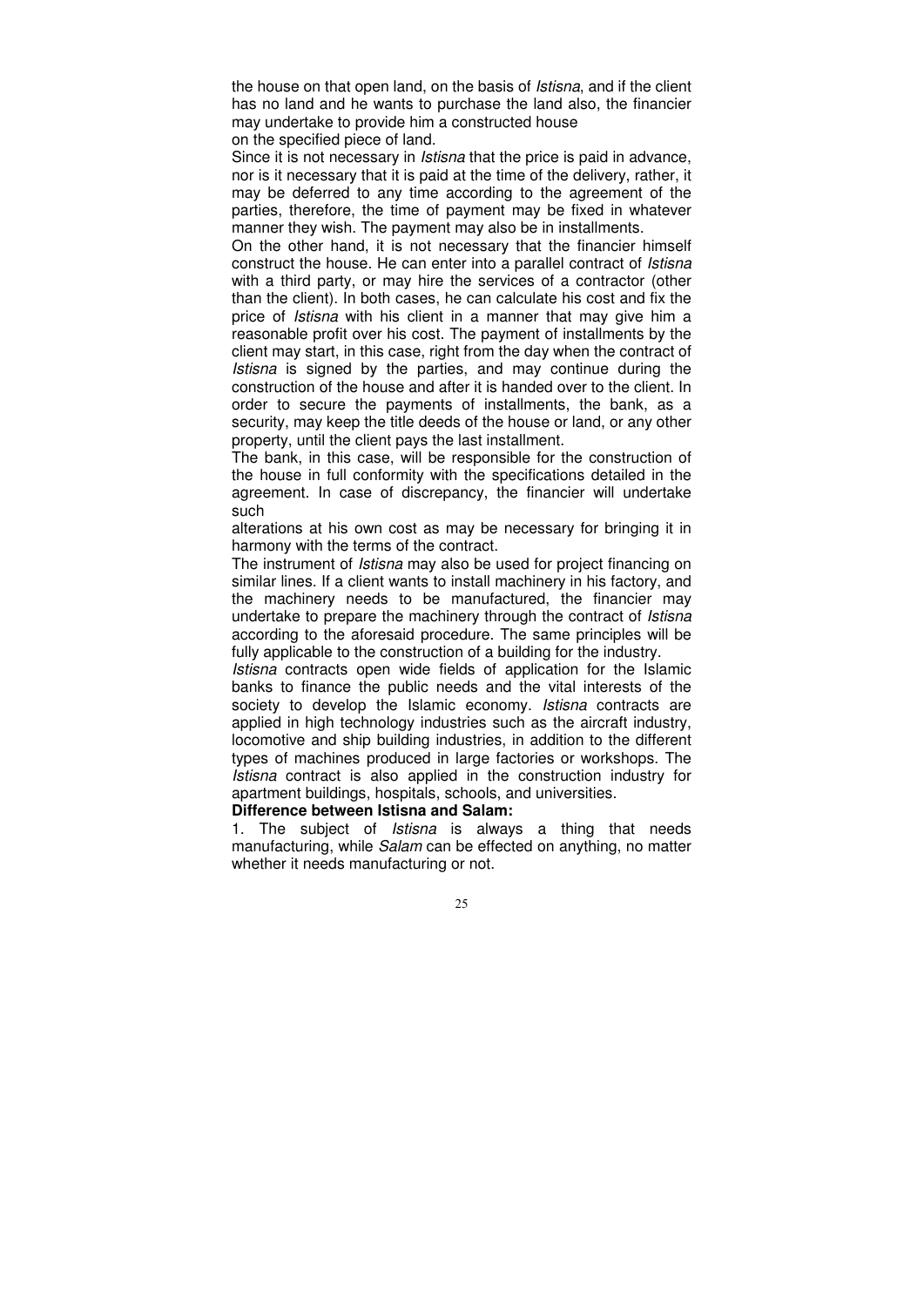the house on that open land, on the basis of Istisna, and if the client has no land and he wants to purchase the land also, the financier may undertake to provide him a constructed house on the specified piece of land.

Since it is not necessary in Istisna that the price is paid in advance, nor is it necessary that it is paid at the time of the delivery, rather, it may be deferred to any time according to the agreement of the parties, therefore, the time of payment may be fixed in whatever manner they wish. The payment may also be in installments.

On the other hand, it is not necessary that the financier himself construct the house. He can enter into a parallel contract of Istisna with a third party, or may hire the services of a contractor (other than the client). In both cases, he can calculate his cost and fix the price of *Istisna* with his client in a manner that may give him a reasonable profit over his cost. The payment of installments by the client may start, in this case, right from the day when the contract of Istisna is signed by the parties, and may continue during the construction of the house and after it is handed over to the client. In order to secure the payments of installments, the bank, as a security, may keep the title deeds of the house or land, or any other property, until the client pays the last installment.

The instrument of *Istisna* may also be used for project financing on similar lines. If a client wants to install machinery in his factory, and the machinery needs to be manufactured, the financier may undertake to prepare the machinery through the contract of Istisna according to the aforesaid procedure. The same principles will be fully applicable to the construction of a building for the industry.

The bank, in this case, will be responsible for the construction of the house in full conformity with the specifications detailed in the agreement. In case of discrepancy, the financier will undertake such

alterations at his own cost as may be necessary for bringing it in harmony with the terms of the contract.

Istisna contracts open wide fields of application for the Islamic banks to finance the public needs and the vital interests of the society to develop the Islamic economy. *Istisna* contracts are applied in high technology industries such as the aircraft industry, locomotive and ship building industries, in addition to the different types of machines produced in large factories or workshops. The Istisna contract is also applied in the construction industry for apartment buildings, hospitals, schools, and universities.

#### Difference between Istisna and Salam:

1. The subject of *Istisna* is always a thing that needs manufacturing, while Salam can be effected on anything, no matter whether it needs manufacturing or not.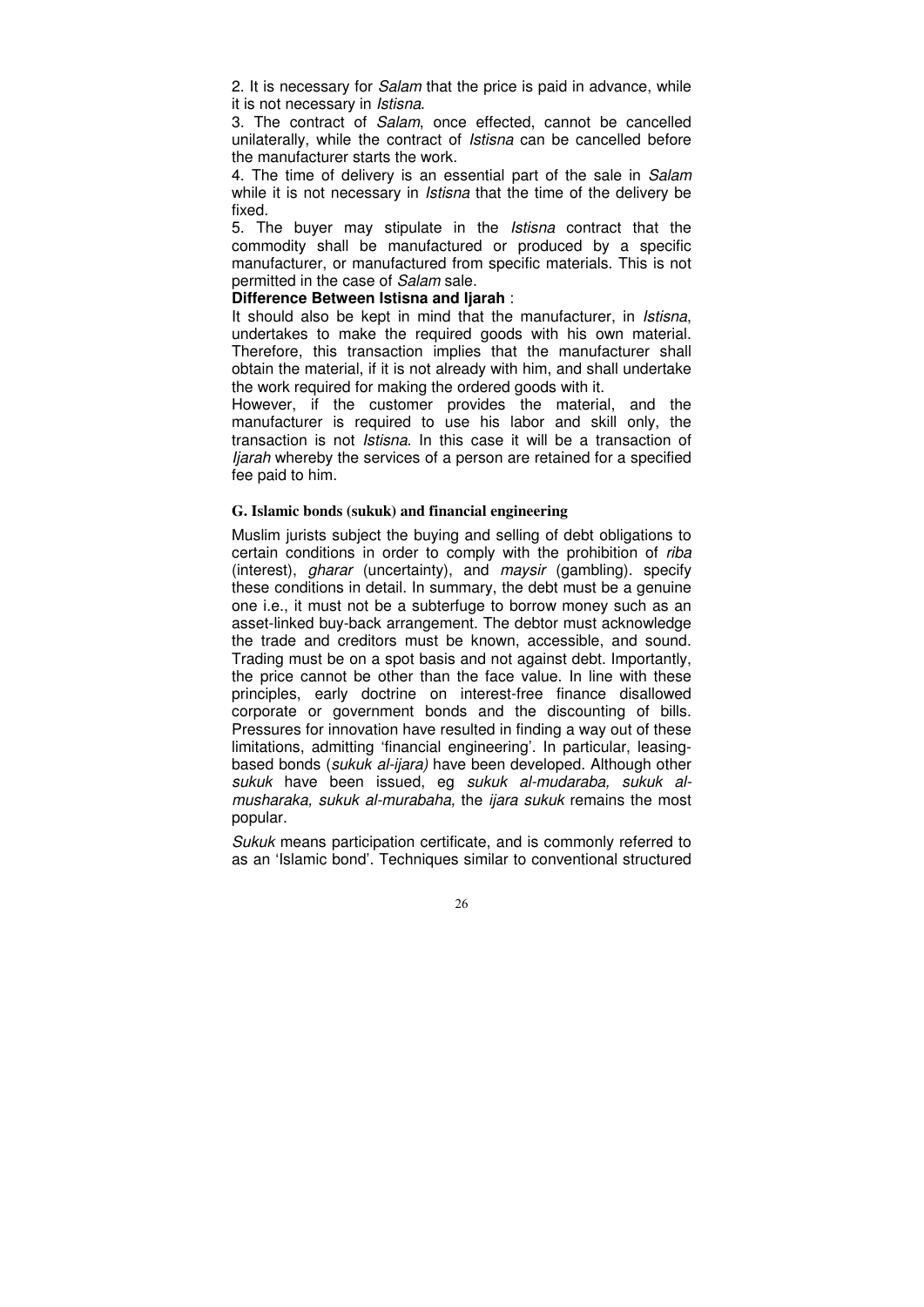2. It is necessary for *Salam* that the price is paid in advance, while it is not necessary in Istisna.

3. The contract of Salam, once effected, cannot be cancelled unilaterally, while the contract of Istisna can be cancelled before the manufacturer starts the work.

4. The time of delivery is an essential part of the sale in Salam while it is not necessary in *Istisna* that the time of the delivery be fixed.

5. The buyer may stipulate in the Istisna contract that the commodity shall be manufactured or produced by a specific manufacturer, or manufactured from specific materials. This is not permitted in the case of Salam sale.

#### Difference Between Istisna and Ijarah :

It should also be kept in mind that the manufacturer, in Istisna, undertakes to make the required goods with his own material. Therefore, this transaction implies that the manufacturer shall obtain the material, if it is not already with him, and shall undertake the work required for making the ordered goods with it.

However, if the customer provides the material, and the manufacturer is required to use his labor and skill only, the transaction is not Istisna. In this case it will be a transaction of Ijarah whereby the services of a person are retained for a specified fee paid to him.

#### G. Islamic bonds (sukuk) and financial engineering

Muslim jurists subject the buying and selling of debt obligations to certain conditions in order to comply with the prohibition of riba (interest), gharar (uncertainty), and maysir (gambling). specify these conditions in detail. In summary, the debt must be a genuine one i.e., it must not be a subterfuge to borrow money such as an asset-linked buy-back arrangement. The debtor must acknowledge the trade and creditors must be known, accessible, and sound. Trading must be on a spot basis and not against debt. Importantly, the price cannot be other than the face value. In line with these principles, early doctrine on interest-free finance disallowed corporate or government bonds and the discounting of bills. Pressures for innovation have resulted in finding a way out of these limitations, admitting 'financial engineering'. In particular, leasingbased bonds (sukuk al-ijara) have been developed. Although other sukuk have been issued, eg sukuk al-mudaraba, sukuk almusharaka, sukuk al-murabaha, the ijara sukuk remains the most popular.

Sukuk means participation certificate, and is commonly referred to as an 'Islamic bond'. Techniques similar to conventional structured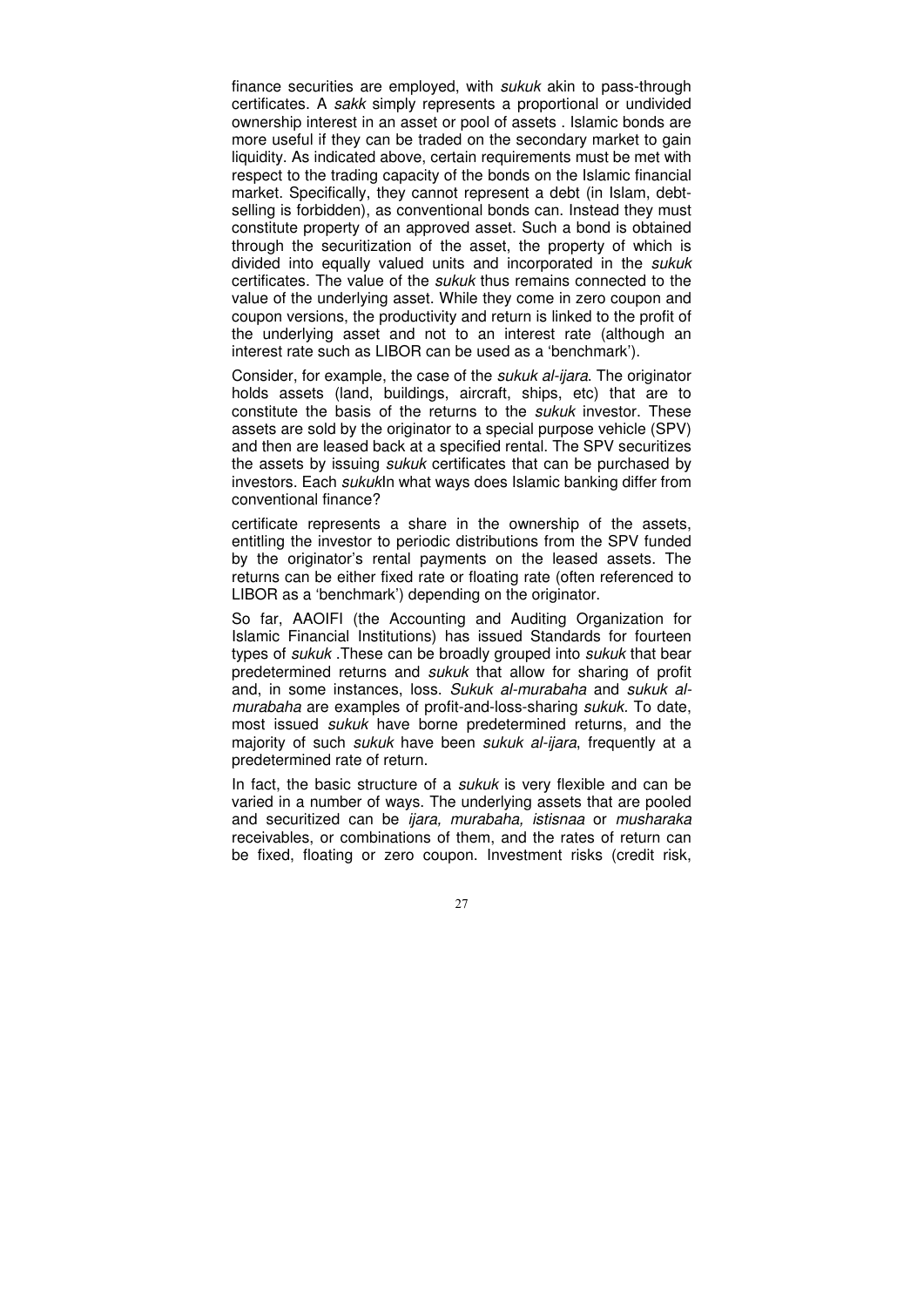finance securities are employed, with sukuk akin to pass-through certificates. A sakk simply represents a proportional or undivided ownership interest in an asset or pool of assets . Islamic bonds are more useful if they can be traded on the secondary market to gain liquidity. As indicated above, certain requirements must be met with respect to the trading capacity of the bonds on the Islamic financial market. Specifically, they cannot represent a debt (in Islam, debtselling is forbidden), as conventional bonds can. Instead they must constitute property of an approved asset. Such a bond is obtained through the securitization of the asset, the property of which is divided into equally valued units and incorporated in the sukuk certificates. The value of the sukuk thus remains connected to the value of the underlying asset. While they come in zero coupon and coupon versions, the productivity and return is linked to the profit of the underlying asset and not to an interest rate (although an interest rate such as LIBOR can be used as a 'benchmark').

Consider, for example, the case of the sukuk al-ijara. The originator holds assets (land, buildings, aircraft, ships, etc) that are to constitute the basis of the returns to the sukuk investor. These assets are sold by the originator to a special purpose vehicle (SPV) and then are leased back at a specified rental. The SPV securitizes the assets by issuing *sukuk* certificates that can be purchased by investors. Each *sukuk*In what ways does Islamic banking differ from conventional finance?

In fact, the basic structure of a *sukuk* is very flexible and can be varied in a number of ways. The underlying assets that are pooled and securitized can be ijara, murabaha, istisnaa or musharaka receivables, or combinations of them, and the rates of return can be fixed, floating or zero coupon. Investment risks (credit risk,

certificate represents a share in the ownership of the assets, entitling the investor to periodic distributions from the SPV funded by the originator's rental payments on the leased assets. The returns can be either fixed rate or floating rate (often referenced to LIBOR as a 'benchmark') depending on the originator.

So far, AAOIFI (the Accounting and Auditing Organization for Islamic Financial Institutions) has issued Standards for fourteen types of sukuk .These can be broadly grouped into sukuk that bear predetermined returns and sukuk that allow for sharing of profit and, in some instances, loss. Sukuk al-murabaha and sukuk almurabaha are examples of profit-and-loss-sharing sukuk. To date, most issued sukuk have borne predetermined returns, and the majority of such *sukuk* have been *sukuk al-ijara*, frequently at a predetermined rate of return.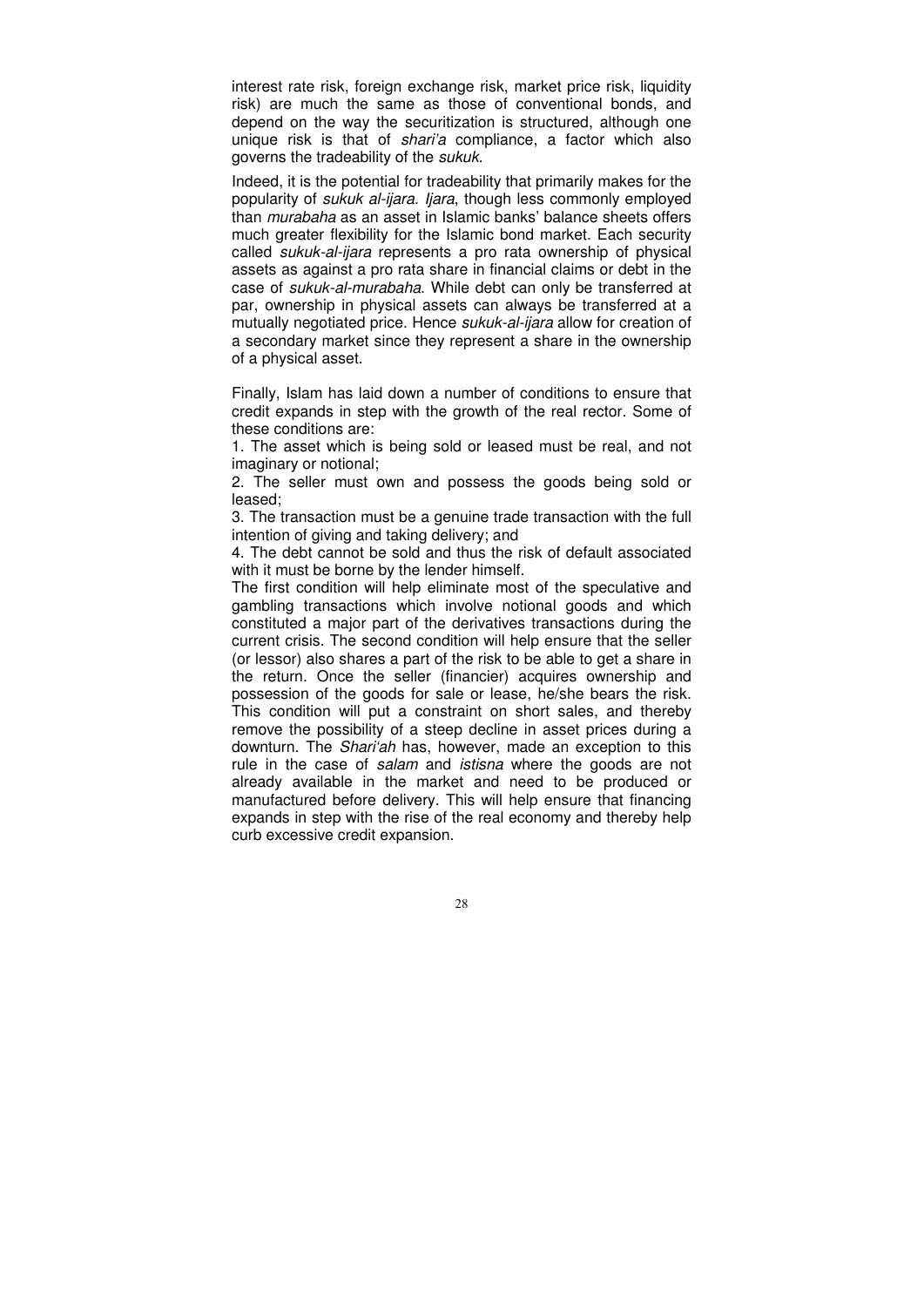interest rate risk, foreign exchange risk, market price risk, liquidity risk) are much the same as those of conventional bonds, and depend on the way the securitization is structured, although one unique risk is that of shari'a compliance, a factor which also governs the tradeability of the sukuk.

Indeed, it is the potential for tradeability that primarily makes for the popularity of sukuk al-ijara. Ijara, though less commonly employed than murabaha as an asset in Islamic banks' balance sheets offers much greater flexibility for the Islamic bond market. Each security called sukuk-al-ijara represents a pro rata ownership of physical assets as against a pro rata share in financial claims or debt in the case of sukuk-al-murabaha. While debt can only be transferred at par, ownership in physical assets can always be transferred at a mutually negotiated price. Hence *sukuk-al-ijara* allow for creation of a secondary market since they represent a share in the ownership of a physical asset.

Finally, Islam has laid down a number of conditions to ensure that credit expands in step with the growth of the real rector. Some of these conditions are:

1. The asset which is being sold or leased must be real, and not imaginary or notional;

2. The seller must own and possess the goods being sold or leased;

3. The transaction must be a genuine trade transaction with the full intention of giving and taking delivery; and

4. The debt cannot be sold and thus the risk of default associated with it must be borne by the lender himself.

The first condition will help eliminate most of the speculative and gambling transactions which involve notional goods and which constituted a major part of the derivatives transactions during the current crisis. The second condition will help ensure that the seller (or lessor) also shares a part of the risk to be able to get a share in the return. Once the seller (financier) acquires ownership and possession of the goods for sale or lease, he/she bears the risk. This condition will put a constraint on short sales, and thereby remove the possibility of a steep decline in asset prices during a downturn. The *Shari'ah* has, however, made an exception to this rule in the case of salam and *istisna* where the goods are not already available in the market and need to be produced or manufactured before delivery. This will help ensure that financing expands in step with the rise of the real economy and thereby help curb excessive credit expansion.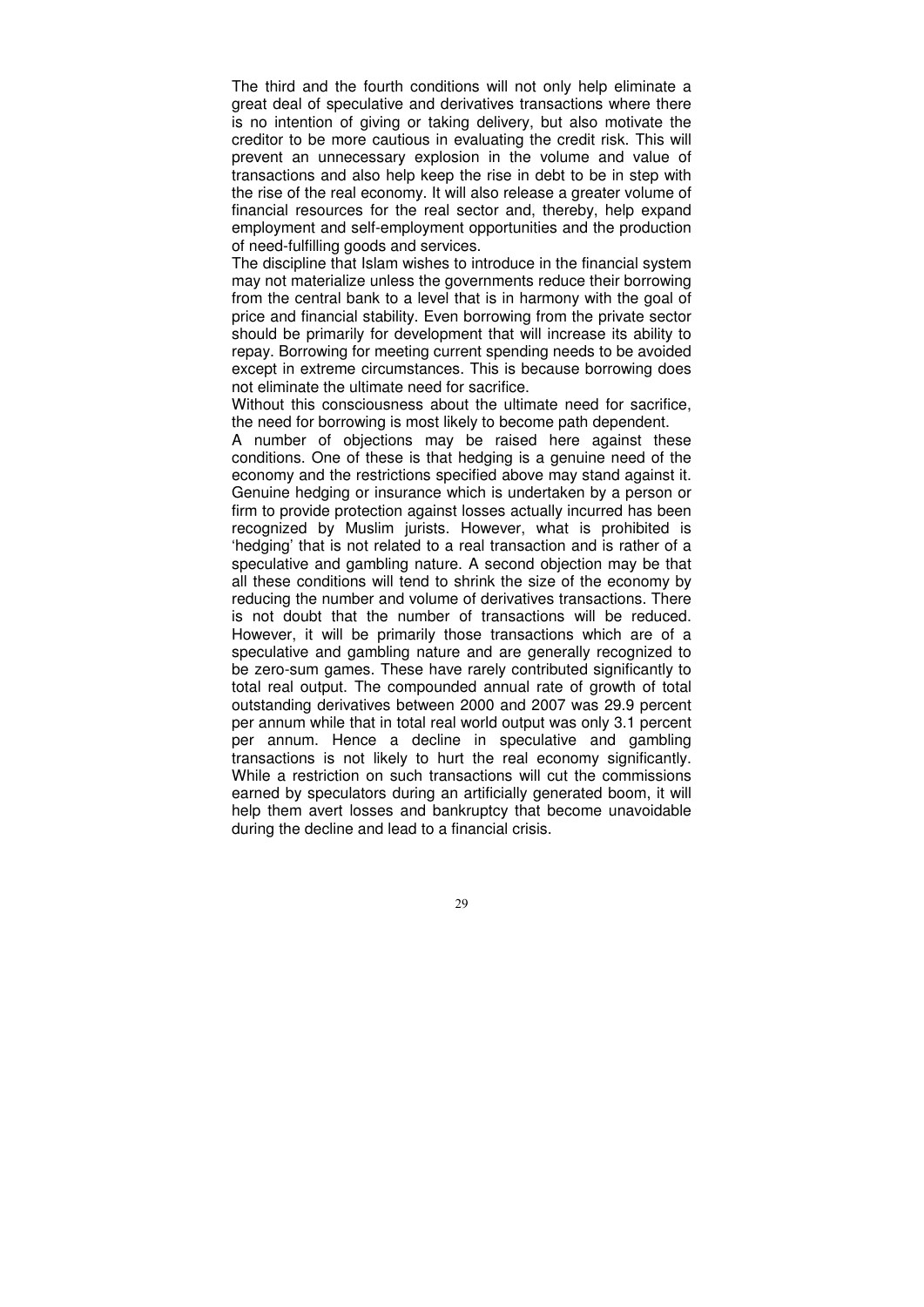The third and the fourth conditions will not only help eliminate a great deal of speculative and derivatives transactions where there is no intention of giving or taking delivery, but also motivate the creditor to be more cautious in evaluating the credit risk. This will prevent an unnecessary explosion in the volume and value of transactions and also help keep the rise in debt to be in step with the rise of the real economy. It will also release a greater volume of financial resources for the real sector and, thereby, help expand employment and self-employment opportunities and the production of need-fulfilling goods and services.

The discipline that Islam wishes to introduce in the financial system may not materialize unless the governments reduce their borrowing from the central bank to a level that is in harmony with the goal of price and financial stability. Even borrowing from the private sector should be primarily for development that will increase its ability to repay. Borrowing for meeting current spending needs to be avoided except in extreme circumstances. This is because borrowing does not eliminate the ultimate need for sacrifice.

Without this consciousness about the ultimate need for sacrifice, the need for borrowing is most likely to become path dependent.

A number of objections may be raised here against these conditions. One of these is that hedging is a genuine need of the economy and the restrictions specified above may stand against it. Genuine hedging or insurance which is undertaken by a person or firm to provide protection against losses actually incurred has been recognized by Muslim jurists. However, what is prohibited is 'hedging' that is not related to a real transaction and is rather of a speculative and gambling nature. A second objection may be that all these conditions will tend to shrink the size of the economy by reducing the number and volume of derivatives transactions. There is not doubt that the number of transactions will be reduced. However, it will be primarily those transactions which are of a speculative and gambling nature and are generally recognized to be zero-sum games. These have rarely contributed significantly to total real output. The compounded annual rate of growth of total outstanding derivatives between 2000 and 2007 was 29.9 percent per annum while that in total real world output was only 3.1 percent per annum. Hence a decline in speculative and gambling transactions is not likely to hurt the real economy significantly. While a restriction on such transactions will cut the commissions earned by speculators during an artificially generated boom, it will help them avert losses and bankruptcy that become unavoidable during the decline and lead to a financial crisis.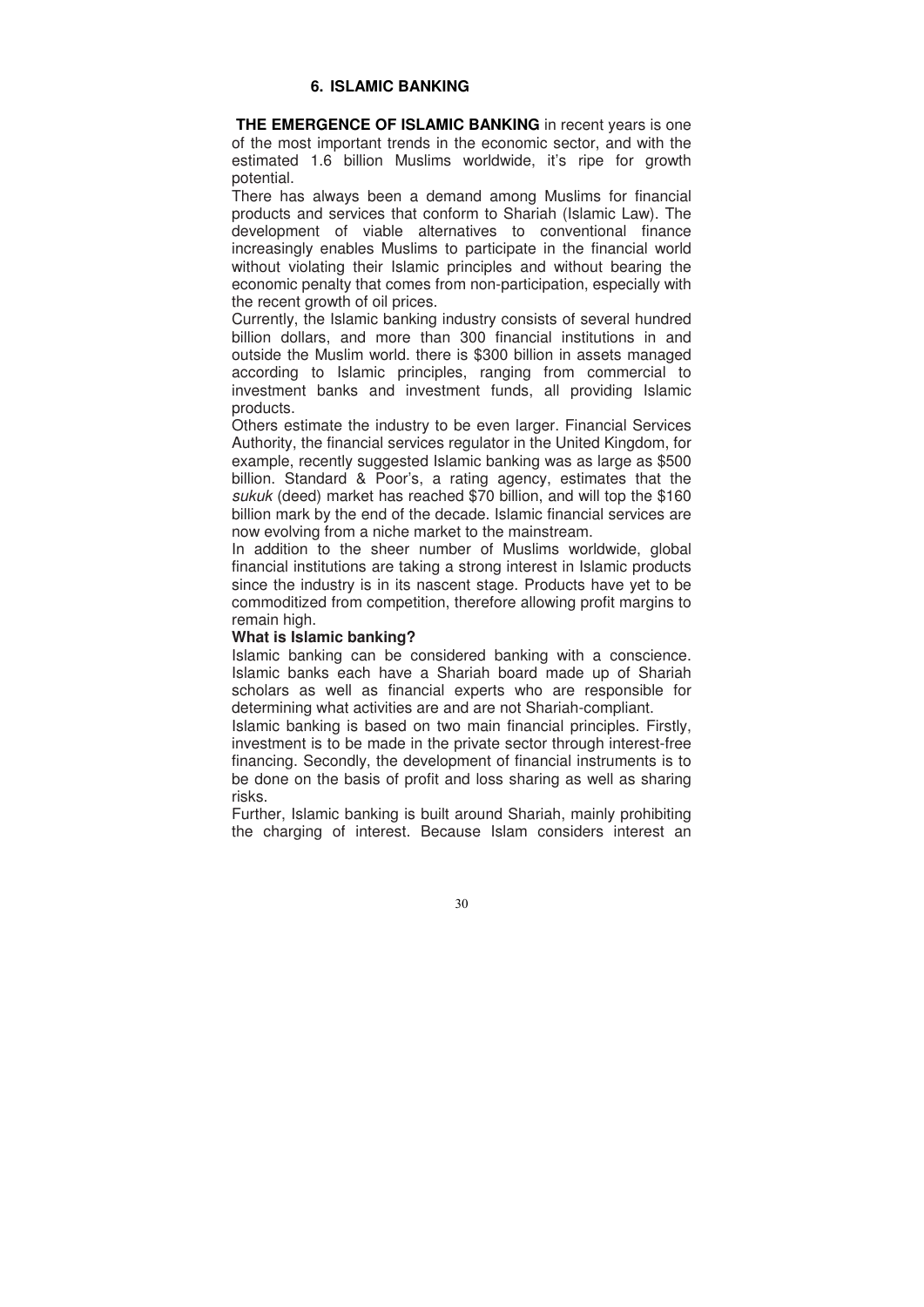# 6. ISLAMIC BANKING

**THE EMERGENCE OF ISLAMIC BANKING** in recent years is one of the most important trends in the economic sector, and with the estimated 1.6 billion Muslims worldwide, it's ripe for growth potential.

There has always been a demand among Muslims for financial products and services that conform to Shariah (Islamic Law). The development of viable alternatives to conventional finance increasingly enables Muslims to participate in the financial world without violating their Islamic principles and without bearing the economic penalty that comes from non-participation, especially with the recent growth of oil prices.

Currently, the Islamic banking industry consists of several hundred billion dollars, and more than 300 financial institutions in and outside the Muslim world. there is \$300 billion in assets managed according to Islamic principles, ranging from commercial to investment banks and investment funds, all providing Islamic products.

Others estimate the industry to be even larger. Financial Services Authority, the financial services regulator in the United Kingdom, for example, recently suggested Islamic banking was as large as \$500 billion. Standard & Poor's, a rating agency, estimates that the sukuk (deed) market has reached \$70 billion, and will top the \$160 billion mark by the end of the decade. Islamic financial services are now evolving from a niche market to the mainstream.

In addition to the sheer number of Muslims worldwide, global financial institutions are taking a strong interest in Islamic products since the industry is in its nascent stage. Products have yet to be commoditized from competition, therefore allowing profit margins to remain high.

#### What is Islamic banking?

Islamic banking can be considered banking with a conscience. Islamic banks each have a Shariah board made up of Shariah scholars as well as financial experts who are responsible for determining what activities are and are not Shariah-compliant.

Islamic banking is based on two main financial principles. Firstly, investment is to be made in the private sector through interest-free financing. Secondly, the development of financial instruments is to be done on the basis of profit and loss sharing as well as sharing risks.

Further, Islamic banking is built around Shariah, mainly prohibiting the charging of interest. Because Islam considers interest an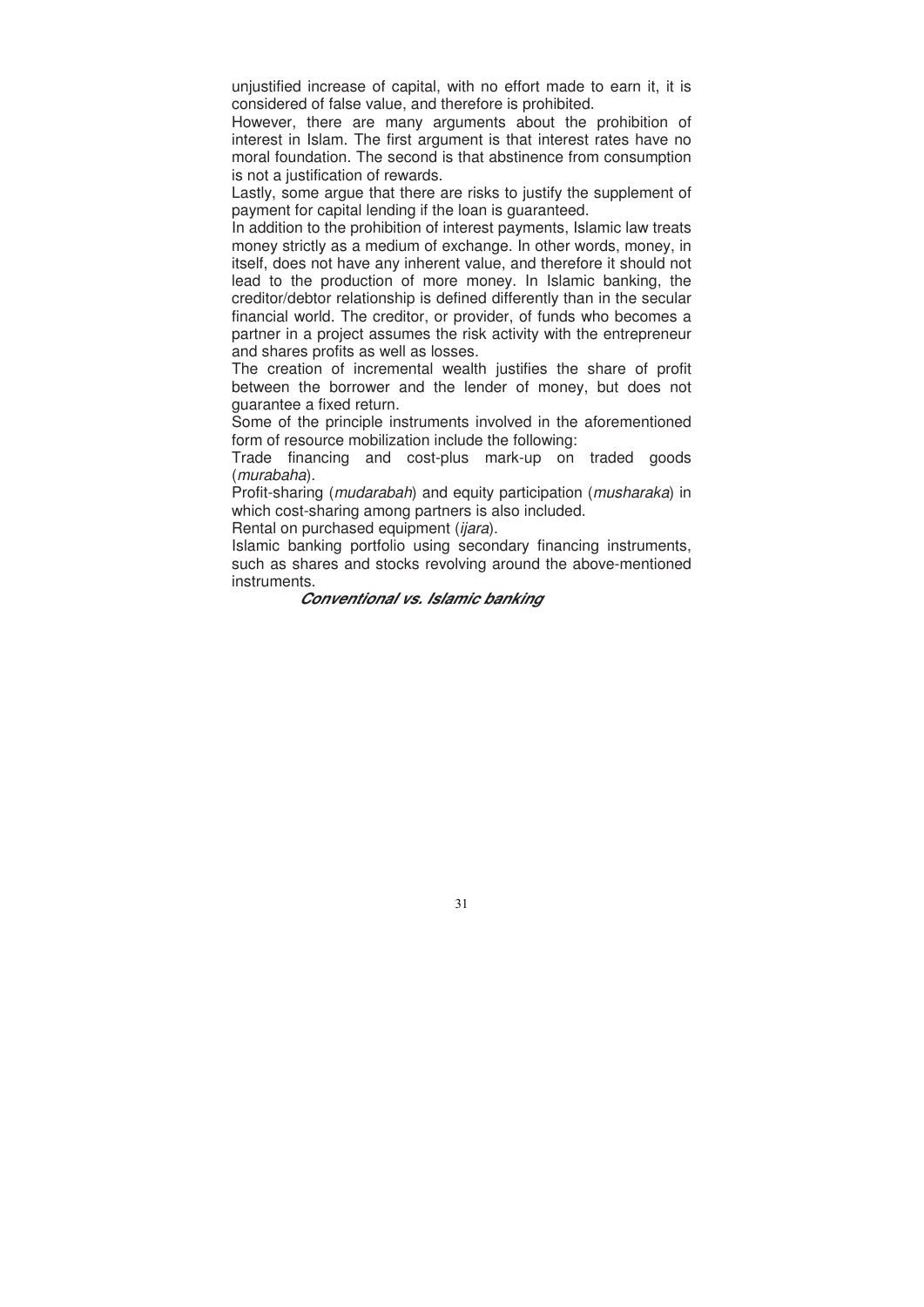unjustified increase of capital, with no effort made to earn it, it is considered of false value, and therefore is prohibited.

However, there are many arguments about the prohibition of interest in Islam. The first argument is that interest rates have no moral foundation. The second is that abstinence from consumption is not a justification of rewards.

Lastly, some argue that there are risks to justify the supplement of payment for capital lending if the loan is guaranteed.

In addition to the prohibition of interest payments, Islamic law treats money strictly as a medium of exchange. In other words, money, in itself, does not have any inherent value, and therefore it should not lead to the production of more money. In Islamic banking, the creditor/debtor relationship is defined differently than in the secular financial world. The creditor, or provider, of funds who becomes a partner in a project assumes the risk activity with the entrepreneur and shares profits as well as losses.

The creation of incremental wealth justifies the share of profit between the borrower and the lender of money, but does not guarantee a fixed return.

Some of the principle instruments involved in the aforementioned form of resource mobilization include the following:

Trade financing and cost-plus mark-up on traded goods (murabaha).

Profit-sharing (mudarabah) and equity participation (musharaka) in which cost-sharing among partners is also included.

Rental on purchased equipment *(ijara)*.

Islamic banking portfolio using secondary financing instruments, such as shares and stocks revolving around the above-mentioned instruments.

#### Conventional vs. Islamic banking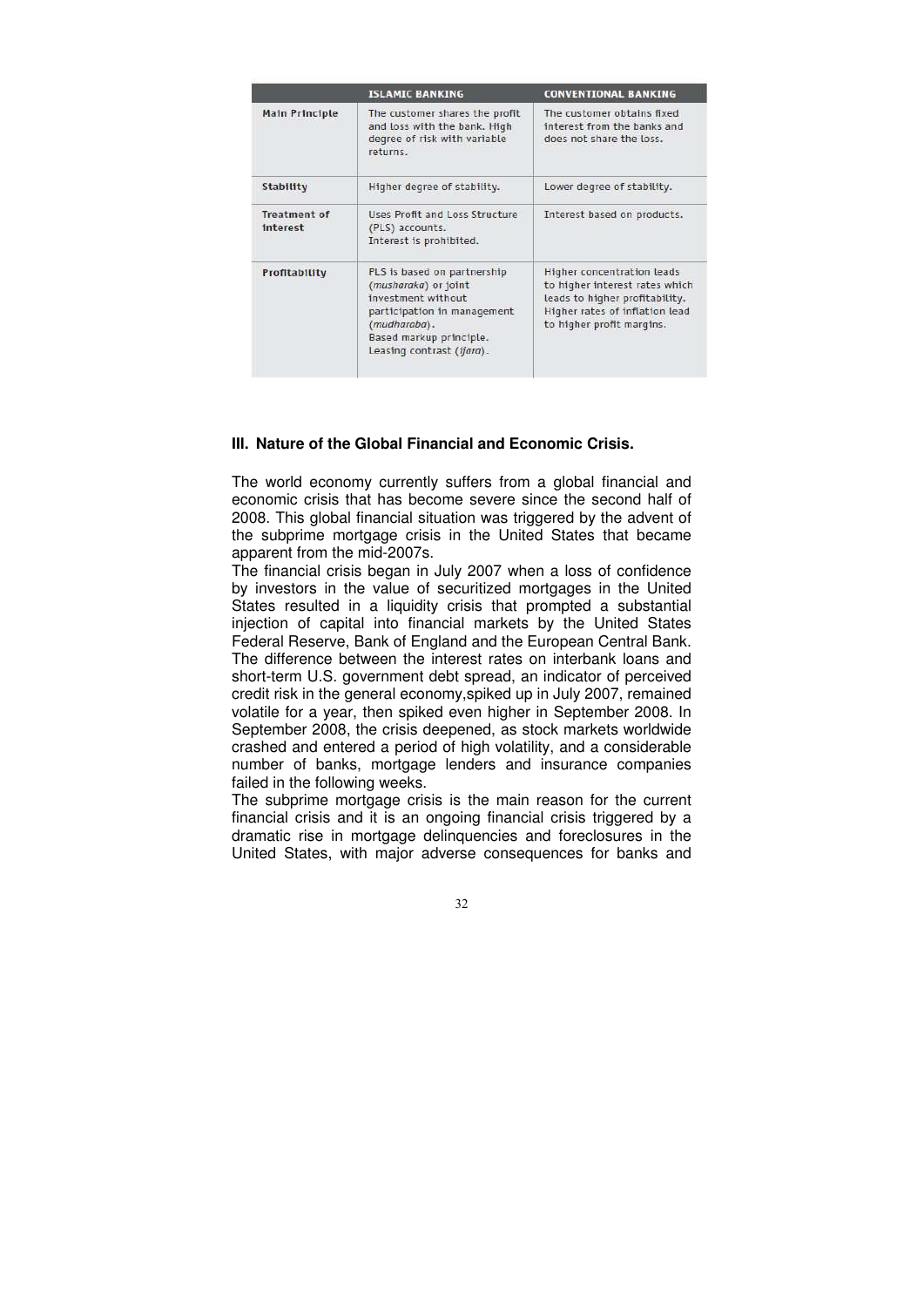|                                        | <b>ISLAMIC BANKING</b>                                                                                                                                                           | <b>CONVENTIONAL BANKING</b>                                                                                                                                   |
|----------------------------------------|----------------------------------------------------------------------------------------------------------------------------------------------------------------------------------|---------------------------------------------------------------------------------------------------------------------------------------------------------------|
| Main Principle                         | The customer shares the profit<br>and loss with the bank. High<br>degree of risk with variable<br>returns.                                                                       | The customer obtains fixed<br>interest from the banks and<br>does not share the loss.                                                                         |
| Stability                              | Higher degree of stability.                                                                                                                                                      | Lower degree of stability.                                                                                                                                    |
| <b>Treatment of</b><br><b>interest</b> | Uses Profit and Loss Structure<br>(PLS) accounts.<br>Interest is prohibited.                                                                                                     | Interest based on products.                                                                                                                                   |
| Profitability                          | PLS is based on partnership<br>(musharaka) or joint<br>investment without<br>participation in management<br>(mudharaba).<br>Based markup principle.<br>Leasing contrast (ijara). | Higher concentration leads<br>to higher interest rates which<br>leads to higher profitability.<br>Higher rates of inflation lead<br>to higher profit margins. |

#### III. Nature of the Global Financial and Economic Crisis.

The world economy currently suffers from a global financial and economic crisis that has become severe since the second half of 2008. This global financial situation was triggered by the advent of the subprime mortgage crisis in the United States that became apparent from the mid-2007s.

The financial crisis began in July 2007 when a loss of confidence by investors in the value of securitized mortgages in the United States resulted in a liquidity crisis that prompted a substantial injection of capital into financial markets by the United States Federal Reserve, Bank of England and the European Central Bank. The difference between the interest rates on interbank loans and short-term U.S. government debt spread, an indicator of perceived credit risk in the general economy,spiked up in July 2007, remained volatile for a year, then spiked even higher in September 2008. In September 2008, the crisis deepened, as stock markets worldwide crashed and entered a period of high volatility, and a considerable number of banks, mortgage lenders and insurance companies failed in the following weeks.

The subprime mortgage crisis is the main reason for the current financial crisis and it is an ongoing financial crisis triggered by a dramatic rise in mortgage delinquencies and foreclosures in the United States, with major adverse consequences for banks and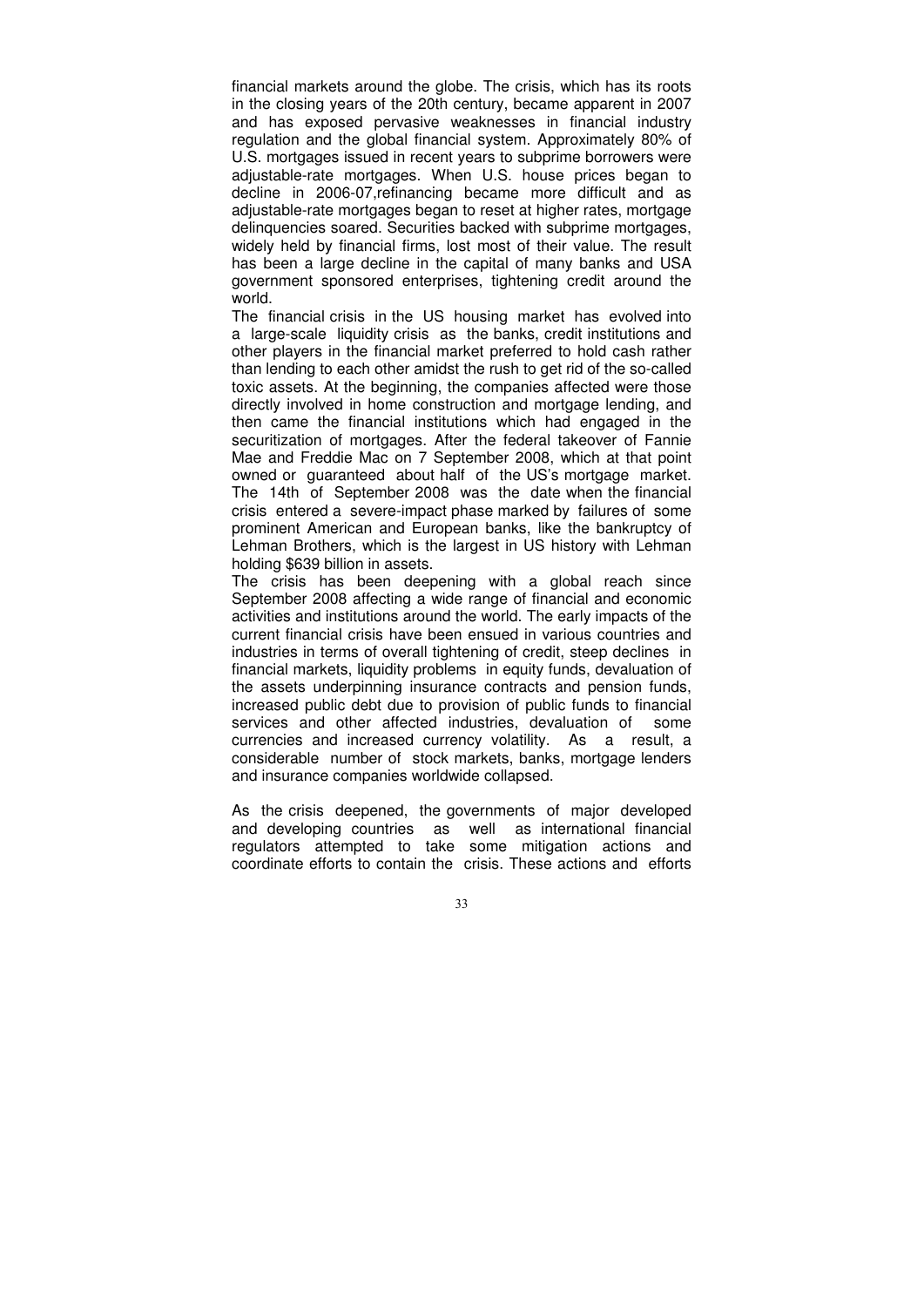in the closing years of the 20th century, became apparent in 2007 and has exposed pervasive weaknesses in financial industry regulation and the global financial system. Approximately 80% of U.S. mortgages issued in recent years to subprime borrowers were adjustable-rate mortgages. When U.S. house prices began to decline in 2006-07,refinancing became more difficult and as adjustable-rate mortgages began to reset at higher rates, mortgage delinquencies soared. Securities backed with subprime mortgages, widely held by financial firms, lost most of their value. The result has been a large decline in the capital of many banks and USA government sponsored enterprises, tightening credit around the world.

financial markets around the globe. The crisis, which has its roots<br>and has exposed pervasive weaknesses in financial industry<br>regulation and the global financial system. Approximately 80% of<br>regulation and the global fina The financial crisis in the US housing market has evolved into a large-scale liquidity crisis as the banks, credit institutions and other players in the financial market preferred to hold cash rather than lending to each other amidst the rush to get rid of the so-called toxic assets. At the beginning, the companies affected were those directly involved in home construction and mortgage lending, and then came the financial institutions which had engaged in the securitization of mortgages. After the federal takeover of Fannie Mae and Freddie Mac on 7 September 2008, which at that point owned or guaranteed about half of the US's mortgage market. The 14th of September 2008 was the date when the financial crisis entered a severe-impact phase marked by failures of some prominent American and European banks, like the bankruptcy of Lehman Brothers, which is the largest in US history with Lehman holding \$639 billion in assets.

The crisis has been deepening with a global reach since September 2008 affecting a wide range of financial and economic activities and institutions around the world. The early impacts of the current financial crisis have been ensued in various countries and industries in terms of overall tightening of credit, steep declines in financial markets, liquidity problems in equity funds, devaluation of the assets underpinning insurance contracts and pension funds, increased public debt due to provision of public funds to financial services and other affected industries, devaluation of some currencies and increased currency volatility. As a result, a considerable number of stock markets, banks, mortgage lenders and insurance companies worldwide collapsed.

As the crisis deepened, the governments of major developed and developing countries as well as international financial regulators attempted to take some mitigation actions and coordinate efforts to contain the crisis. These actions and efforts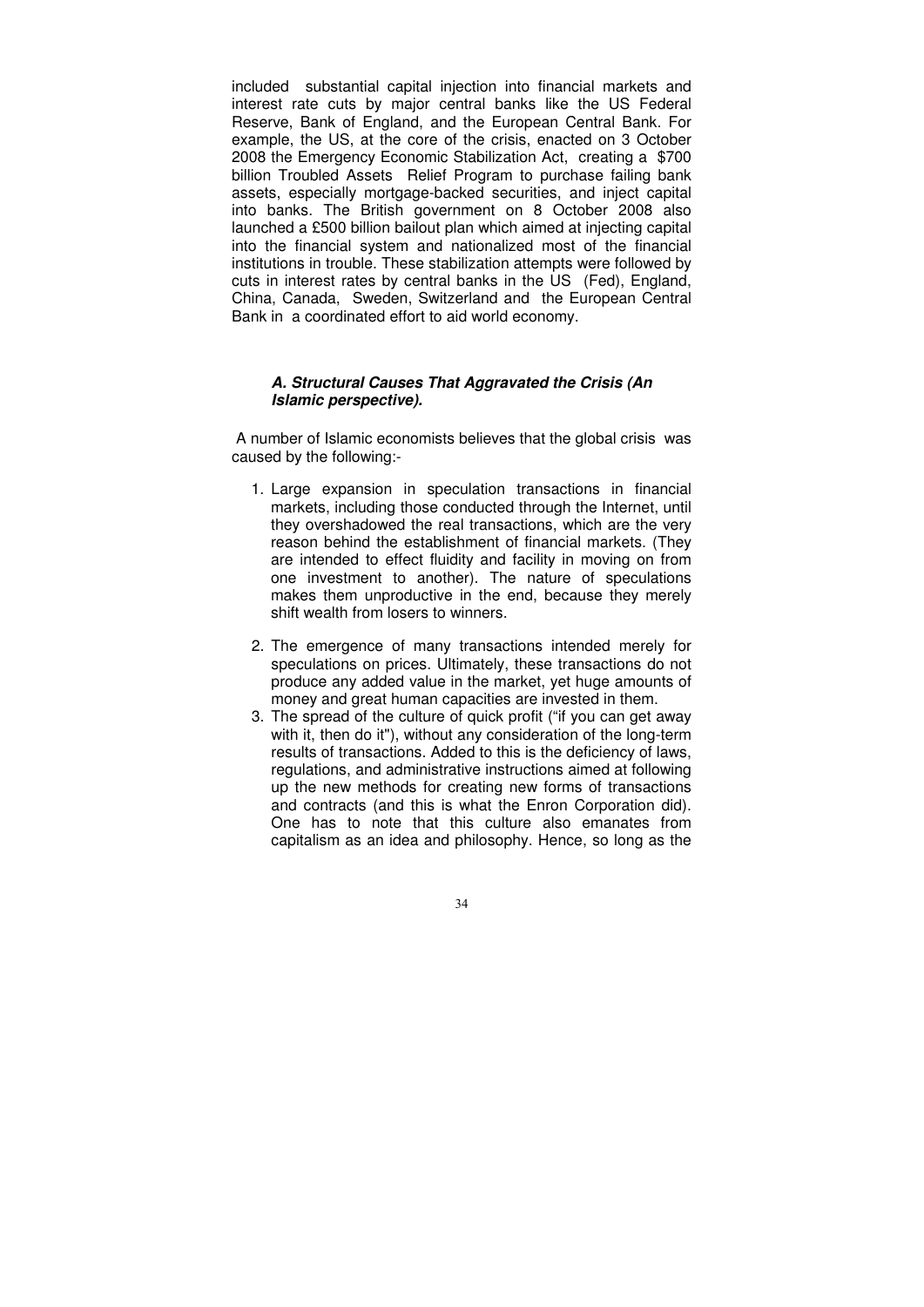included substantial capital injection into financial markets and interest rate cuts by major central banks like the US Federal Reserve, Bank of England, and the European Central Bank. For example, the US, at the core of the crisis, enacted on 3 October 2008 the Emergency Economic Stabilization Act, creating a \$700 billion Troubled Assets Relief Program to purchase failing bank assets, especially mortgage-backed securities, and inject capital into banks. The British government on 8 October 2008 also launched a £500 billion bailout plan which aimed at injecting capital into the financial system and nationalized most of the financial institutions in trouble. These stabilization attempts were followed by cuts in interest rates by central banks in the US (Fed), England, China, Canada, Sweden, Switzerland and the European Central Bank in a coordinated effort to aid world economy.

# A. Structural Causes That Aggravated the Crisis (An Islamic perspective).

 A number of Islamic economists believes that the global crisis was caused by the following:-

- 1. Large expansion in speculation transactions in financial markets, including those conducted through the Internet, until they overshadowed the real transactions, which are the very reason behind the establishment of financial markets. (They are intended to effect fluidity and facility in moving on from one investment to another). The nature of speculations makes them unproductive in the end, because they merely shift wealth from losers to winners.
- 2. The emergence of many transactions intended merely for speculations on prices. Ultimately, these transactions do not produce any added value in the market, yet huge amounts of money and great human capacities are invested in them.
- 3. The spread of the culture of quick profit ("if you can get away with it, then do it"), without any consideration of the long-term results of transactions. Added to this is the deficiency of laws, regulations, and administrative instructions aimed at following up the new methods for creating new forms of transactions and contracts (and this is what the Enron Corporation did). One has to note that this culture also emanates from capitalism as an idea and philosophy. Hence, so long as the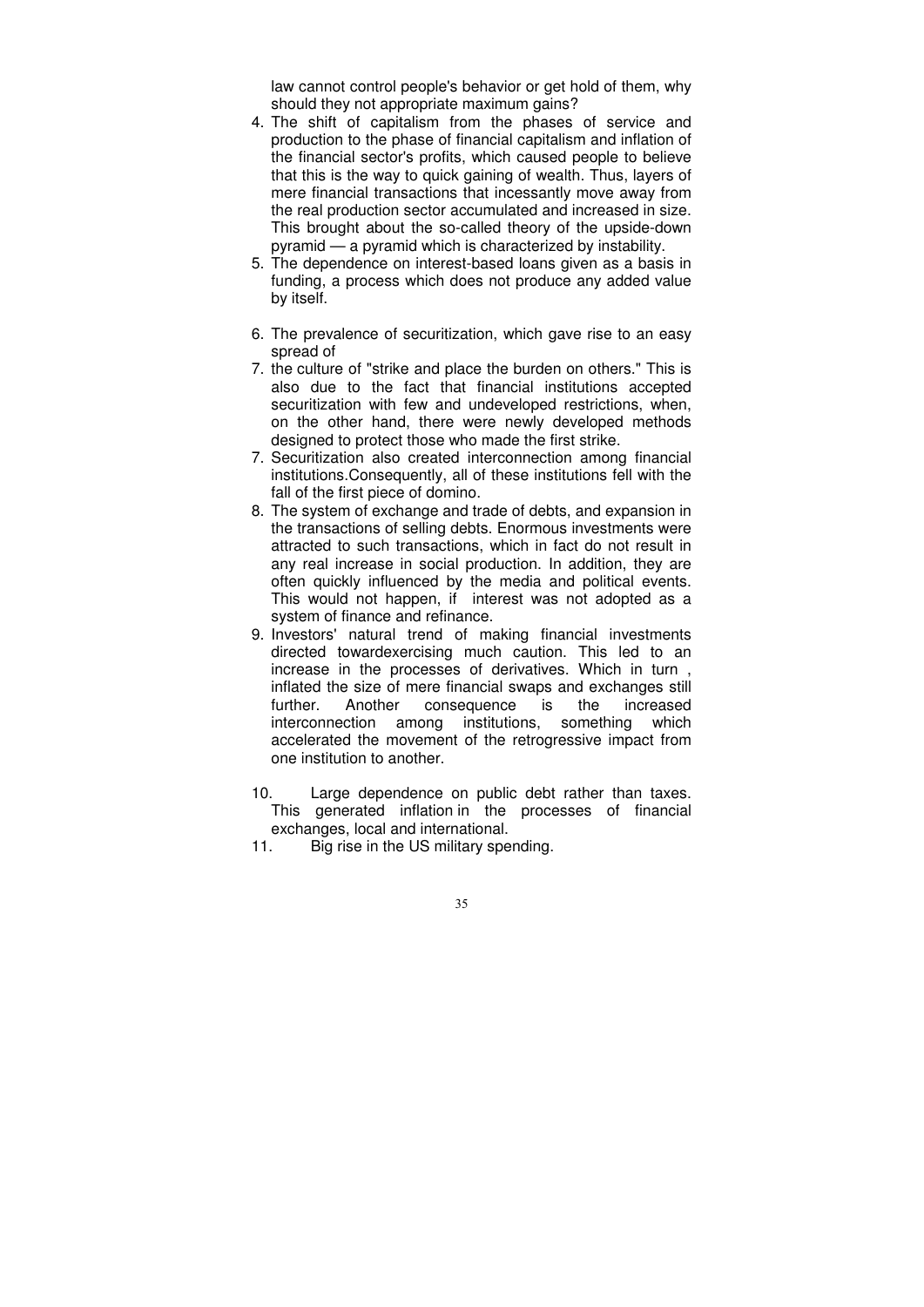law cannot control people's behavior or get hold of them, why should they not appropriate maximum gains?

- 4. The shift of capitalism from the phases of service and production to the phase of financial capitalism and inflation of the financial sector's profits, which caused people to believe that this is the way to quick gaining of wealth. Thus, layers of mere financial transactions that incessantly move away from the real production sector accumulated and increased in size. This brought about the so-called theory of the upside-down pyramid — a pyramid which is characterized by instability.
- 5. The dependence on interest-based loans given as a basis in funding, a process which does not produce any added value by itself.
- 6. The prevalence of securitization, which gave rise to an easy spread of
- 7. the culture of "strike and place the burden on others." This is also due to the fact that financial institutions accepted securitization with few and undeveloped restrictions, when, on the other hand, there were newly developed methods designed to protect those who made the first strike.
- 7. Securitization also created interconnection among financial institutions.Consequently, all of these institutions fell with the fall of the first piece of domino.
- 8. The system of exchange and trade of debts, and expansion in the transactions of selling debts. Enormous investments were attracted to such transactions, which in fact do not result in any real increase in social production. In addition, they are often quickly influenced by the media and political events. This would not happen, if interest was not adopted as a system of finance and refinance.
- 9. Investors' natural trend of making financial investments directed towardexercising much caution. This led to an increase in the processes of derivatives. Which in turn , inflated the size of mere financial swaps and exchanges still further. Another consequence is the increased interconnection among institutions, something which accelerated the movement of the retrogressive impact from one institution to another.
- 10. Large dependence on public debt rather than taxes. This generated inflation in the processes of financial exchanges, local and international.
- 11. Big rise in the US military spending.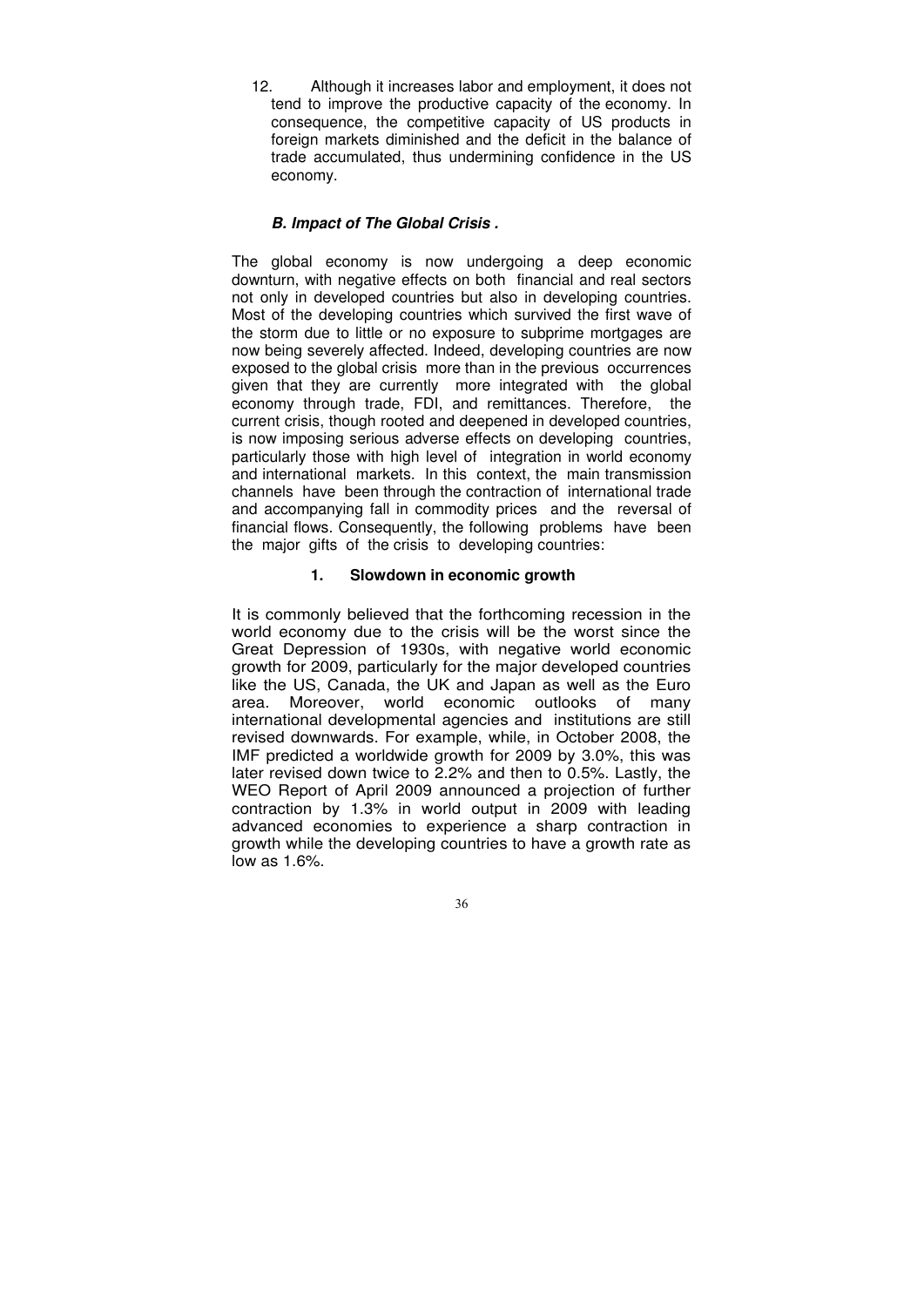12. Although it increases labor and employment, it does not tend to improve the productive capacity of the economy. In consequence, the competitive capacity of US products in foreign markets diminished and the deficit in the balance of trade accumulated, thus undermining confidence in the US economy.

# B. Impact of The Global Crisis .

The global economy is now undergoing a deep economic downturn, with negative effects on both financial and real sectors not only in developed countries but also in developing countries. Most of the developing countries which survived the first wave of the storm due to little or no exposure to subprime mortgages are now being severely affected. Indeed, developing countries are now exposed to the global crisis more than in the previous occurrences given that they are currently more integrated with the global economy through trade, FDI, and remittances. Therefore, the current crisis, though rooted and deepened in developed countries, is now imposing serious adverse effects on developing countries, particularly those with high level of integration in world economy and international markets. In this context, the main transmission channels have been through the contraction of international trade and accompanying fall in commodity prices and the reversal of financial flows. Consequently, the following problems have been the major gifts of the crisis to developing countries:

# 1. Slowdown in economic growth

It is commonly believed that the forthcoming recession in the world economy due to the crisis will be the worst since the Great Depression of 1930s, with negative world economic growth for 2009, particularly for the major developed countries like the US, Canada, the UK and Japan as well as the Euro area. Moreover, world economic outlooks of many international developmental agencies and institutions are still revised downwards. For example, while, in October 2008, the IMF predicted a worldwide growth for 2009 by 3.0%, this was later revised down twice to 2.2% and then to 0.5%. Lastly, the WEO Report of April 2009 announced a projection of further contraction by 1.3% in world output in 2009 with leading advanced economies to experience a sharp contraction in growth while the developing countries to have a growth rate as low as 1.6%.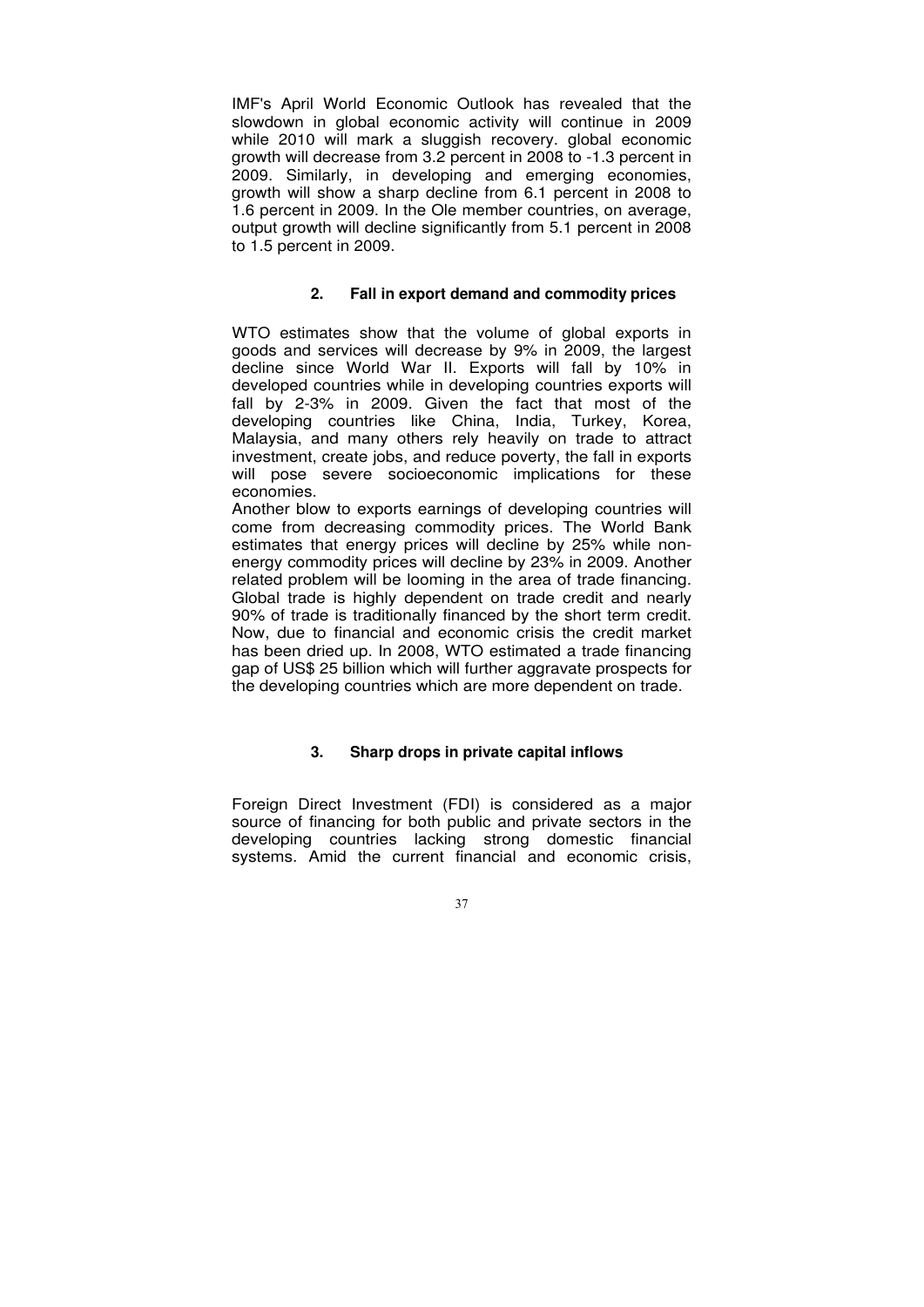IMF's April World Economic Outlook has revealed that the slowdown in global economic activity will continue in 2009 while 2010 will mark a sluggish recovery. global economic growth will decrease from 3.2 percent in 2008 to -1.3 percent in 2009. Similarly, in developing and emerging economies, growth will show a sharp decline from 6.1 percent in 2008 to 1.6 percent in 2009. In the Ole member countries, on average, output growth will decline significantly from 5.1 percent in 2008 to 1.5 percent in 2009.

# 2. Fall in export demand and commodity prices

WTO estimates show that the volume of global exports in goods and services will decrease by 9% in 2009, the largest decline since World War II. Exports will fall by 10% in developed countries while in developing countries exports will fall by 2-3% in 2009. Given the fact that most of the developing countries like China, India, Turkey, Korea, Malaysia, and many others rely heavily on trade to attract investment, create jobs, and reduce poverty, the fall in exports will pose severe socioeconomic implications for these economies.

Another blow to exports earnings of developing countries will come from decreasing commodity prices. The World Bank estimates that energy prices will decline by 25% while nonenergy commodity prices will decline by 23% in 2009. Another related problem will be looming in the area of trade financing. Global trade is highly dependent on trade credit and nearly 90% of trade is traditionally financed by the short term credit. Now, due to financial and economic crisis the credit market has been dried up. In 2008, WTO estimated a trade financing gap of US\$ 25 billion which will further aggravate prospects for the developing countries which are more dependent on trade.

# 3. Sharp drops in private capital inflows

Foreign Direct Investment (FDI) is considered as a major source of financing for both public and private sectors in the developing countries lacking strong domestic financial systems. Amid the current financial and economic crisis,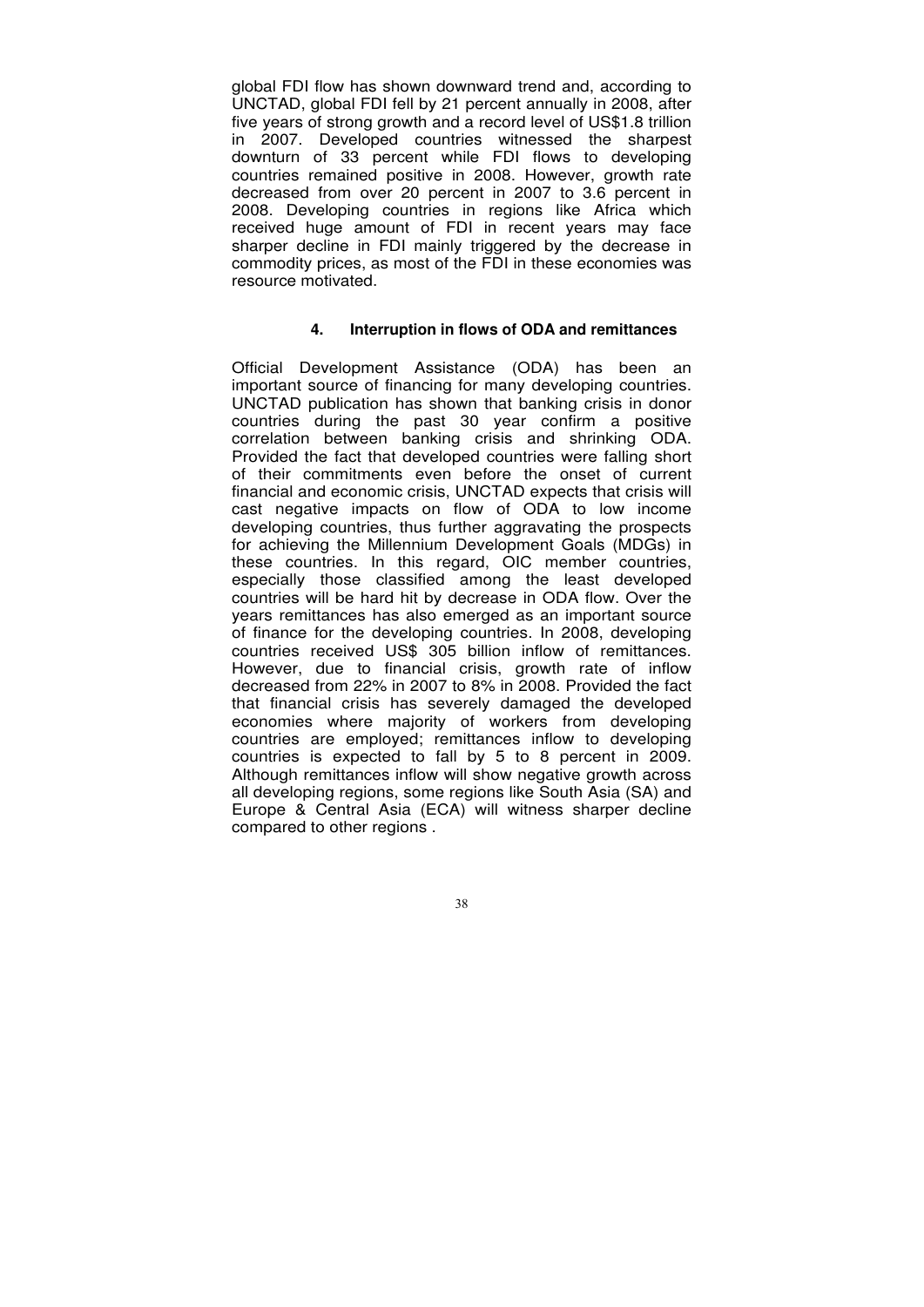global FDI flow has shown downward trend and, according to UNCTAD, global FDI fell by 21 percent annually in 2008, after five years of strong growth and a record level of US\$1.8 trillion in 2007. Developed countries witnessed the sharpest downturn of 33 percent while FDI flows to developing countries remained positive in 2008. However, growth rate decreased from over 20 percent in 2007 to 3.6 percent in 2008. Developing countries in regions like Africa which received huge amount of FDI in recent years may face sharper decline in FDI mainly triggered by the decrease in commodity prices, as most of the FDI in these economies was resource motivated.

# 4. Interruption in flows of ODA and remittances

Official Development Assistance (ODA) has been an important source of financing for many developing countries. UNCTAD publication has shown that banking crisis in donor countries during the past 30 year confirm a positive correlation between banking crisis and shrinking ODA. Provided the fact that developed countries were falling short of their commitments even before the onset of current financial and economic crisis, UNCTAD expects that crisis will cast negative impacts on flow of ODA to low income developing countries, thus further aggravating the prospects for achieving the Millennium Development Goals (MDGs) in these countries. In this regard, OIC member countries, especially those classified among the least developed countries will be hard hit by decrease in ODA flow. Over the years remittances has also emerged as an important source of finance for the developing countries. In 2008, developing countries received US\$ 305 billion inflow of remittances. However, due to financial crisis, growth rate of inflow decreased from 22% in 2007 to 8% in 2008. Provided the fact that financial crisis has severely damaged the developed economies where majority of workers from developing countries are employed; remittances inflow to developing countries is expected to fall by 5 to 8 percent in 2009. Although remittances inflow will show negative growth across all developing regions, some regions like South Asia (SA) and Europe & Central Asia (ECA) will witness sharper decline compared to other regions .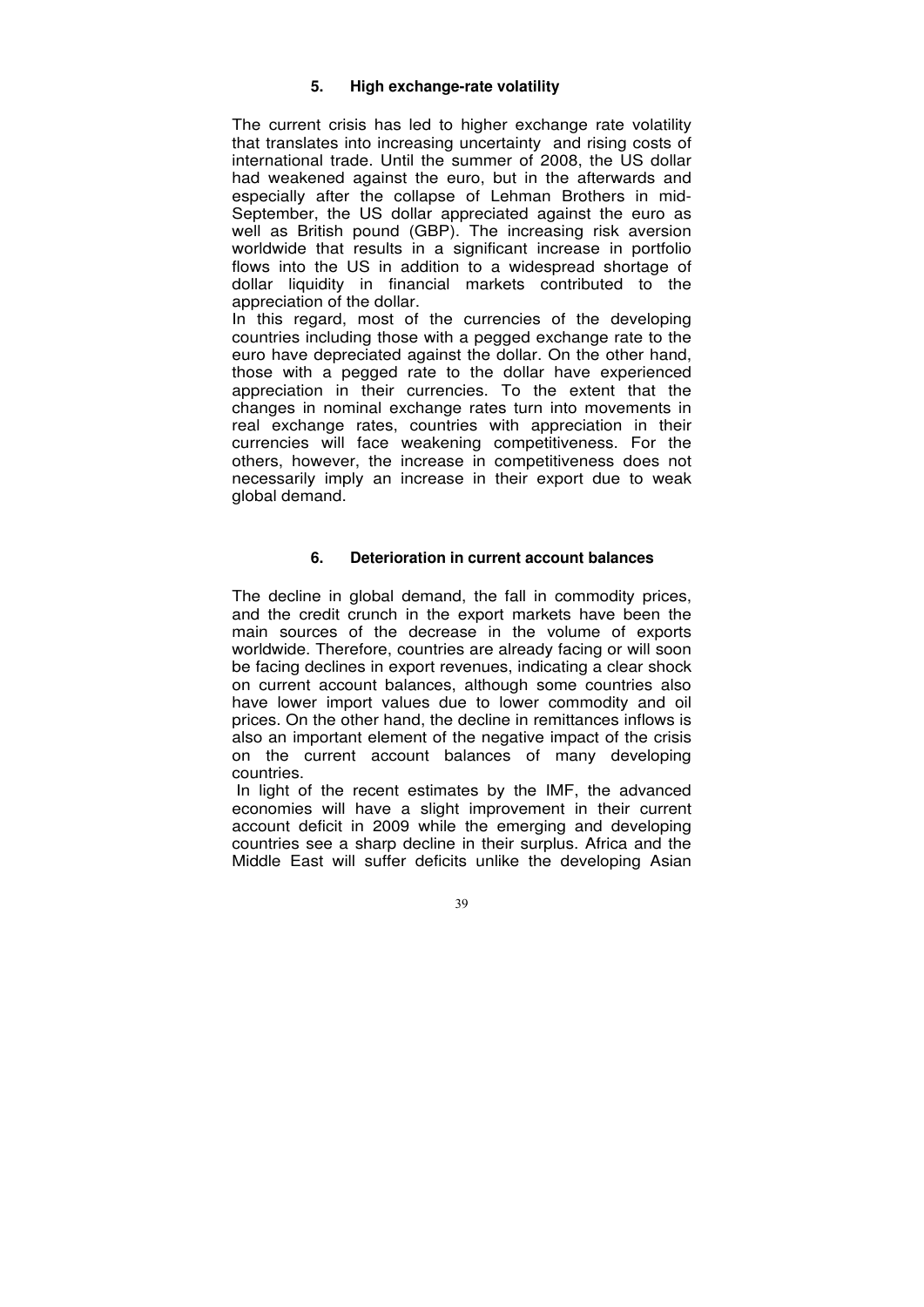# 5. High exchange-rate volatility

The current crisis has led to higher exchange rate volatility that translates into increasing uncertainty and rising costs of international trade. Until the summer of 2008, the US dollar had weakened against the euro, but in the afterwards and especially after the collapse of Lehman Brothers in mid-September, the US dollar appreciated against the euro as well as British pound (GBP). The increasing risk aversion worldwide that results in a significant increase in portfolio flows into the US in addition to a widespread shortage of dollar liquidity in financial markets contributed to the appreciation of the dollar.

In this regard, most of the currencies of the developing countries including those with a pegged exchange rate to the euro have depreciated against the dollar. On the other hand, those with a pegged rate to the dollar have experienced appreciation in their currencies. To the extent that the changes in nominal exchange rates turn into movements in real exchange rates, countries with appreciation in their currencies will face weakening competitiveness. For the others, however, the increase in competitiveness does not necessarily imply an increase in their export due to weak global demand.

# 6. Deterioration in current account balances

The decline in global demand, the fall in commodity prices, and the credit crunch in the export markets have been the main sources of the decrease in the volume of exports worldwide. Therefore, countries are already facing or will soon be facing declines in export revenues, indicating a clear shock on current account balances, although some countries also have lower import values due to lower commodity and oil prices. On the other hand, the decline in remittances inflows is also an important element of the negative impact of the crisis on the current account balances of many developing countries.

In light of the recent estimates by the IMF, the advanced economies will have a slight improvement in their current account deficit in 2009 while the emerging and developing countries see a sharp decline in their surplus. Africa and the Middle East will suffer deficits unlike the developing Asian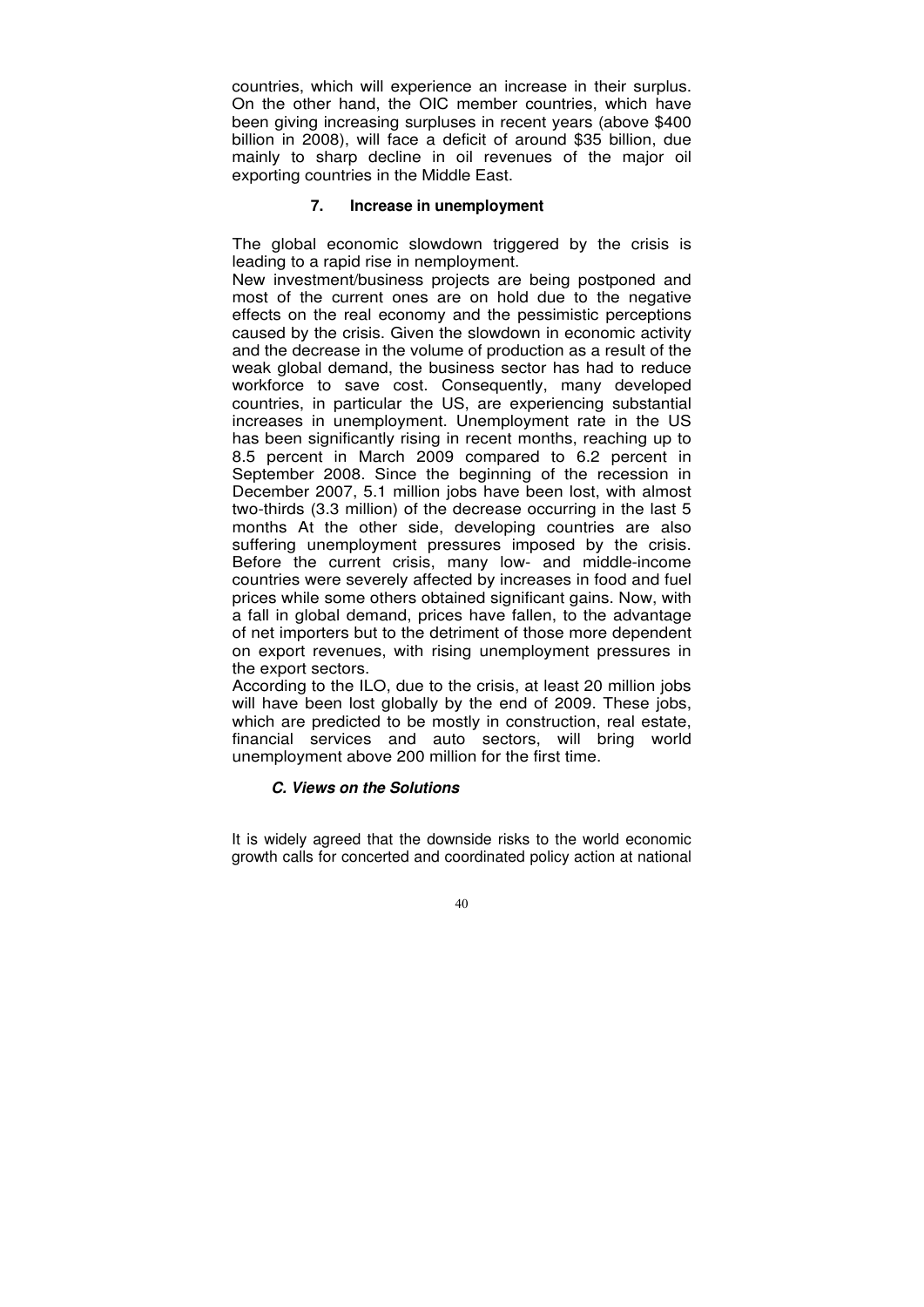countries, which will experience an increase in their surplus. On the other hand, the OIC member countries, which have been giving increasing surpluses in recent years (above \$400 billion in 2008), will face a deficit of around \$35 billion, due mainly to sharp decline in oil revenues of the major oil exporting countries in the Middle East.

# 7. Increase in unemployment

The global economic slowdown triggered by the crisis is leading to a rapid rise in nemployment.

New investment/business projects are being postponed and most of the current ones are on hold due to the negative effects on the real economy and the pessimistic perceptions caused by the crisis. Given the slowdown in economic activity and the decrease in the volume of production as a result of the weak global demand, the business sector has had to reduce workforce to save cost. Consequently, many developed countries, in particular the US, are experiencing substantial increases in unemployment. Unemployment rate in the US has been significantly rising in recent months, reaching up to 8.5 percent in March 2009 compared to 6.2 percent in September 2008. Since the beginning of the recession in December 2007, 5.1 million jobs have been lost, with almost two-thirds (3.3 million) of the decrease occurring in the last 5 months At the other side, developing countries are also suffering unemployment pressures imposed by the crisis. Before the current crisis, many low- and middle-income countries were severely affected by increases in food and fuel prices while some others obtained significant gains. Now, with a fall in global demand, prices have fallen, to the advantage of net importers but to the detriment of those more dependent on export revenues, with rising unemployment pressures in the export sectors.

According to the ILO, due to the crisis, at least 20 million jobs will have been lost globally by the end of 2009. These jobs, which are predicted to be mostly in construction, real estate, financial services and auto sectors, will bring world unemployment above 200 million for the first time.

# C. Views on the Solutions

It is widely agreed that the downside risks to the world economic growth calls for concerted and coordinated policy action at national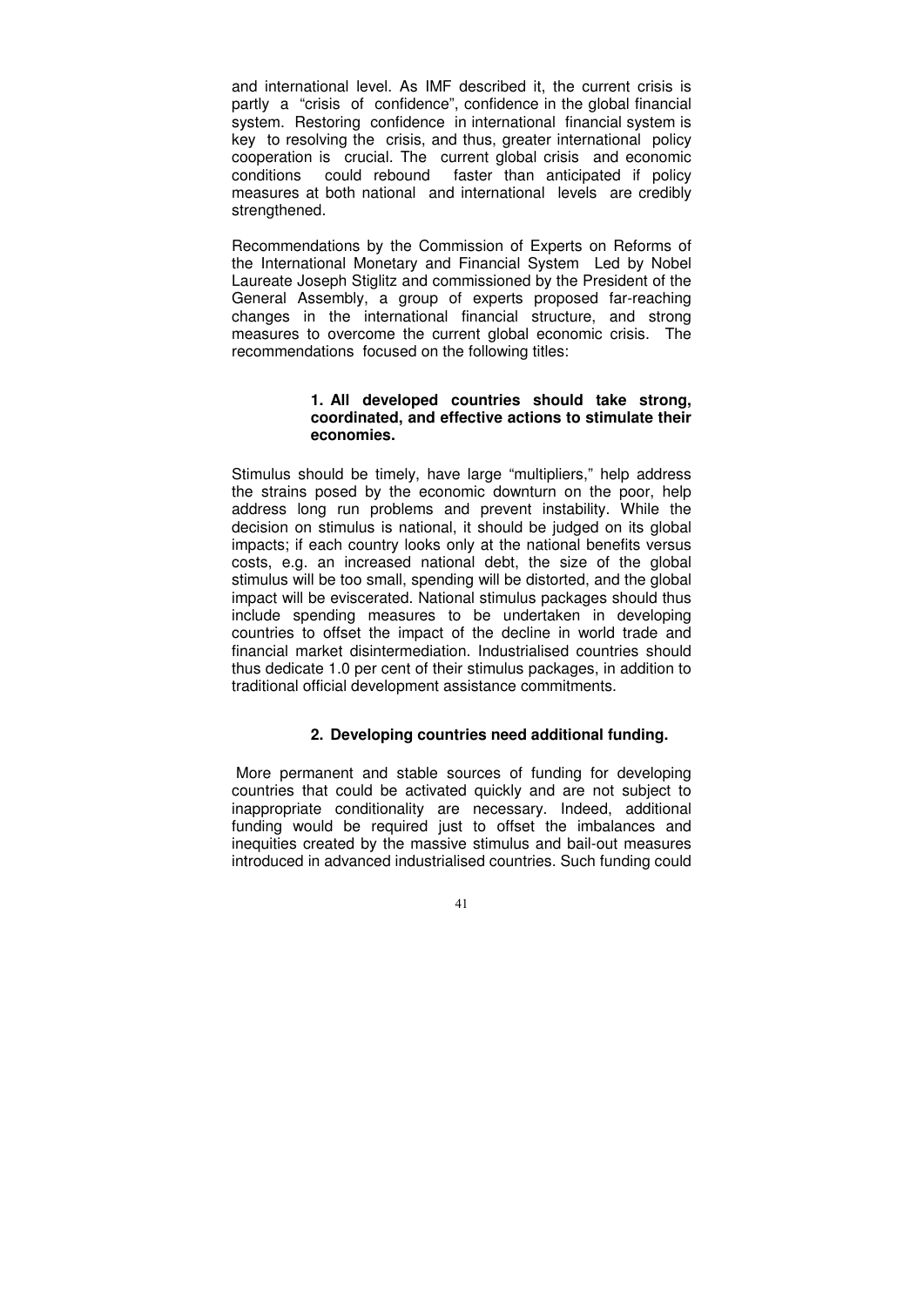and international level. As IMF described it, the current crisis is partly a "crisis of confidence", confidence in the global financial system. Restoring confidence in international financial system is key to resolving the crisis, and thus, greater international policy cooperation is crucial. The current global crisis and economic conditions could rebound faster than anticipated if policy measures at both national and international levels are credibly strengthened.

Recommendations by the Commission of Experts on Reforms of the International Monetary and Financial System Led by Nobel Laureate Joseph Stiglitz and commissioned by the President of the General Assembly, a group of experts proposed far-reaching changes in the international financial structure, and strong measures to overcome the current global economic crisis. The recommendations focused on the following titles:

# 1. All developed countries should take strong, coordinated, and effective actions to stimulate their economies.

Stimulus should be timely, have large "multipliers," help address the strains posed by the economic downturn on the poor, help address long run problems and prevent instability. While the decision on stimulus is national, it should be judged on its global impacts; if each country looks only at the national benefits versus costs, e.g. an increased national debt, the size of the global stimulus will be too small, spending will be distorted, and the global impact will be eviscerated. National stimulus packages should thus include spending measures to be undertaken in developing countries to offset the impact of the decline in world trade and financial market disintermediation. Industrialised countries should thus dedicate 1.0 per cent of their stimulus packages, in addition to traditional official development assistance commitments.

# 2. Developing countries need additional funding.

 More permanent and stable sources of funding for developing countries that could be activated quickly and are not subject to inappropriate conditionality are necessary. Indeed, additional funding would be required just to offset the imbalances and inequities created by the massive stimulus and bail-out measures introduced in advanced industrialised countries. Such funding could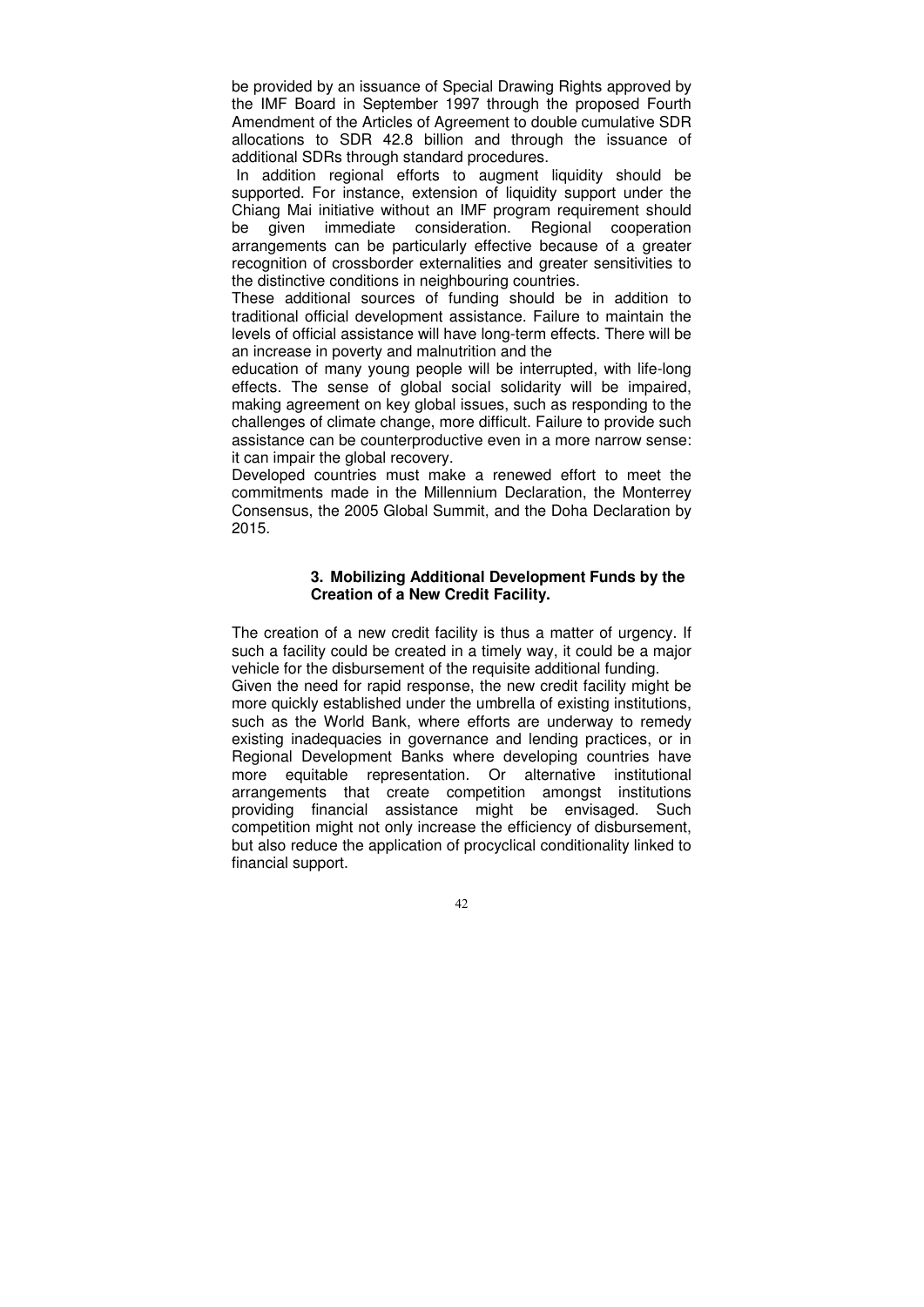be provided by an issuance of Special Drawing Rights approved by the IMF Board in September 1997 through the proposed Fourth Amendment of the Articles of Agreement to double cumulative SDR allocations to SDR 42.8 billion and through the issuance of additional SDRs through standard procedures.

 In addition regional efforts to augment liquidity should be supported. For instance, extension of liquidity support under the Chiang Mai initiative without an IMF program requirement should be given immediate consideration. Regional cooperation arrangements can be particularly effective because of a greater recognition of crossborder externalities and greater sensitivities to the distinctive conditions in neighbouring countries.

These additional sources of funding should be in addition to traditional official development assistance. Failure to maintain the levels of official assistance will have long-term effects. There will be an increase in poverty and malnutrition and the

education of many young people will be interrupted, with life-long effects. The sense of global social solidarity will be impaired, making agreement on key global issues, such as responding to the challenges of climate change, more difficult. Failure to provide such assistance can be counterproductive even in a more narrow sense: it can impair the global recovery.

Developed countries must make a renewed effort to meet the commitments made in the Millennium Declaration, the Monterrey Consensus, the 2005 Global Summit, and the Doha Declaration by 2015.

# 3. Mobilizing Additional Development Funds by the Creation of a New Credit Facility.

The creation of a new credit facility is thus a matter of urgency. If such a facility could be created in a timely way, it could be a major vehicle for the disbursement of the requisite additional funding.

Given the need for rapid response, the new credit facility might be more quickly established under the umbrella of existing institutions, such as the World Bank, where efforts are underway to remedy existing inadequacies in governance and lending practices, or in Regional Development Banks where developing countries have more equitable representation. Or alternative institutional arrangements that create competition amongst institutions providing financial assistance might be envisaged. Such competition might not only increase the efficiency of disbursement, but also reduce the application of procyclical conditionality linked to financial support.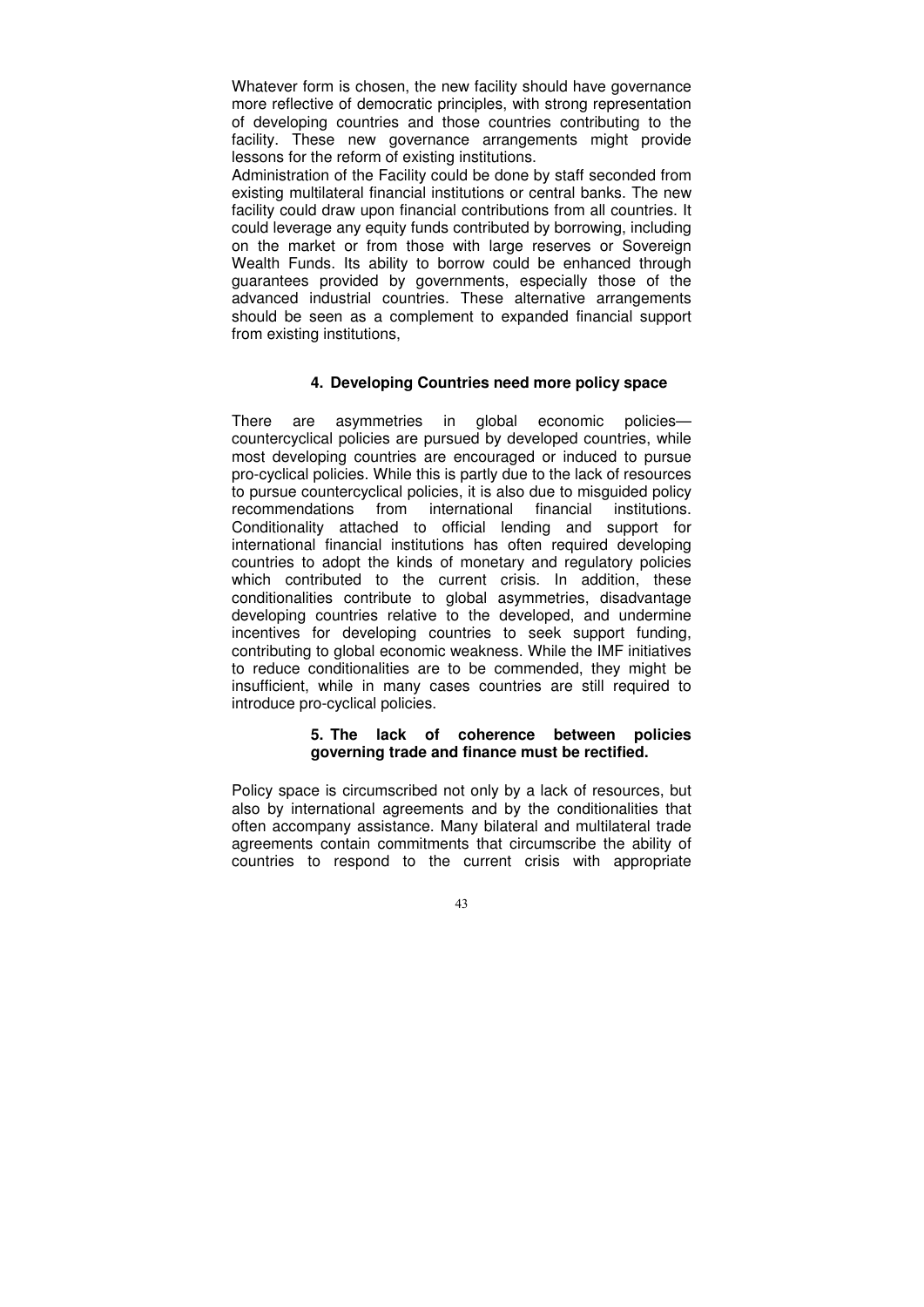Whatever form is chosen, the new facility should have governance more reflective of democratic principles, with strong representation of developing countries and those countries contributing to the facility. These new governance arrangements might provide lessons for the reform of existing institutions.

Administration of the Facility could be done by staff seconded from existing multilateral financial institutions or central banks. The new facility could draw upon financial contributions from all countries. It could leverage any equity funds contributed by borrowing, including on the market or from those with large reserves or Sovereign Wealth Funds. Its ability to borrow could be enhanced through guarantees provided by governments, especially those of the advanced industrial countries. These alternative arrangements should be seen as a complement to expanded financial support from existing institutions,

# 4. Developing Countries need more policy space

There are asymmetries in global economic policies countercyclical policies are pursued by developed countries, while most developing countries are encouraged or induced to pursue pro-cyclical policies. While this is partly due to the lack of resources to pursue countercyclical policies, it is also due to misguided policy recommendations from international financial institutions. Conditionality attached to official lending and support for international financial institutions has often required developing countries to adopt the kinds of monetary and regulatory policies which contributed to the current crisis. In addition, these conditionalities contribute to global asymmetries, disadvantage developing countries relative to the developed, and undermine incentives for developing countries to seek support funding, contributing to global economic weakness. While the IMF initiatives to reduce conditionalities are to be commended, they might be insufficient, while in many cases countries are still required to introduce pro-cyclical policies.

# 5. The lack of coherence between policies governing trade and finance must be rectified.

Policy space is circumscribed not only by a lack of resources, but also by international agreements and by the conditionalities that often accompany assistance. Many bilateral and multilateral trade agreements contain commitments that circumscribe the ability of countries to respond to the current crisis with appropriate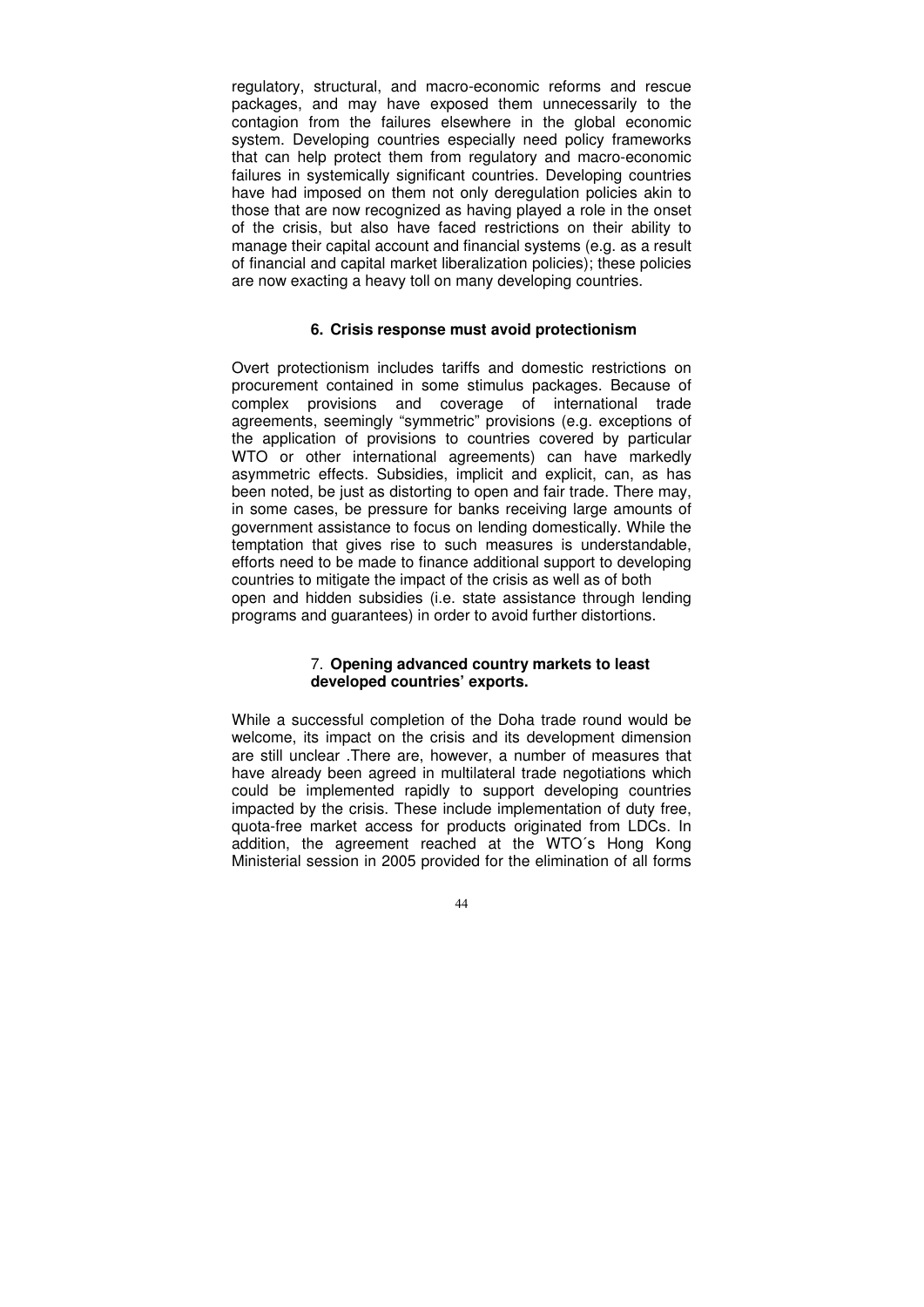regulatory, structural, and macro-economic reforms and rescue packages, and may have exposed them unnecessarily to the contagion from the failures elsewhere in the global economic system. Developing countries especially need policy frameworks that can help protect them from regulatory and macro-economic failures in systemically significant countries. Developing countries have had imposed on them not only deregulation policies akin to those that are now recognized as having played a role in the onset of the crisis, but also have faced restrictions on their ability to manage their capital account and financial systems (e.g. as a result of financial and capital market liberalization policies); these policies are now exacting a heavy toll on many developing countries.

#### 6. Crisis response must avoid protectionism

Overt protectionism includes tariffs and domestic restrictions on procurement contained in some stimulus packages. Because of complex provisions and coverage of international trade agreements, seemingly "symmetric" provisions (e.g. exceptions of the application of provisions to countries covered by particular WTO or other international agreements) can have markedly asymmetric effects. Subsidies, implicit and explicit, can, as has been noted, be just as distorting to open and fair trade. There may, in some cases, be pressure for banks receiving large amounts of government assistance to focus on lending domestically. While the temptation that gives rise to such measures is understandable, efforts need to be made to finance additional support to developing countries to mitigate the impact of the crisis as well as of both open and hidden subsidies (i.e. state assistance through lending programs and guarantees) in order to avoid further distortions.

#### 7. Opening advanced country markets to least developed countries' exports.

While a successful completion of the Doha trade round would be welcome, its impact on the crisis and its development dimension are still unclear .There are, however, a number of measures that have already been agreed in multilateral trade negotiations which could be implemented rapidly to support developing countries impacted by the crisis. These include implementation of duty free, quota-free market access for products originated from LDCs. In addition, the agreement reached at the WTO´s Hong Kong Ministerial session in 2005 provided for the elimination of all forms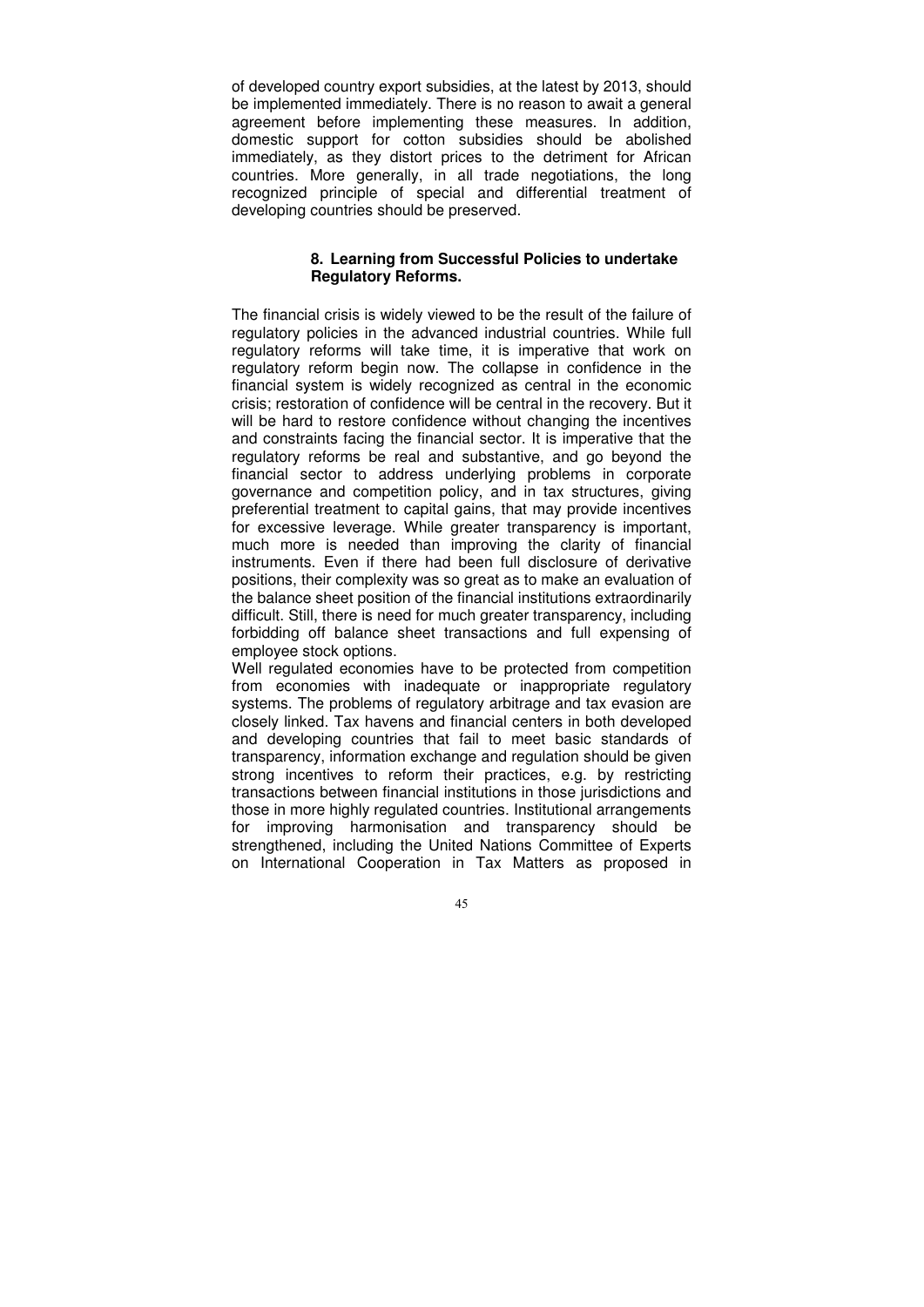of developed country export subsidies, at the latest by 2013, should be implemented immediately. There is no reason to await a general agreement before implementing these measures. In addition, domestic support for cotton subsidies should be abolished immediately, as they distort prices to the detriment for African countries. More generally, in all trade negotiations, the long recognized principle of special and differential treatment of developing countries should be preserved.

# 8. Learning from Successful Policies to undertake Regulatory Reforms.

The financial crisis is widely viewed to be the result of the failure of regulatory policies in the advanced industrial countries. While full regulatory reforms will take time, it is imperative that work on regulatory reform begin now. The collapse in confidence in the financial system is widely recognized as central in the economic crisis; restoration of confidence will be central in the recovery. But it will be hard to restore confidence without changing the incentives and constraints facing the financial sector. It is imperative that the regulatory reforms be real and substantive, and go beyond the financial sector to address underlying problems in corporate governance and competition policy, and in tax structures, giving preferential treatment to capital gains, that may provide incentives for excessive leverage. While greater transparency is important, much more is needed than improving the clarity of financial instruments. Even if there had been full disclosure of derivative positions, their complexity was so great as to make an evaluation of the balance sheet position of the financial institutions extraordinarily difficult. Still, there is need for much greater transparency, including forbidding off balance sheet transactions and full expensing of employee stock options.

Well regulated economies have to be protected from competition from economies with inadequate or inappropriate regulatory systems. The problems of regulatory arbitrage and tax evasion are closely linked. Tax havens and financial centers in both developed and developing countries that fail to meet basic standards of transparency, information exchange and regulation should be given strong incentives to reform their practices, e.g. by restricting transactions between financial institutions in those jurisdictions and those in more highly regulated countries. Institutional arrangements for improving harmonisation and transparency should be strengthened, including the United Nations Committee of Experts on International Cooperation in Tax Matters as proposed in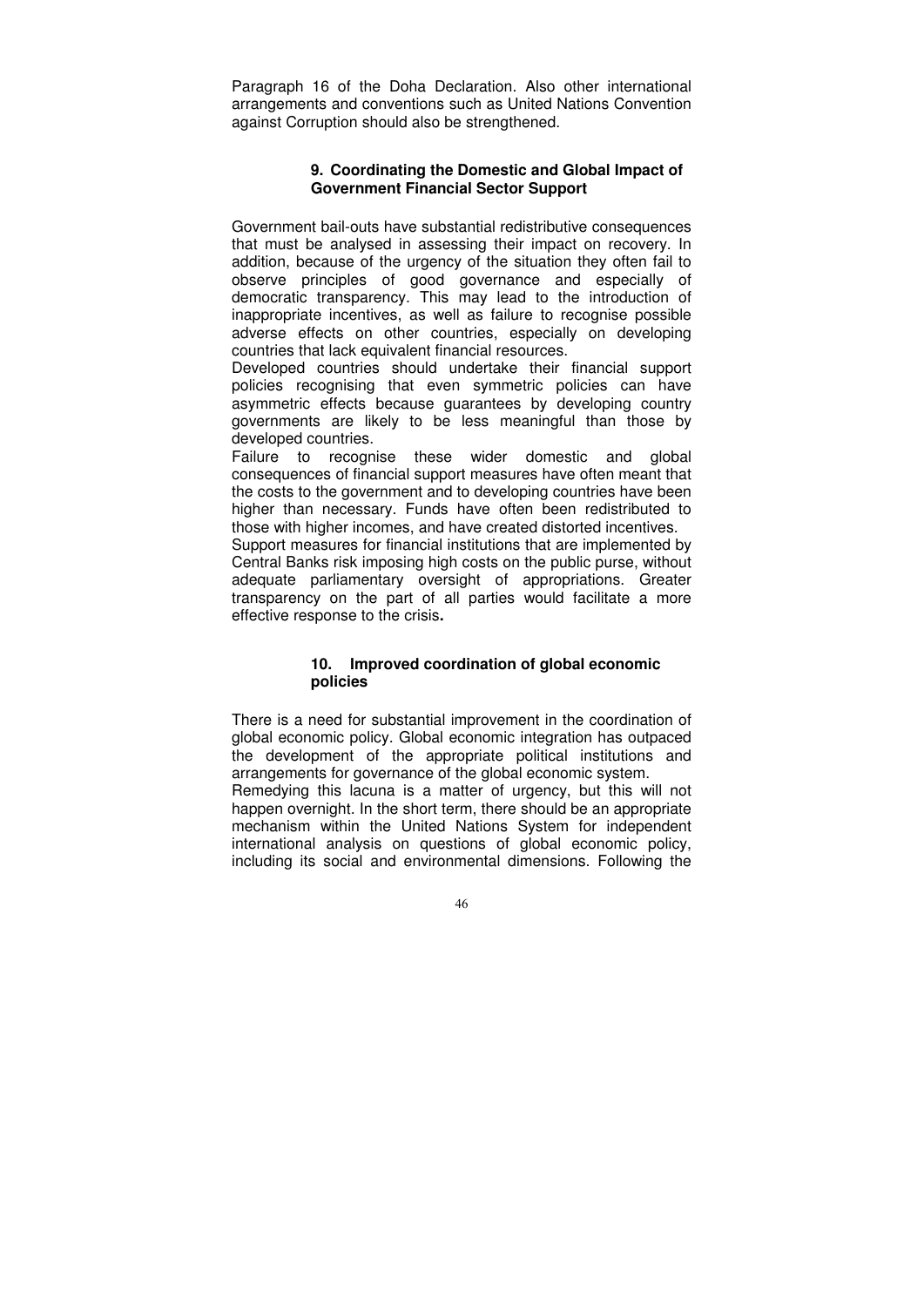Paragraph 16 of the Doha Declaration. Also other international arrangements and conventions such as United Nations Convention against Corruption should also be strengthened.

# 9. Coordinating the Domestic and Global Impact of Government Financial Sector Support

Government bail-outs have substantial redistributive consequences that must be analysed in assessing their impact on recovery. In addition, because of the urgency of the situation they often fail to observe principles of good governance and especially of democratic transparency. This may lead to the introduction of inappropriate incentives, as well as failure to recognise possible adverse effects on other countries, especially on developing countries that lack equivalent financial resources.

Developed countries should undertake their financial support policies recognising that even symmetric policies can have asymmetric effects because guarantees by developing country governments are likely to be less meaningful than those by developed countries.

Failure to recognise these wider domestic and global consequences of financial support measures have often meant that the costs to the government and to developing countries have been higher than necessary. Funds have often been redistributed to those with higher incomes, and have created distorted incentives.

Support measures for financial institutions that are implemented by Central Banks risk imposing high costs on the public purse, without adequate parliamentary oversight of appropriations. Greater transparency on the part of all parties would facilitate a more effective response to the crisis.

# 10. Improved coordination of global economic policies

There is a need for substantial improvement in the coordination of global economic policy. Global economic integration has outpaced the development of the appropriate political institutions and arrangements for governance of the global economic system.

Remedying this lacuna is a matter of urgency, but this will not happen overnight. In the short term, there should be an appropriate mechanism within the United Nations System for independent international analysis on questions of global economic policy, including its social and environmental dimensions. Following the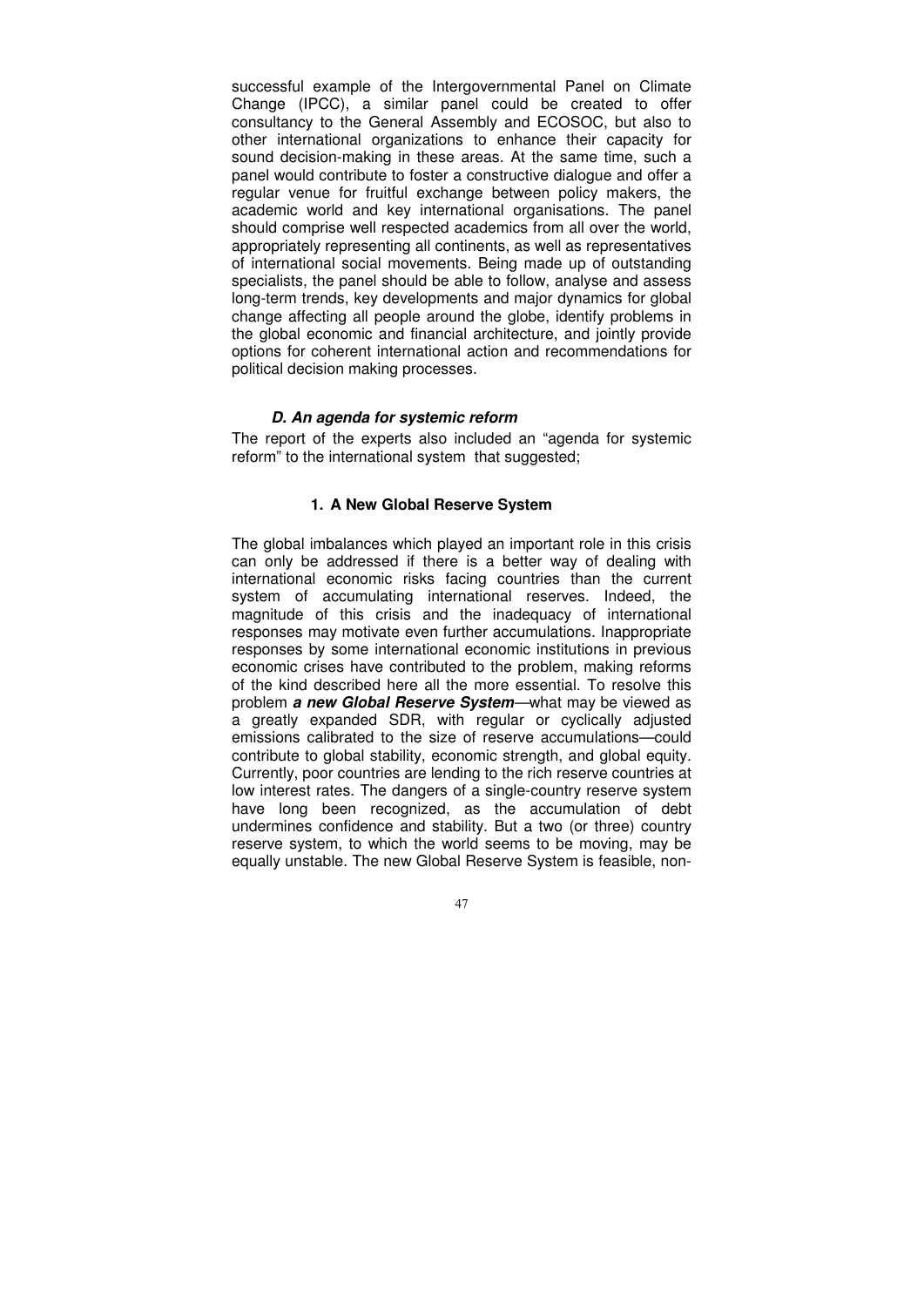successful example of the Intergovernmental Panel on Climate Change (IPCC), a similar panel could be created to offer consultancy to the General Assembly and ECOSOC, but also to other international organizations to enhance their capacity for sound decision-making in these areas. At the same time, such a panel would contribute to foster a constructive dialogue and offer a regular venue for fruitful exchange between policy makers, the academic world and key international organisations. The panel should comprise well respected academics from all over the world, appropriately representing all continents, as well as representatives of international social movements. Being made up of outstanding specialists, the panel should be able to follow, analyse and assess long-term trends, key developments and major dynamics for global change affecting all people around the globe, identify problems in the global economic and financial architecture, and jointly provide options for coherent international action and recommendations for political decision making processes.

# D. An agenda for systemic reform

The report of the experts also included an "agenda for systemic reform" to the international system that suggested;

# 1. A New Global Reserve System

The global imbalances which played an important role in this crisis can only be addressed if there is a better way of dealing with international economic risks facing countries than the current system of accumulating international reserves. Indeed, the magnitude of this crisis and the inadequacy of international responses may motivate even further accumulations. Inappropriate responses by some international economic institutions in previous economic crises have contributed to the problem, making reforms of the kind described here all the more essential. To resolve this problem **a new Global Reserve System**—what may be viewed as a greatly expanded SDR, with regular or cyclically adjusted emissions calibrated to the size of reserve accumulations—could contribute to global stability, economic strength, and global equity. Currently, poor countries are lending to the rich reserve countries at low interest rates. The dangers of a single-country reserve system have long been recognized, as the accumulation of debt undermines confidence and stability. But a two (or three) country reserve system, to which the world seems to be moving, may be equally unstable. The new Global Reserve System is feasible, non-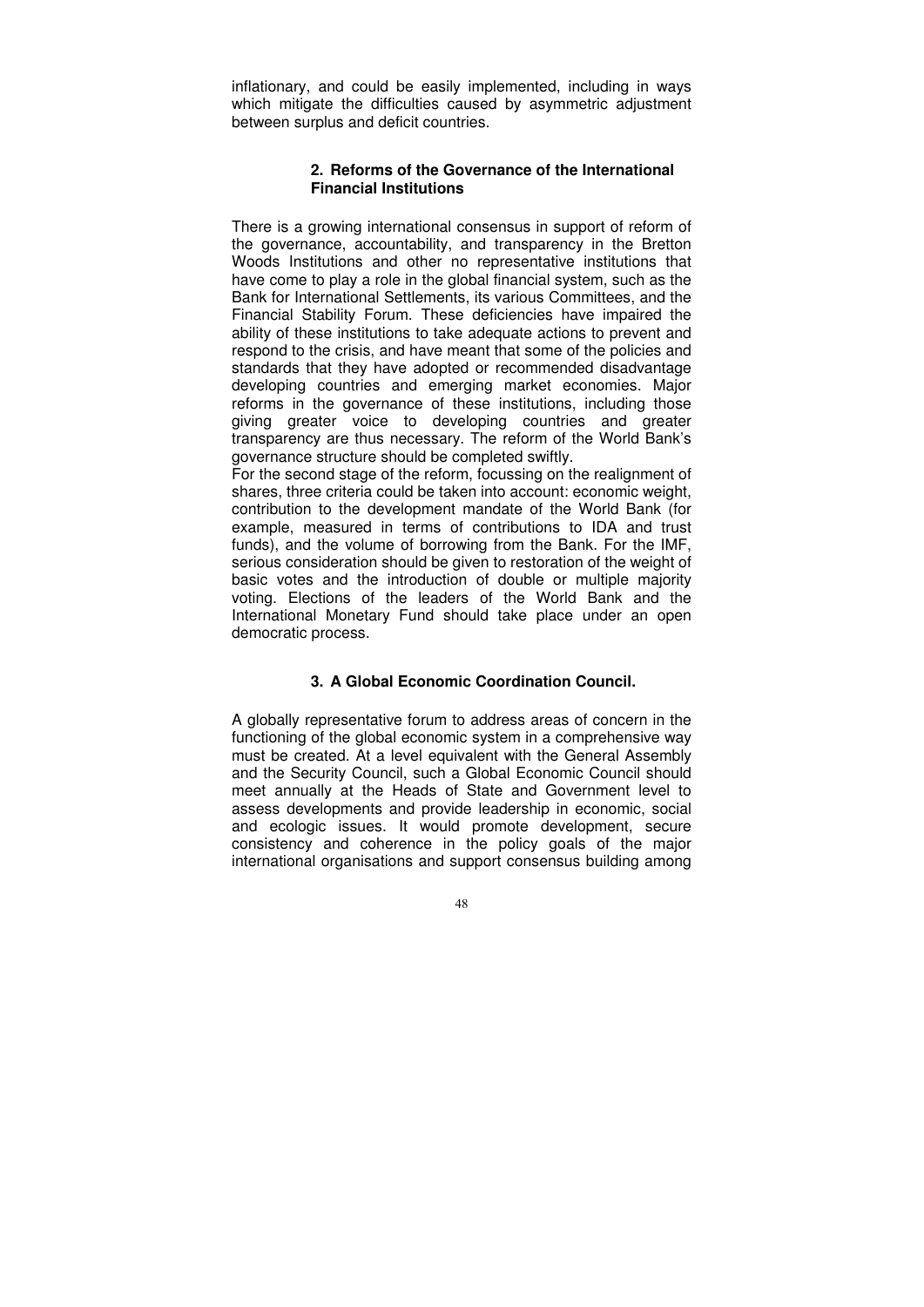inflationary, and could be easily implemented, including in ways which mitigate the difficulties caused by asymmetric adjustment between surplus and deficit countries.

# 2. Reforms of the Governance of the International Financial Institutions

There is a growing international consensus in support of reform of the governance, accountability, and transparency in the Bretton Woods Institutions and other no representative institutions that have come to play a role in the global financial system, such as the Bank for International Settlements, its various Committees, and the Financial Stability Forum. These deficiencies have impaired the ability of these institutions to take adequate actions to prevent and respond to the crisis, and have meant that some of the policies and standards that they have adopted or recommended disadvantage developing countries and emerging market economies. Major reforms in the governance of these institutions, including those giving greater voice to developing countries and greater transparency are thus necessary. The reform of the World Bank's governance structure should be completed swiftly.

For the second stage of the reform, focussing on the realignment of shares, three criteria could be taken into account: economic weight, contribution to the development mandate of the World Bank (for example, measured in terms of contributions to IDA and trust funds), and the volume of borrowing from the Bank. For the IMF, serious consideration should be given to restoration of the weight of basic votes and the introduction of double or multiple majority voting. Elections of the leaders of the World Bank and the International Monetary Fund should take place under an open democratic process.

# 3. A Global Economic Coordination Council.

A globally representative forum to address areas of concern in the functioning of the global economic system in a comprehensive way must be created. At a level equivalent with the General Assembly and the Security Council, such a Global Economic Council should meet annually at the Heads of State and Government level to assess developments and provide leadership in economic, social and ecologic issues. It would promote development, secure consistency and coherence in the policy goals of the major international organisations and support consensus building among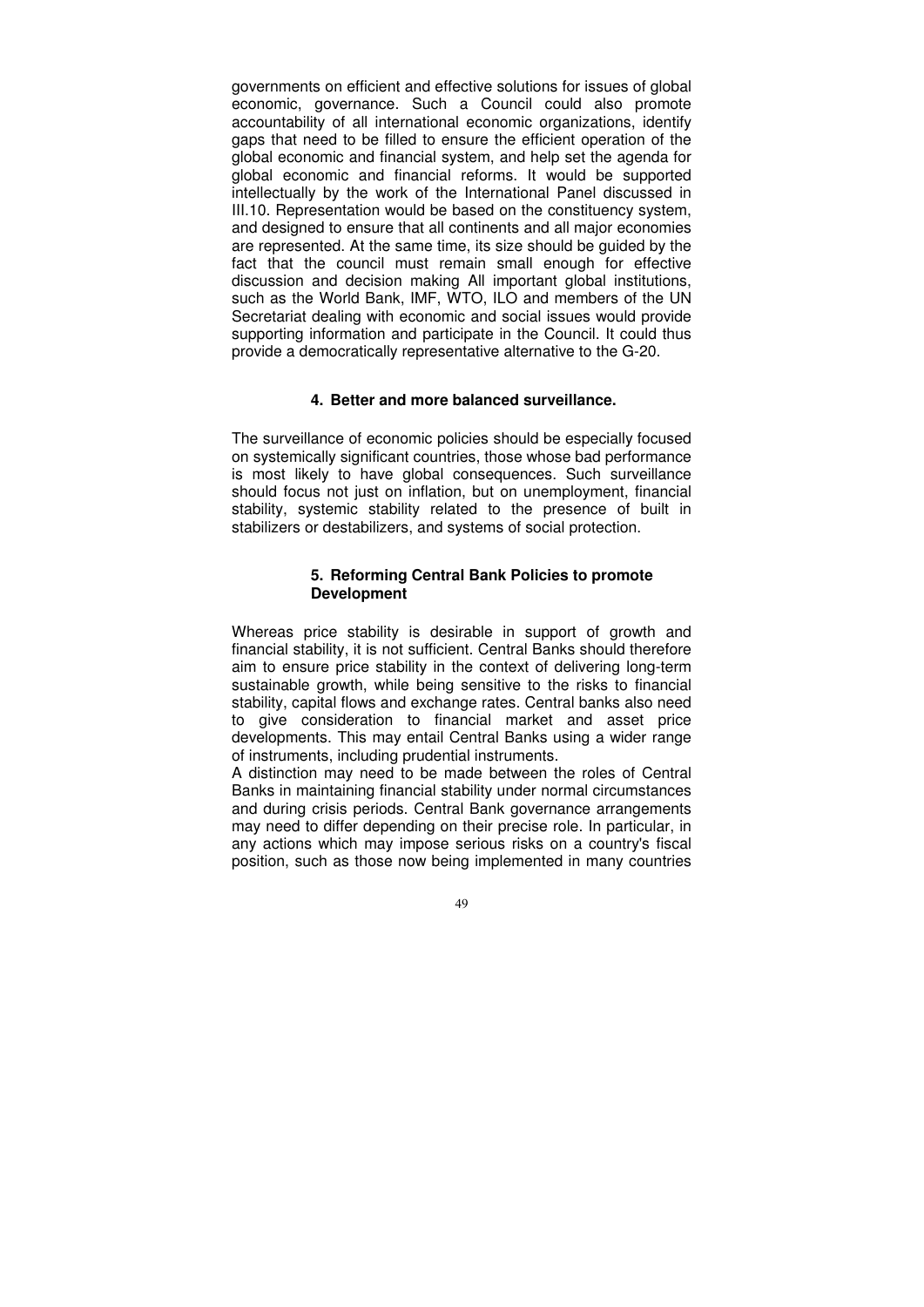governments on efficient and effective solutions for issues of global economic, governance. Such a Council could also promote accountability of all international economic organizations, identify gaps that need to be filled to ensure the efficient operation of the global economic and financial system, and help set the agenda for global economic and financial reforms. It would be supported intellectually by the work of the International Panel discussed in III.10. Representation would be based on the constituency system, and designed to ensure that all continents and all major economies are represented. At the same time, its size should be guided by the fact that the council must remain small enough for effective discussion and decision making All important global institutions, such as the World Bank, IMF, WTO, ILO and members of the UN Secretariat dealing with economic and social issues would provide supporting information and participate in the Council. It could thus provide a democratically representative alternative to the G-20.

#### 4. Better and more balanced surveillance.

The surveillance of economic policies should be especially focused on systemically significant countries, those whose bad performance is most likely to have global consequences. Such surveillance should focus not just on inflation, but on unemployment, financial stability, systemic stability related to the presence of built in stabilizers or destabilizers, and systems of social protection.

#### 5. Reforming Central Bank Policies to promote Development

Whereas price stability is desirable in support of growth and financial stability, it is not sufficient. Central Banks should therefore aim to ensure price stability in the context of delivering long-term sustainable growth, while being sensitive to the risks to financial stability, capital flows and exchange rates. Central banks also need to give consideration to financial market and asset price developments. This may entail Central Banks using a wider range of instruments, including prudential instruments.

A distinction may need to be made between the roles of Central Banks in maintaining financial stability under normal circumstances and during crisis periods. Central Bank governance arrangements may need to differ depending on their precise role. In particular, in any actions which may impose serious risks on a country's fiscal position, such as those now being implemented in many countries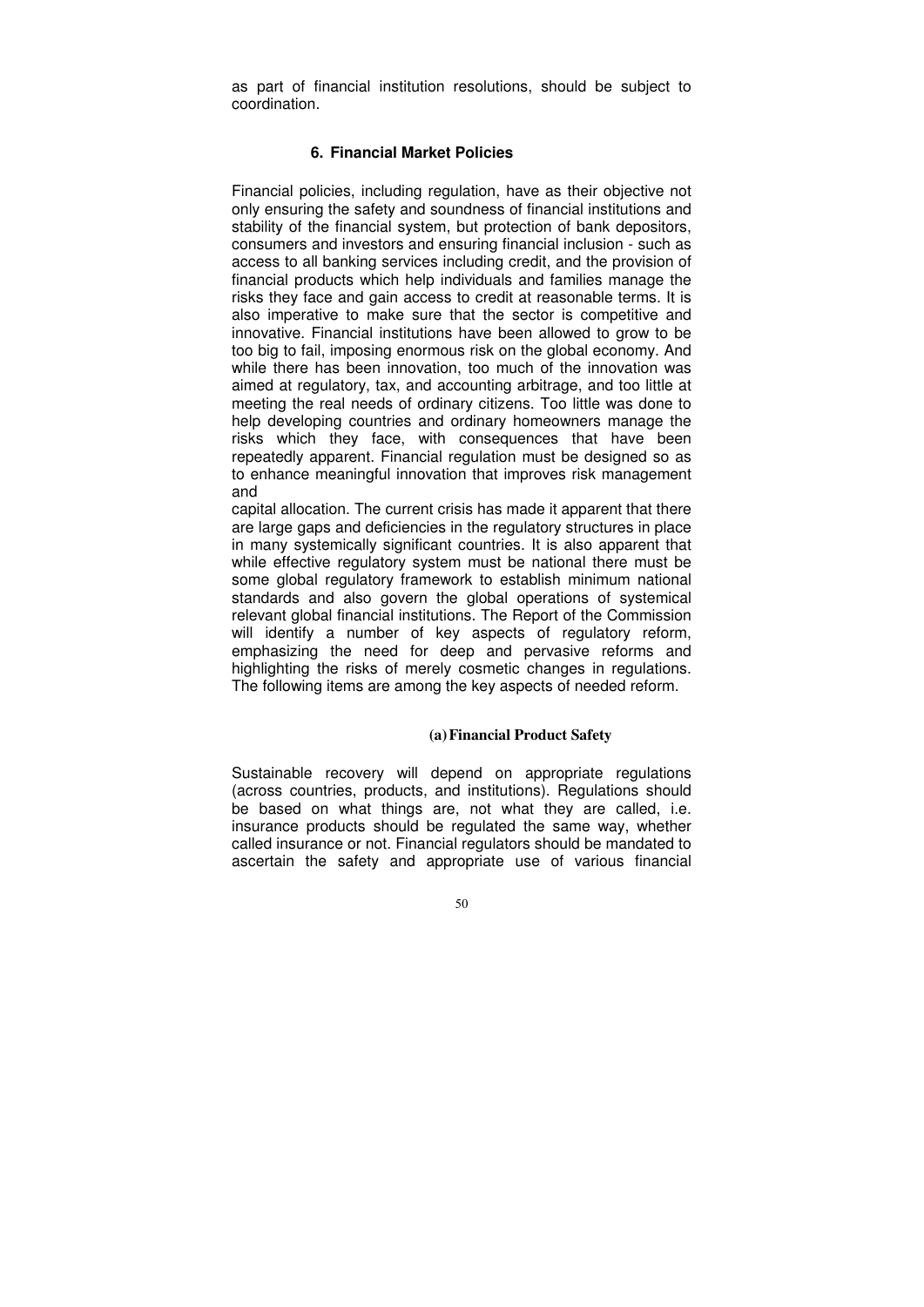as part of financial institution resolutions, should be subject to coordination.

#### 6. Financial Market Policies

Financial policies, including regulation, have as their objective not only ensuring the safety and soundness of financial institutions and stability of the financial system, but protection of bank depositors, consumers and investors and ensuring financial inclusion - such as access to all banking services including credit, and the provision of financial products which help individuals and families manage the risks they face and gain access to credit at reasonable terms. It is also imperative to make sure that the sector is competitive and innovative. Financial institutions have been allowed to grow to be too big to fail, imposing enormous risk on the global economy. And while there has been innovation, too much of the innovation was aimed at regulatory, tax, and accounting arbitrage, and too little at meeting the real needs of ordinary citizens. Too little was done to help developing countries and ordinary homeowners manage the risks which they face, with consequences that have been repeatedly apparent. Financial regulation must be designed so as to enhance meaningful innovation that improves risk management and

capital allocation. The current crisis has made it apparent that there are large gaps and deficiencies in the regulatory structures in place in many systemically significant countries. It is also apparent that while effective regulatory system must be national there must be some global regulatory framework to establish minimum national standards and also govern the global operations of systemical relevant global financial institutions. The Report of the Commission will identify a number of key aspects of regulatory reform, emphasizing the need for deep and pervasive reforms and highlighting the risks of merely cosmetic changes in regulations. The following items are among the key aspects of needed reform.

#### (a)Financial Product Safety

Sustainable recovery will depend on appropriate regulations (across countries, products, and institutions). Regulations should be based on what things are, not what they are called, i.e. insurance products should be regulated the same way, whether called insurance or not. Financial regulators should be mandated to ascertain the safety and appropriate use of various financial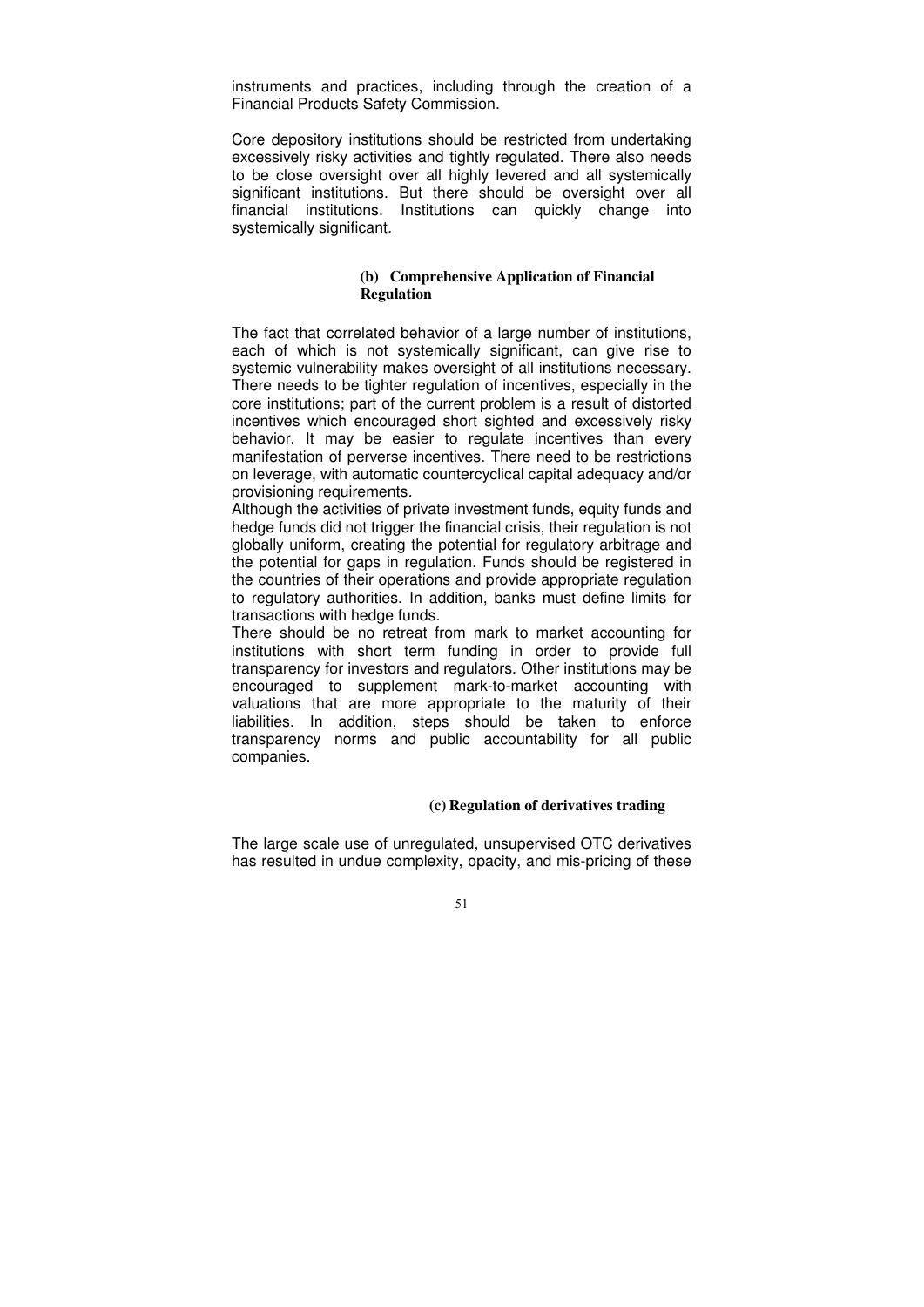instruments and practices, including through the creation of a Financial Products Safety Commission.

Core depository institutions should be restricted from undertaking excessively risky activities and tightly regulated. There also needs to be close oversight over all highly levered and all systemically significant institutions. But there should be oversight over all financial institutions. Institutions can quickly change into systemically significant.

#### (b) Comprehensive Application of Financial Regulation

The fact that correlated behavior of a large number of institutions, each of which is not systemically significant, can give rise to systemic vulnerability makes oversight of all institutions necessary. There needs to be tighter regulation of incentives, especially in the core institutions; part of the current problem is a result of distorted incentives which encouraged short sighted and excessively risky behavior. It may be easier to regulate incentives than every manifestation of perverse incentives. There need to be restrictions on leverage, with automatic countercyclical capital adequacy and/or provisioning requirements.

Although the activities of private investment funds, equity funds and hedge funds did not trigger the financial crisis, their regulation is not globally uniform, creating the potential for regulatory arbitrage and the potential for gaps in regulation. Funds should be registered in the countries of their operations and provide appropriate regulation to regulatory authorities. In addition, banks must define limits for transactions with hedge funds.

There should be no retreat from mark to market accounting for institutions with short term funding in order to provide full transparency for investors and regulators. Other institutions may be encouraged to supplement mark-to-market accounting with valuations that are more appropriate to the maturity of their liabilities. In addition, steps should be taken to enforce transparency norms and public accountability for all public companies.

#### (c) Regulation of derivatives trading

The large scale use of unregulated, unsupervised OTC derivatives has resulted in undue complexity, opacity, and mis-pricing of these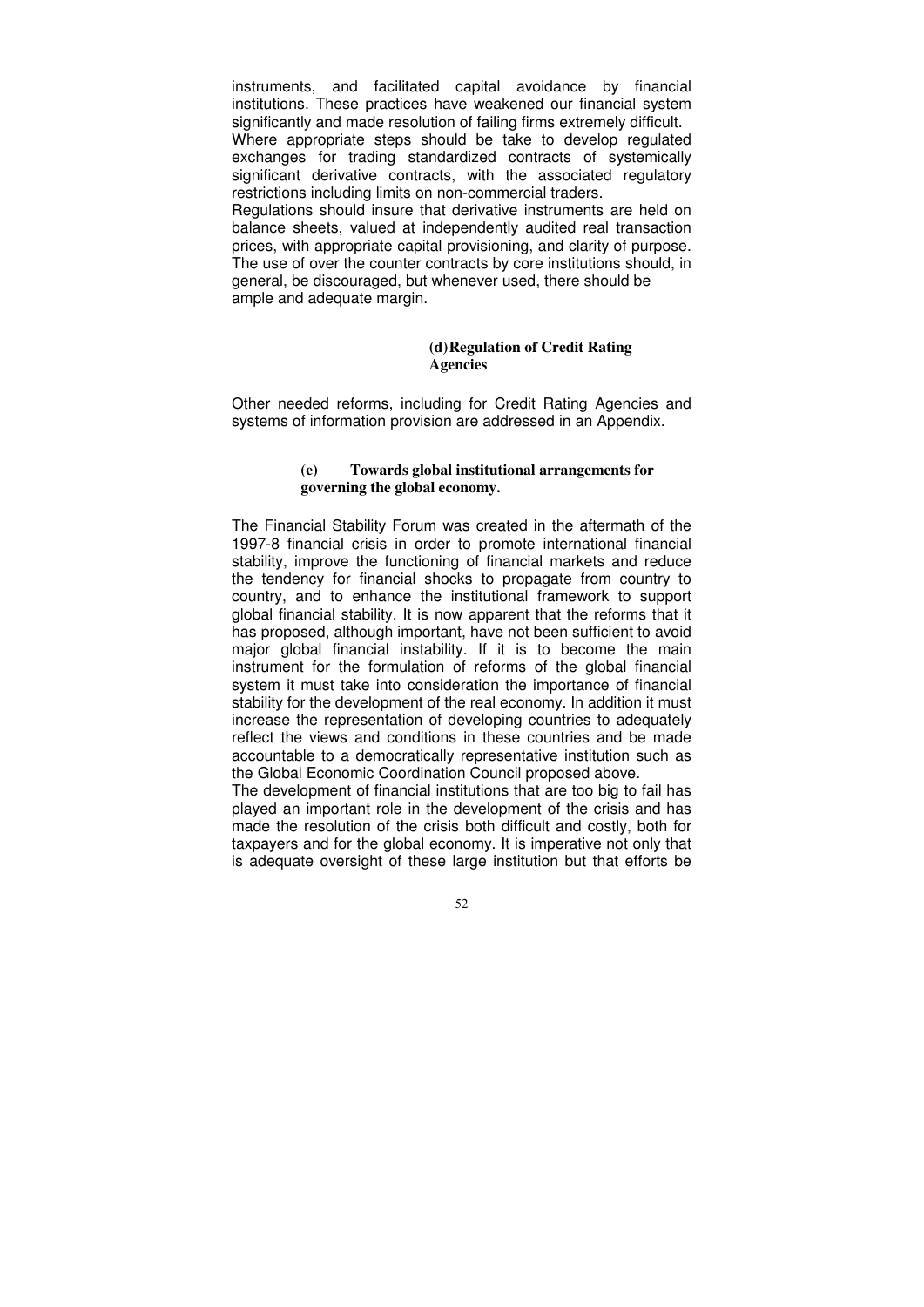instruments, and facilitated capital avoidance by financial institutions. These practices have weakened our financial system significantly and made resolution of failing firms extremely difficult. Where appropriate steps should be take to develop regulated exchanges for trading standardized contracts of systemically significant derivative contracts, with the associated regulatory restrictions including limits on non-commercial traders. Regulations should insure that derivative instruments are held on balance sheets, valued at independently audited real transaction prices, with appropriate capital provisioning, and clarity of purpose. The use of over the counter contracts by core institutions should, in general, be discouraged, but whenever used, there should be ample and adequate margin.

#### (d)Regulation of Credit Rating Agencies

Other needed reforms, including for Credit Rating Agencies and systems of information provision are addressed in an Appendix.

#### (e) Towards global institutional arrangements for governing the global economy.

The Financial Stability Forum was created in the aftermath of the 1997-8 financial crisis in order to promote international financial stability, improve the functioning of financial markets and reduce the tendency for financial shocks to propagate from country to country, and to enhance the institutional framework to support global financial stability. It is now apparent that the reforms that it has proposed, although important, have not been sufficient to avoid major global financial instability. If it is to become the main instrument for the formulation of reforms of the global financial system it must take into consideration the importance of financial stability for the development of the real economy. In addition it must increase the representation of developing countries to adequately reflect the views and conditions in these countries and be made accountable to a democratically representative institution such as the Global Economic Coordination Council proposed above.

The development of financial institutions that are too big to fail has played an important role in the development of the crisis and has made the resolution of the crisis both difficult and costly, both for taxpayers and for the global economy. It is imperative not only that is adequate oversight of these large institution but that efforts be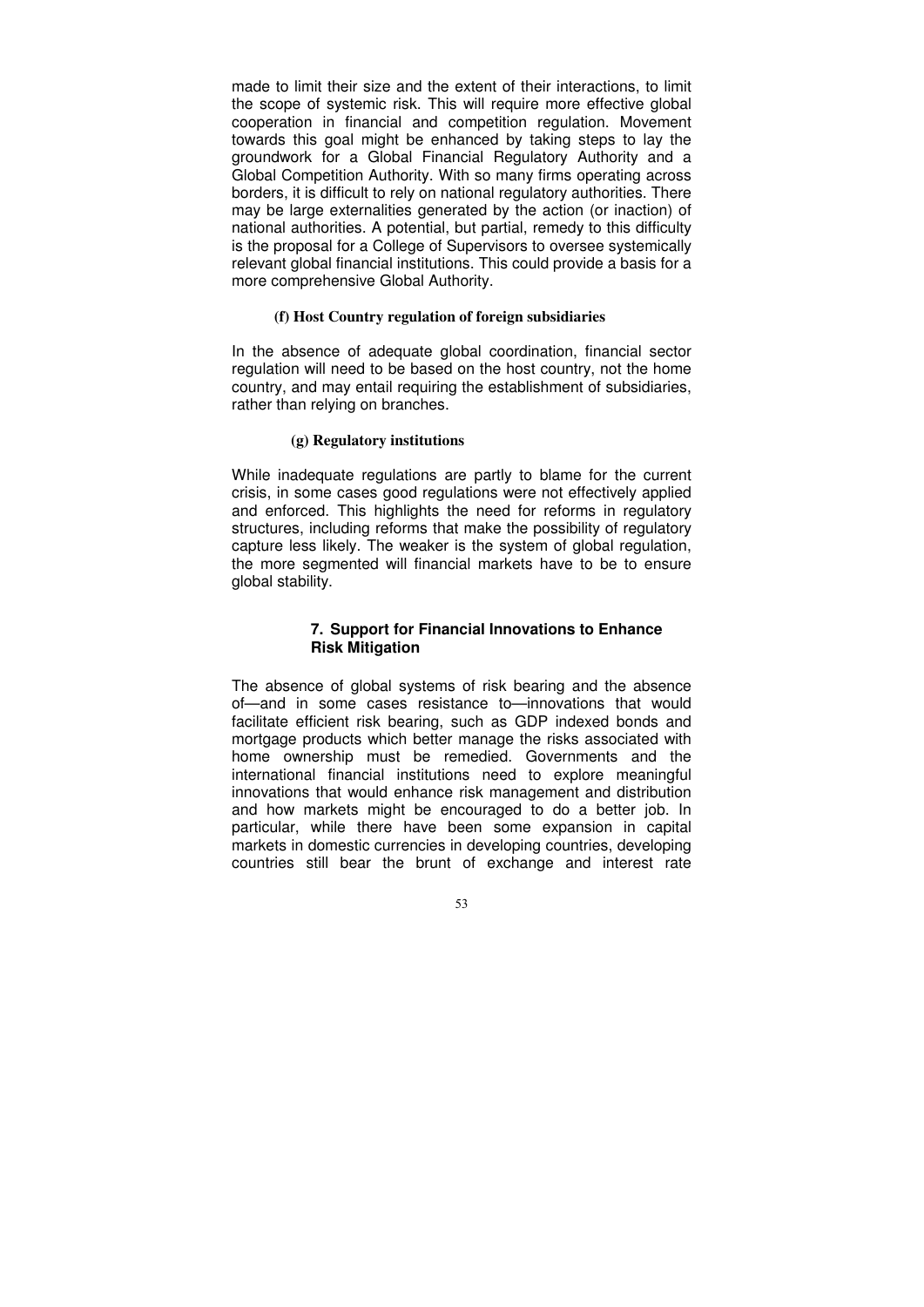made to limit their size and the extent of their interactions, to limit the scope of systemic risk. This will require more effective global cooperation in financial and competition regulation. Movement towards this goal might be enhanced by taking steps to lay the groundwork for a Global Financial Regulatory Authority and a Global Competition Authority. With so many firms operating across borders, it is difficult to rely on national regulatory authorities. There may be large externalities generated by the action (or inaction) of national authorities. A potential, but partial, remedy to this difficulty is the proposal for a College of Supervisors to oversee systemically relevant global financial institutions. This could provide a basis for a more comprehensive Global Authority.

#### (f) Host Country regulation of foreign subsidiaries

In the absence of adequate global coordination, financial sector regulation will need to be based on the host country, not the home country, and may entail requiring the establishment of subsidiaries, rather than relying on branches.

#### (g) Regulatory institutions

While inadequate regulations are partly to blame for the current crisis, in some cases good regulations were not effectively applied and enforced. This highlights the need for reforms in regulatory structures, including reforms that make the possibility of regulatory capture less likely. The weaker is the system of global regulation, the more segmented will financial markets have to be to ensure global stability.

# 7. Support for Financial Innovations to Enhance Risk Mitigation

The absence of global systems of risk bearing and the absence of—and in some cases resistance to—innovations that would facilitate efficient risk bearing, such as GDP indexed bonds and mortgage products which better manage the risks associated with home ownership must be remedied. Governments and the international financial institutions need to explore meaningful innovations that would enhance risk management and distribution and how markets might be encouraged to do a better job. In particular, while there have been some expansion in capital markets in domestic currencies in developing countries, developing countries still bear the brunt of exchange and interest rate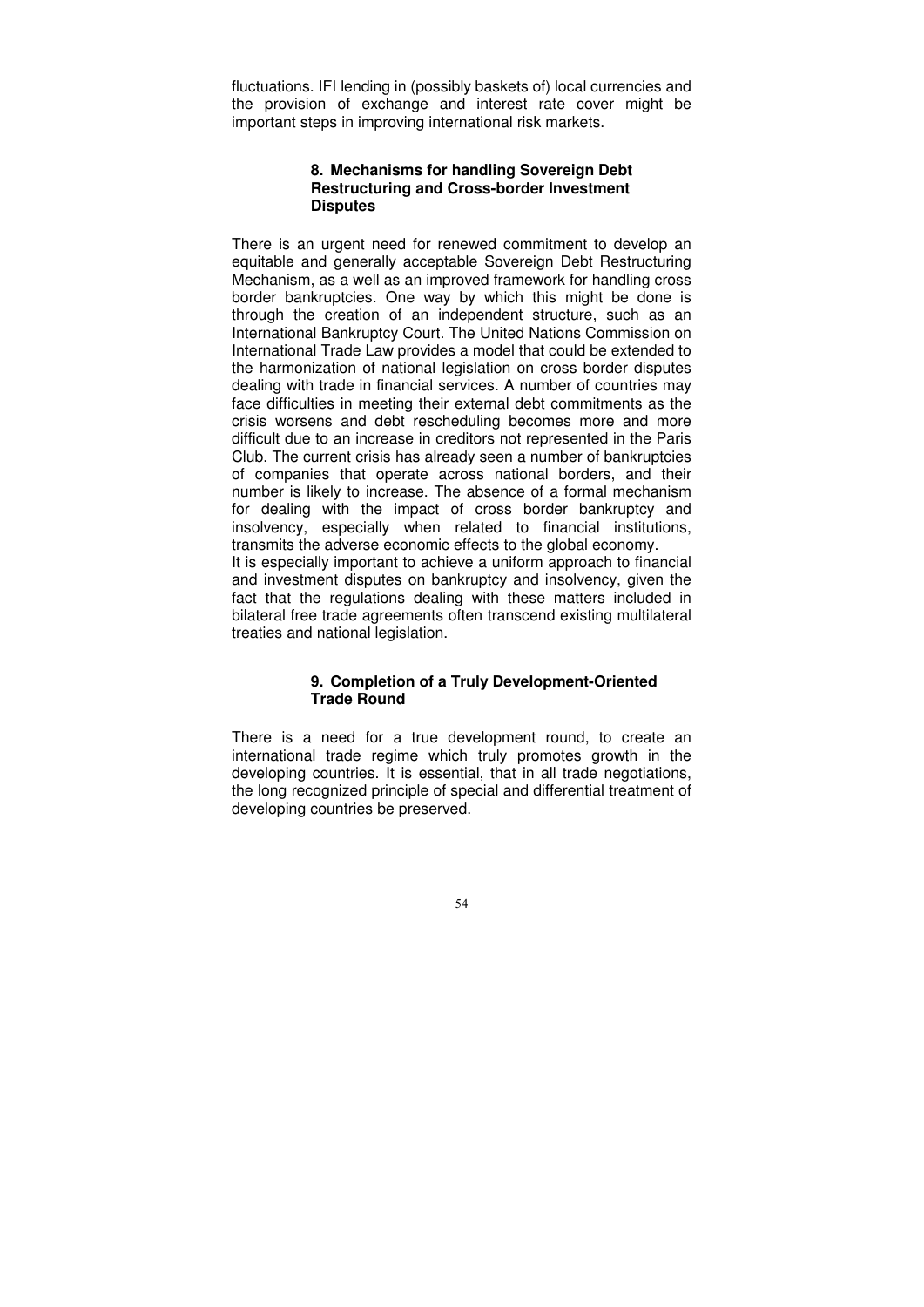# 8. Mechanisms for handling Sovereign Debt Restructuring and Cross-border Investment **Disputes**

fluctuations. IFI lending in (possibly baskets of) local currencies and the provision of exchange and interest rate cover might be important steps in improving international risk markets.

There is an urgent need for renewed commitment to develop an equitable and generally acceptable Sovereign Debt Restructuring Mechanism, as a well as an improved framework for handling cross border bankruptcies. One way by which this might be done is through the creation of an independent structure, such as an International Bankruptcy Court. The United Nations Commission on International Trade Law provides a model that could be extended to the harmonization of national legislation on cross border disputes dealing with trade in financial services. A number of countries may face difficulties in meeting their external debt commitments as the crisis worsens and debt rescheduling becomes more and more difficult due to an increase in creditors not represented in the Paris Club. The current crisis has already seen a number of bankruptcies of companies that operate across national borders, and their number is likely to increase. The absence of a formal mechanism for dealing with the impact of cross border bankruptcy and insolvency, especially when related to financial institutions, transmits the adverse economic effects to the global economy. It is especially important to achieve a uniform approach to financial and investment disputes on bankruptcy and insolvency, given the fact that the regulations dealing with these matters included in bilateral free trade agreements often transcend existing multilateral treaties and national legislation.

# 9. Completion of a Truly Development-Oriented Trade Round

There is a need for a true development round, to create an international trade regime which truly promotes growth in the developing countries. It is essential, that in all trade negotiations, the long recognized principle of special and differential treatment of developing countries be preserved.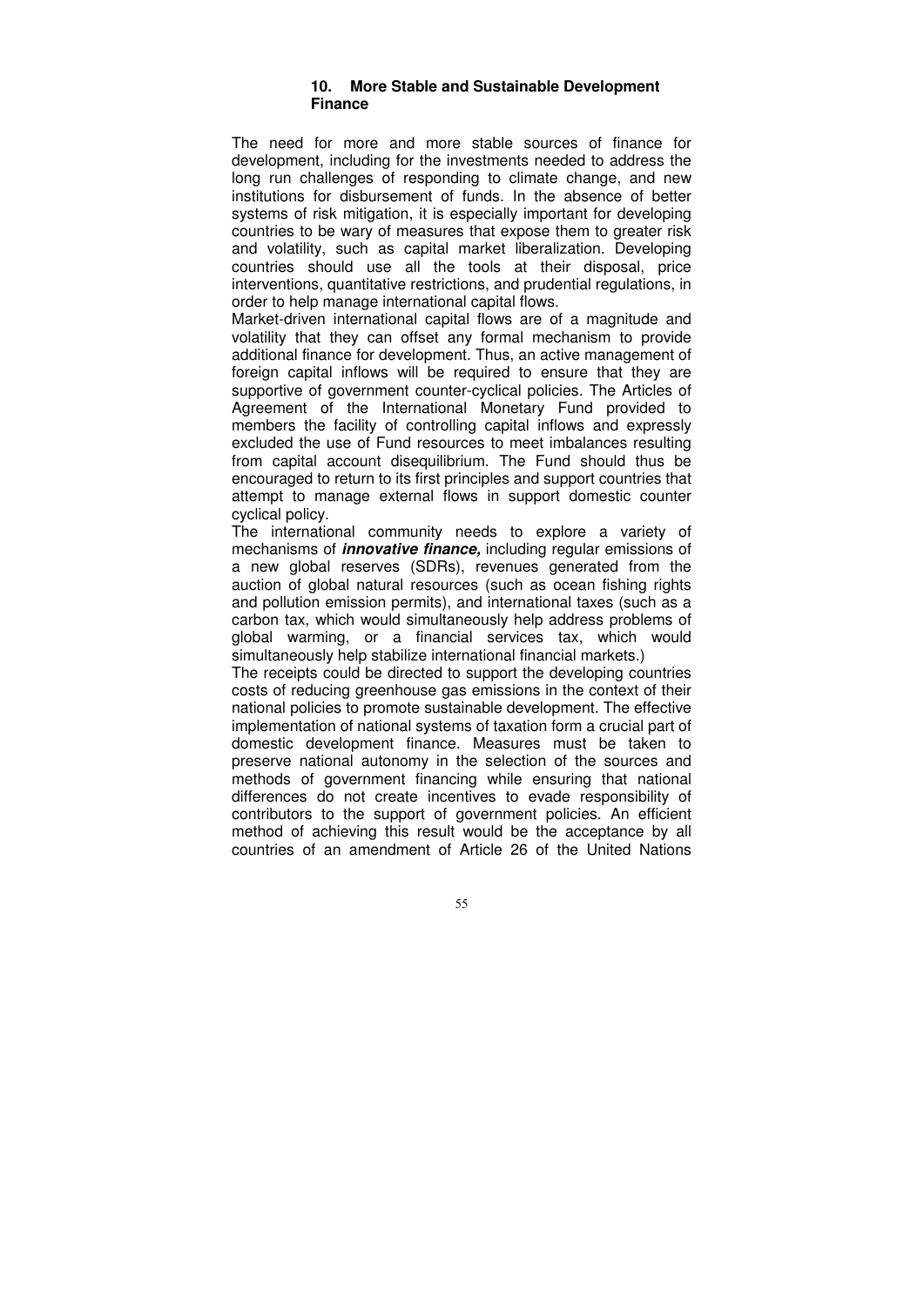# 10. More Stable and Sustainable Development Finance

The need for more and more stable sources of finance for development, including for the investments needed to address the long run challenges of responding to climate change, and new institutions for disbursement of funds. In the absence of better systems of risk mitigation, it is especially important for developing countries to be wary of measures that expose them to greater risk and volatility, such as capital market liberalization. Developing countries should use all the tools at their disposal, price interventions, quantitative restrictions, and prudential regulations, in order to help manage international capital flows.

Market-driven international capital flows are of a magnitude and volatility that they can offset any formal mechanism to provide additional finance for development. Thus, an active management of foreign capital inflows will be required to ensure that they are supportive of government counter-cyclical policies. The Articles of Agreement of the International Monetary Fund provided to members the facility of controlling capital inflows and expressly excluded the use of Fund resources to meet imbalances resulting from capital account disequilibrium. The Fund should thus be encouraged to return to its first principles and support countries that attempt to manage external flows in support domestic counter cyclical policy.

The international community needs to explore a variety of mechanisms of *innovative finance*, including regular emissions of a new global reserves (SDRs), revenues generated from the auction of global natural resources (such as ocean fishing rights and pollution emission permits), and international taxes (such as a carbon tax, which would simultaneously help address problems of global warming, or a financial services tax, which would simultaneously help stabilize international financial markets.)

The receipts could be directed to support the developing countries costs of reducing greenhouse gas emissions in the context of their national policies to promote sustainable development. The effective implementation of national systems of taxation form a crucial part of domestic development finance. Measures must be taken to preserve national autonomy in the selection of the sources and methods of government financing while ensuring that national differences do not create incentives to evade responsibility of contributors to the support of government policies. An efficient method of achieving this result would be the acceptance by all countries of an amendment of Article 26 of the United Nations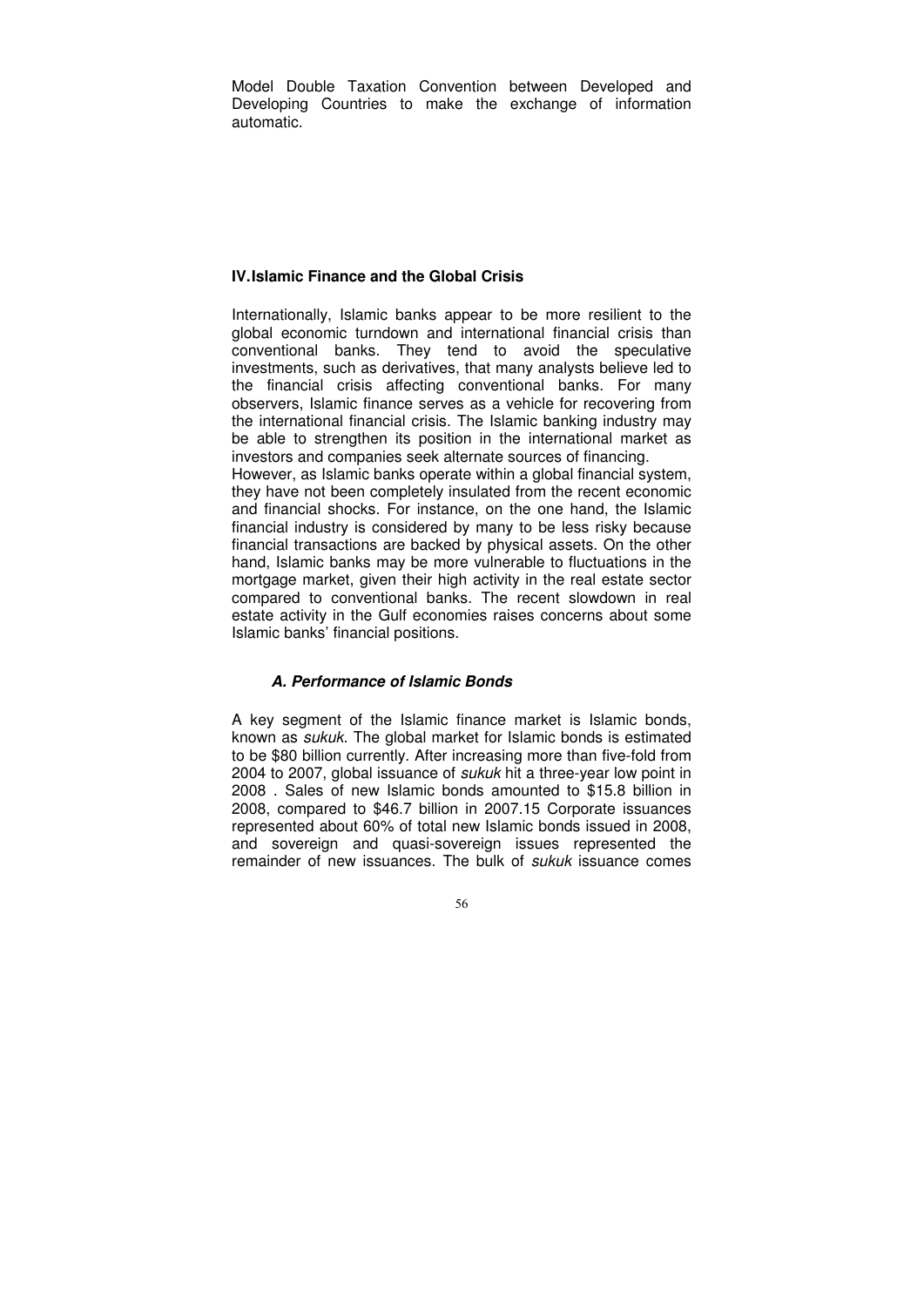Model Double Taxation Convention between Developed and Developing Countries to make the exchange of information automatic.

# IV. Islamic Finance and the Global Crisis

Internationally, Islamic banks appear to be more resilient to the global economic turndown and international financial crisis than conventional banks. They tend to avoid the speculative investments, such as derivatives, that many analysts believe led to the financial crisis affecting conventional banks. For many observers, Islamic finance serves as a vehicle for recovering from the international financial crisis. The Islamic banking industry may be able to strengthen its position in the international market as investors and companies seek alternate sources of financing.

However, as Islamic banks operate within a global financial system, they have not been completely insulated from the recent economic and financial shocks. For instance, on the one hand, the Islamic financial industry is considered by many to be less risky because financial transactions are backed by physical assets. On the other hand, Islamic banks may be more vulnerable to fluctuations in the mortgage market, given their high activity in the real estate sector compared to conventional banks. The recent slowdown in real estate activity in the Gulf economies raises concerns about some Islamic banks' financial positions.

# A. Performance of Islamic Bonds

A key segment of the Islamic finance market is Islamic bonds, known as sukuk. The global market for Islamic bonds is estimated to be \$80 billion currently. After increasing more than five-fold from 2004 to 2007, global issuance of sukuk hit a three-year low point in 2008 . Sales of new Islamic bonds amounted to \$15.8 billion in 2008, compared to \$46.7 billion in 2007.15 Corporate issuances represented about 60% of total new Islamic bonds issued in 2008, and sovereign and quasi-sovereign issues represented the remainder of new issuances. The bulk of sukuk issuance comes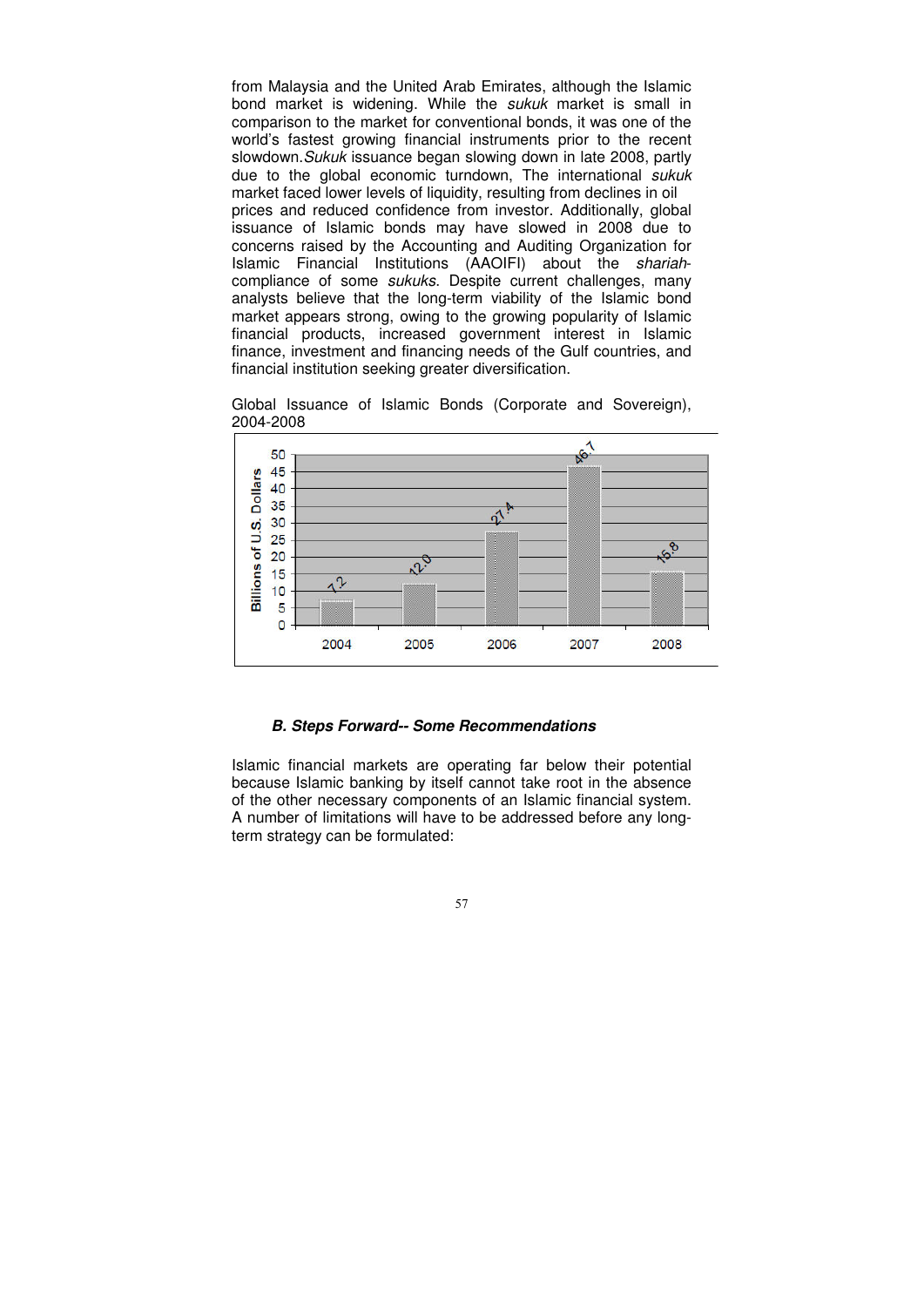from Malaysia and the United Arab Emirates, although the Islamic bond market is widening. While the sukuk market is small in comparison to the market for conventional bonds, it was one of the world's fastest growing financial instruments prior to the recent slowdown. Sukuk issuance began slowing down in late 2008, partly due to the global economic turndown, The international sukuk market faced lower levels of liquidity, resulting from declines in oil prices and reduced confidence from investor. Additionally, global issuance of Islamic bonds may have slowed in 2008 due to concerns raised by the Accounting and Auditing Organization for Islamic Financial Institutions (AAOIFI) about the shariahcompliance of some sukuks. Despite current challenges, many analysts believe that the long-term viability of the Islamic bond market appears strong, owing to the growing popularity of Islamic financial products, increased government interest in Islamic finance, investment and financing needs of the Gulf countries, and financial institution seeking greater diversification.



Global Issuance of Islamic Bonds (Corporate and Sovereign), 2004-2008

#### B. Steps Forward-- Some Recommendations

Islamic financial markets are operating far below their potential because Islamic banking by itself cannot take root in the absence of the other necessary components of an Islamic financial system. A number of limitations will have to be addressed before any longterm strategy can be formulated: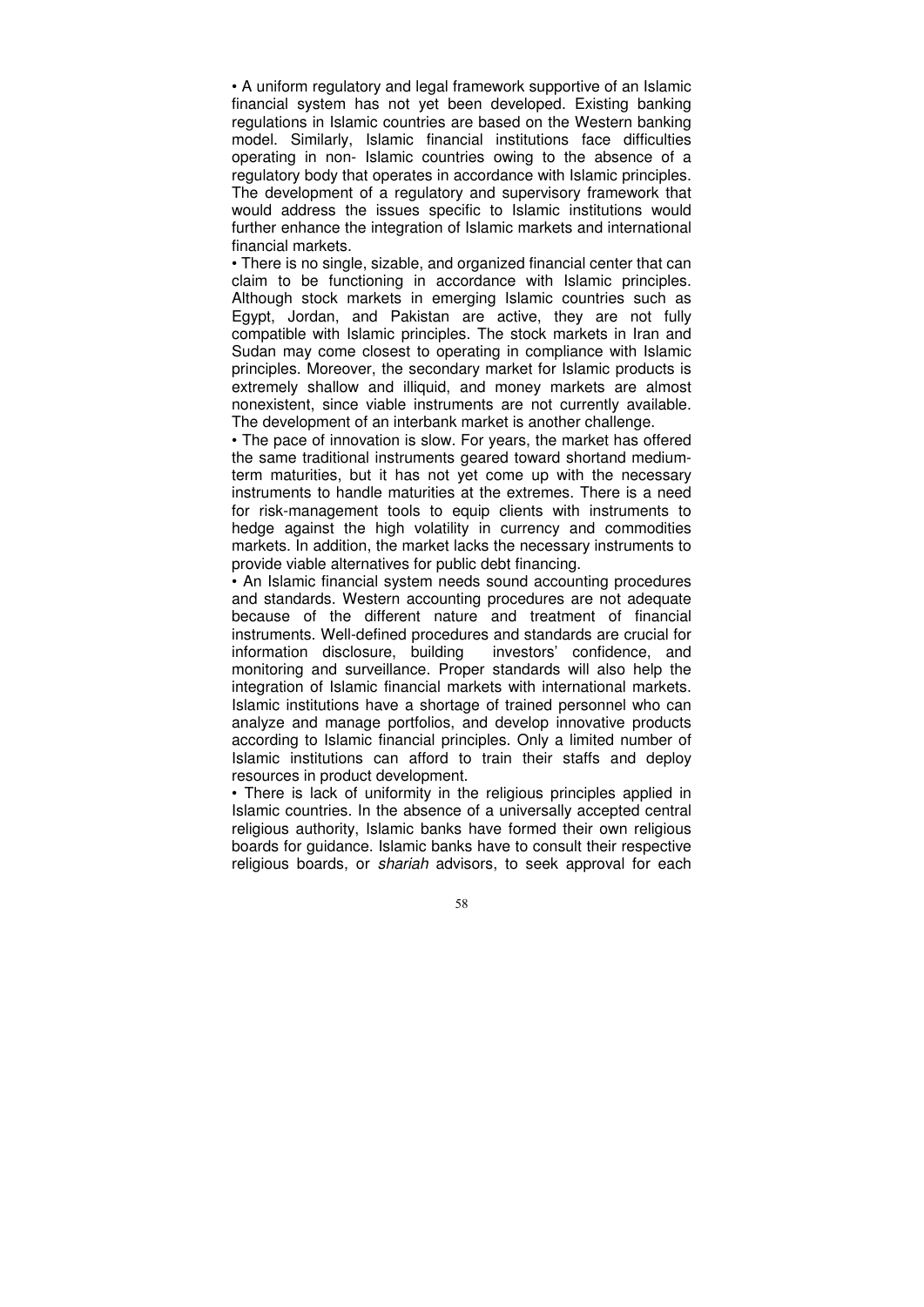• A uniform regulatory and legal framework supportive of an Islamic financial system has not yet been developed. Existing banking regulations in Islamic countries are based on the Western banking model. Similarly, Islamic financial institutions face difficulties operating in non- Islamic countries owing to the absence of a regulatory body that operates in accordance with Islamic principles. The development of a regulatory and supervisory framework that would address the issues specific to Islamic institutions would further enhance the integration of Islamic markets and international financial markets.

• There is no single, sizable, and organized financial center that can claim to be functioning in accordance with Islamic principles. Although stock markets in emerging Islamic countries such as Egypt, Jordan, and Pakistan are active, they are not fully compatible with Islamic principles. The stock markets in Iran and Sudan may come closest to operating in compliance with Islamic principles. Moreover, the secondary market for Islamic products is extremely shallow and illiquid, and money markets are almost nonexistent, since viable instruments are not currently available. The development of an interbank market is another challenge.

• The pace of innovation is slow. For years, the market has offered the same traditional instruments geared toward shortand mediumterm maturities, but it has not yet come up with the necessary instruments to handle maturities at the extremes. There is a need for risk-management tools to equip clients with instruments to hedge against the high volatility in currency and commodities markets. In addition, the market lacks the necessary instruments to provide viable alternatives for public debt financing.

• An Islamic financial system needs sound accounting procedures and standards. Western accounting procedures are not adequate because of the different nature and treatment of financial instruments. Well-defined procedures and standards are crucial for information disclosure, building investors' confidence, and monitoring and surveillance. Proper standards will also help the integration of Islamic financial markets with international markets. Islamic institutions have a shortage of trained personnel who can analyze and manage portfolios, and develop innovative products according to Islamic financial principles. Only a limited number of Islamic institutions can afford to train their staffs and deploy resources in product development.

• There is lack of uniformity in the religious principles applied in Islamic countries. In the absence of a universally accepted central religious authority, Islamic banks have formed their own religious boards for guidance. Islamic banks have to consult their respective religious boards, or shariah advisors, to seek approval for each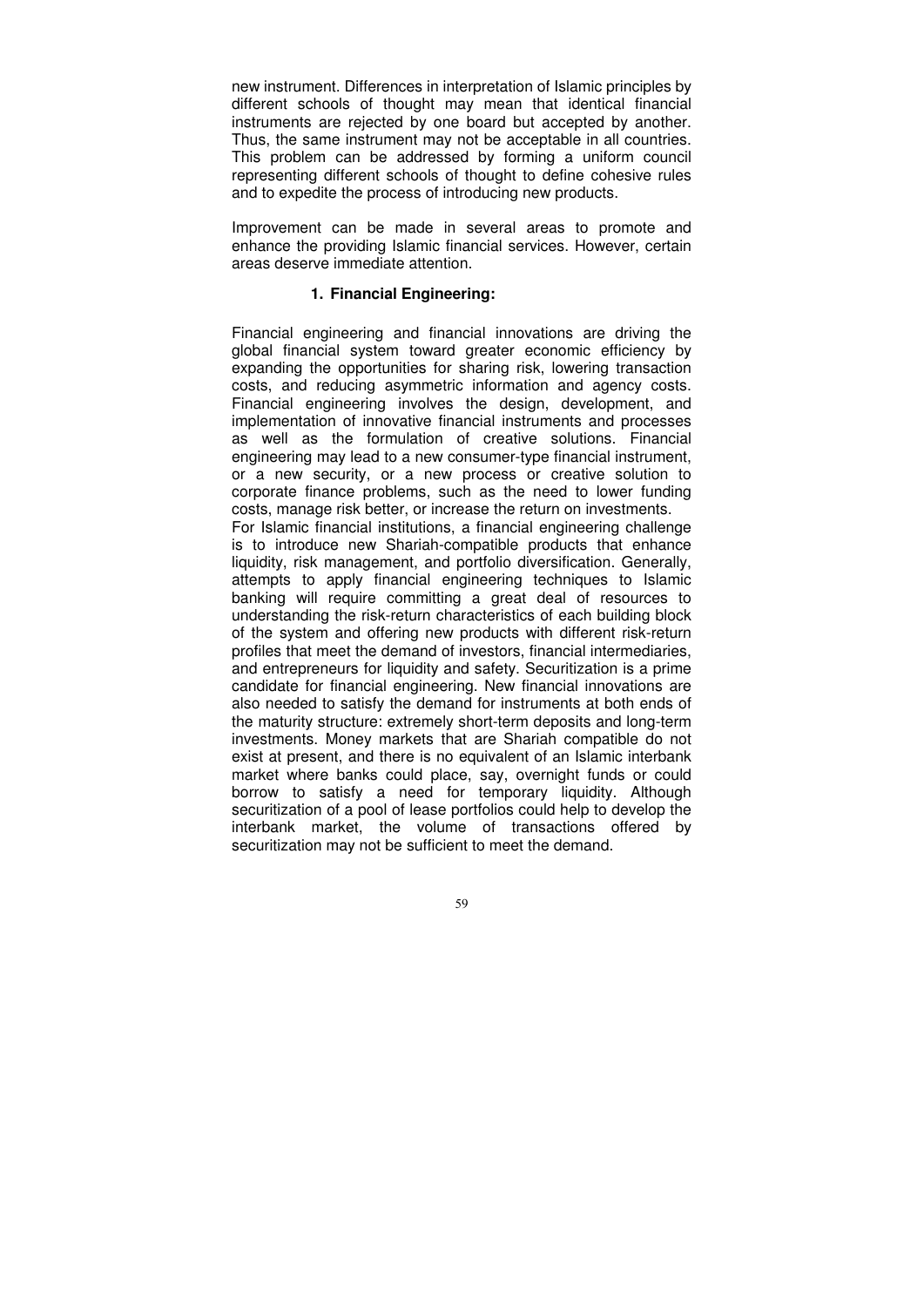new instrument. Differences in interpretation of Islamic principles by different schools of thought may mean that identical financial instruments are rejected by one board but accepted by another. Thus, the same instrument may not be acceptable in all countries. This problem can be addressed by forming a uniform council representing different schools of thought to define cohesive rules and to expedite the process of introducing new products.

Improvement can be made in several areas to promote and enhance the providing Islamic financial services. However, certain areas deserve immediate attention.

# 1. Financial Engineering:

Financial engineering and financial innovations are driving the global financial system toward greater economic efficiency by expanding the opportunities for sharing risk, lowering transaction costs, and reducing asymmetric information and agency costs. Financial engineering involves the design, development, and implementation of innovative financial instruments and processes as well as the formulation of creative solutions. Financial engineering may lead to a new consumer-type financial instrument, or a new security, or a new process or creative solution to corporate finance problems, such as the need to lower funding costs, manage risk better, or increase the return on investments. For Islamic financial institutions, a financial engineering challenge is to introduce new Shariah-compatible products that enhance liquidity, risk management, and portfolio diversification. Generally, attempts to apply financial engineering techniques to Islamic banking will require committing a great deal of resources to understanding the risk-return characteristics of each building block of the system and offering new products with different risk-return profiles that meet the demand of investors, financial intermediaries, and entrepreneurs for liquidity and safety. Securitization is a prime candidate for financial engineering. New financial innovations are also needed to satisfy the demand for instruments at both ends of the maturity structure: extremely short-term deposits and long-term investments. Money markets that are Shariah compatible do not exist at present, and there is no equivalent of an Islamic interbank market where banks could place, say, overnight funds or could borrow to satisfy a need for temporary liquidity. Although securitization of a pool of lease portfolios could help to develop the interbank market, the volume of transactions offered by securitization may not be sufficient to meet the demand.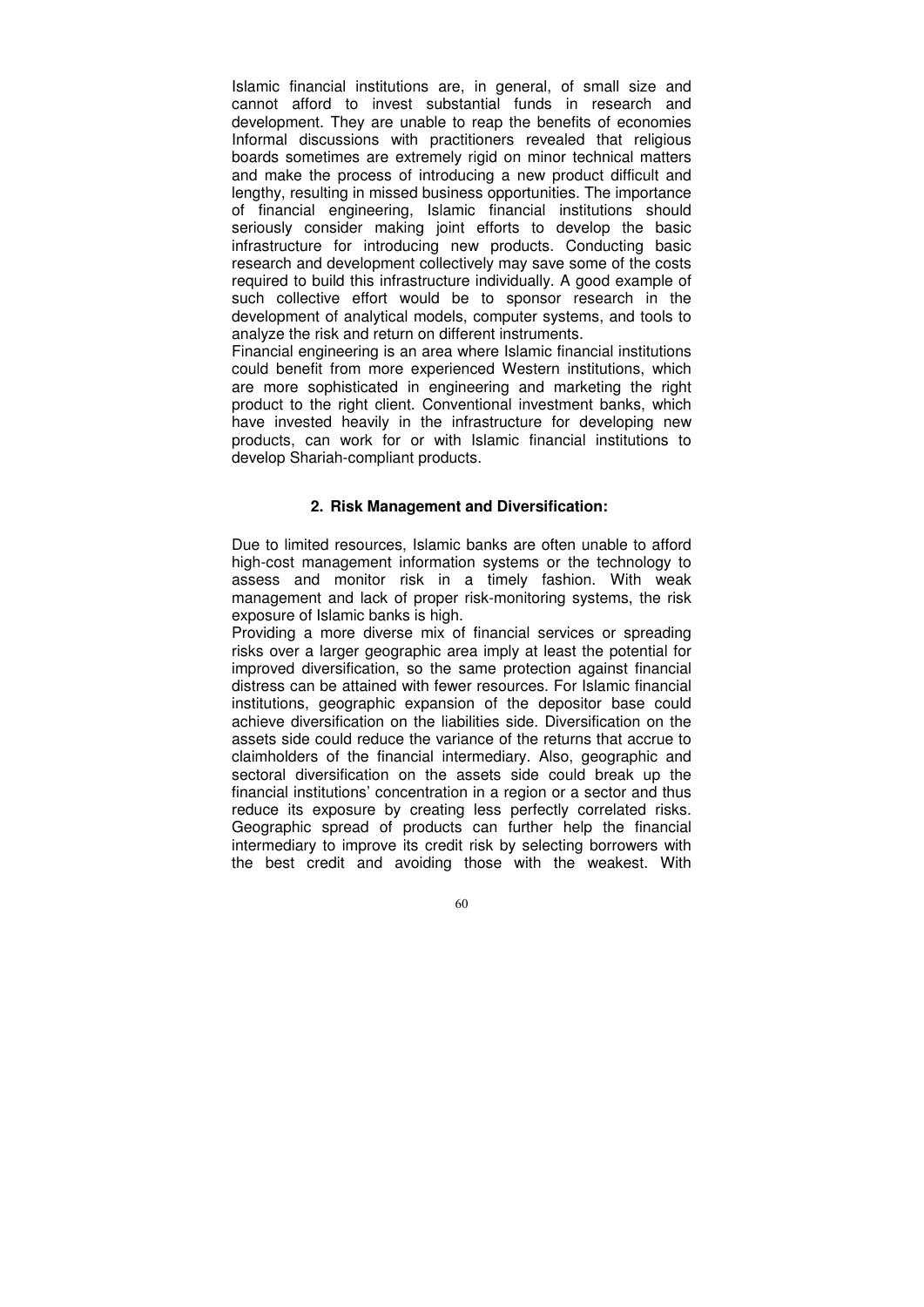Islamic financial institutions are, in general, of small size and cannot afford to invest substantial funds in research and development. They are unable to reap the benefits of economies Informal discussions with practitioners revealed that religious boards sometimes are extremely rigid on minor technical matters and make the process of introducing a new product difficult and lengthy, resulting in missed business opportunities. The importance of financial engineering, Islamic financial institutions should seriously consider making joint efforts to develop the basic infrastructure for introducing new products. Conducting basic research and development collectively may save some of the costs required to build this infrastructure individually. A good example of such collective effort would be to sponsor research in the development of analytical models, computer systems, and tools to analyze the risk and return on different instruments.

Financial engineering is an area where Islamic financial institutions could benefit from more experienced Western institutions, which are more sophisticated in engineering and marketing the right product to the right client. Conventional investment banks, which have invested heavily in the infrastructure for developing new products, can work for or with Islamic financial institutions to develop Shariah-compliant products.

# 2. Risk Management and Diversification:

Due to limited resources, Islamic banks are often unable to afford high-cost management information systems or the technology to assess and monitor risk in a timely fashion. With weak management and lack of proper risk-monitoring systems, the risk exposure of Islamic banks is high.

Providing a more diverse mix of financial services or spreading risks over a larger geographic area imply at least the potential for improved diversification, so the same protection against financial distress can be attained with fewer resources. For Islamic financial institutions, geographic expansion of the depositor base could achieve diversification on the liabilities side. Diversification on the assets side could reduce the variance of the returns that accrue to claimholders of the financial intermediary. Also, geographic and sectoral diversification on the assets side could break up the financial institutions' concentration in a region or a sector and thus reduce its exposure by creating less perfectly correlated risks. Geographic spread of products can further help the financial intermediary to improve its credit risk by selecting borrowers with the best credit and avoiding those with the weakest. With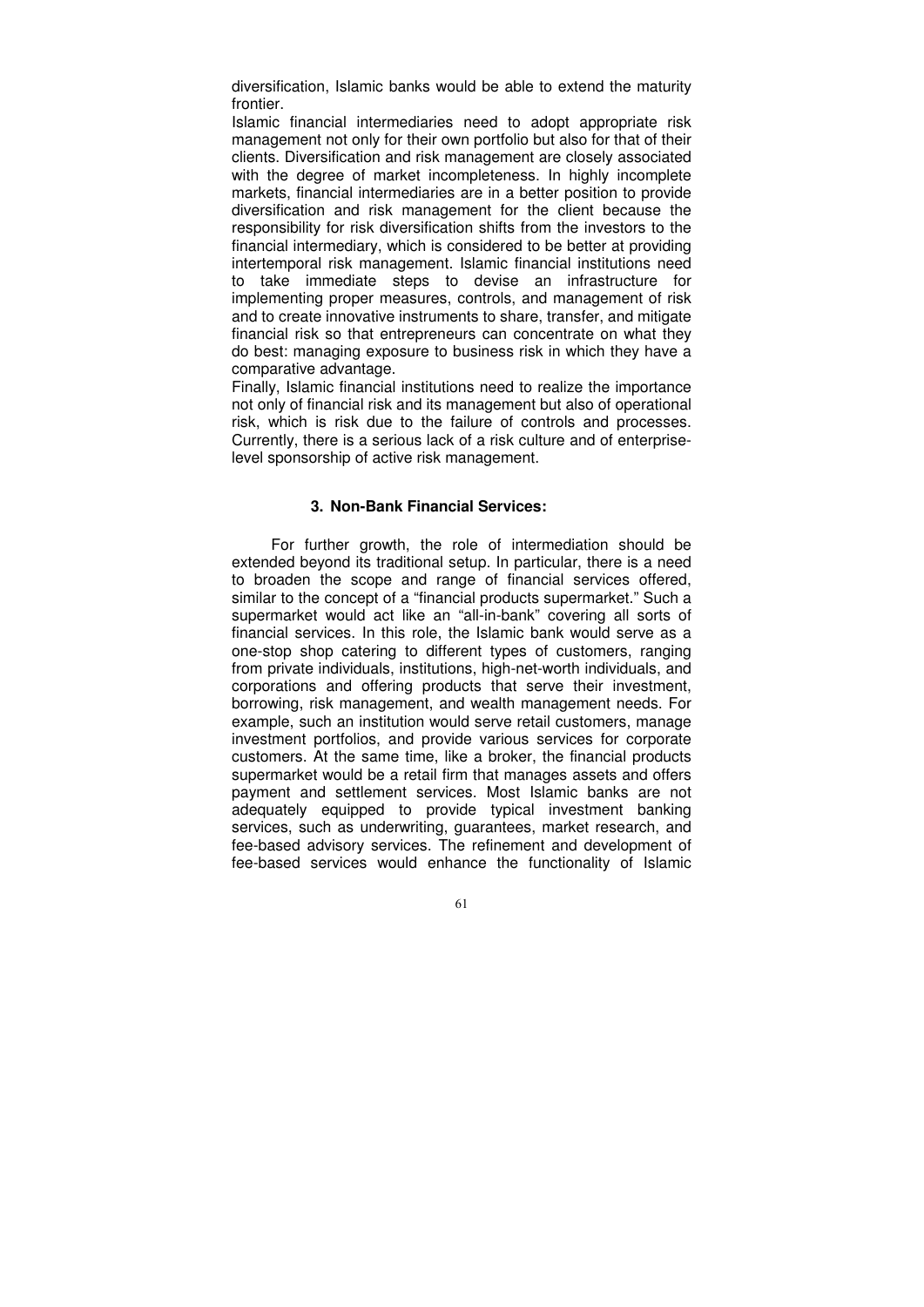diversification, Islamic banks would be able to extend the maturity frontier.

Islamic financial intermediaries need to adopt appropriate risk management not only for their own portfolio but also for that of their clients. Diversification and risk management are closely associated with the degree of market incompleteness. In highly incomplete markets, financial intermediaries are in a better position to provide diversification and risk management for the client because the responsibility for risk diversification shifts from the investors to the financial intermediary, which is considered to be better at providing intertemporal risk management. Islamic financial institutions need to take immediate steps to devise an infrastructure for implementing proper measures, controls, and management of risk and to create innovative instruments to share, transfer, and mitigate financial risk so that entrepreneurs can concentrate on what they do best: managing exposure to business risk in which they have a comparative advantage.

Finally, Islamic financial institutions need to realize the importance not only of financial risk and its management but also of operational risk, which is risk due to the failure of controls and processes. Currently, there is a serious lack of a risk culture and of enterpriselevel sponsorship of active risk management.

# 3. Non-Bank Financial Services:

For further growth, the role of intermediation should be extended beyond its traditional setup. In particular, there is a need to broaden the scope and range of financial services offered, similar to the concept of a "financial products supermarket." Such a supermarket would act like an "all-in-bank" covering all sorts of financial services. In this role, the Islamic bank would serve as a one-stop shop catering to different types of customers, ranging from private individuals, institutions, high-net-worth individuals, and corporations and offering products that serve their investment, borrowing, risk management, and wealth management needs. For example, such an institution would serve retail customers, manage investment portfolios, and provide various services for corporate customers. At the same time, like a broker, the financial products supermarket would be a retail firm that manages assets and offers payment and settlement services. Most Islamic banks are not adequately equipped to provide typical investment banking services, such as underwriting, guarantees, market research, and fee-based advisory services. The refinement and development of fee-based services would enhance the functionality of Islamic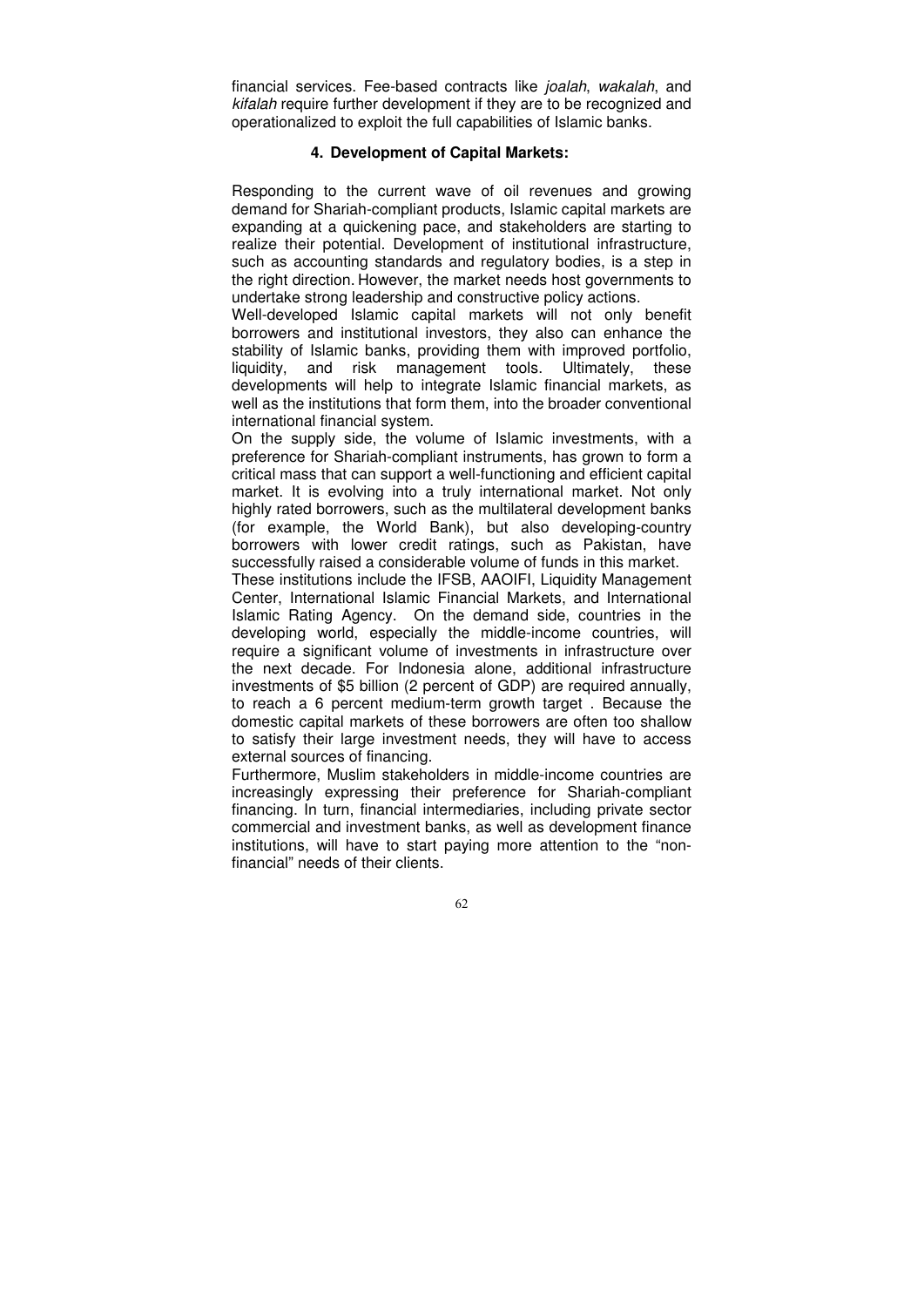financial services. Fee-based contracts like joalah, wakalah, and kifalah require further development if they are to be recognized and operationalized to exploit the full capabilities of Islamic banks.

# 4. Development of Capital Markets:

Responding to the current wave of oil revenues and growing demand for Shariah-compliant products, Islamic capital markets are expanding at a quickening pace, and stakeholders are starting to realize their potential. Development of institutional infrastructure, such as accounting standards and regulatory bodies, is a step in the right direction. However, the market needs host governments to undertake strong leadership and constructive policy actions.

Well-developed Islamic capital markets will not only benefit borrowers and institutional investors, they also can enhance the stability of Islamic banks, providing them with improved portfolio, liquidity, and risk management tools. Ultimately, these developments will help to integrate Islamic financial markets, as well as the institutions that form them, into the broader conventional international financial system.

On the supply side, the volume of Islamic investments, with a preference for Shariah-compliant instruments, has grown to form a critical mass that can support a well-functioning and efficient capital market. It is evolving into a truly international market. Not only highly rated borrowers, such as the multilateral development banks (for example, the World Bank), but also developing-country borrowers with lower credit ratings, such as Pakistan, have successfully raised a considerable volume of funds in this market.

These institutions include the IFSB, AAOIFI, Liquidity Management Center, International Islamic Financial Markets, and International Islamic Rating Agency. On the demand side, countries in the developing world, especially the middle-income countries, will require a significant volume of investments in infrastructure over the next decade. For Indonesia alone, additional infrastructure investments of \$5 billion (2 percent of GDP) are required annually, to reach a 6 percent medium-term growth target . Because the domestic capital markets of these borrowers are often too shallow to satisfy their large investment needs, they will have to access external sources of financing.

Furthermore, Muslim stakeholders in middle-income countries are increasingly expressing their preference for Shariah-compliant financing. In turn, financial intermediaries, including private sector commercial and investment banks, as well as development finance institutions, will have to start paying more attention to the "nonfinancial" needs of their clients.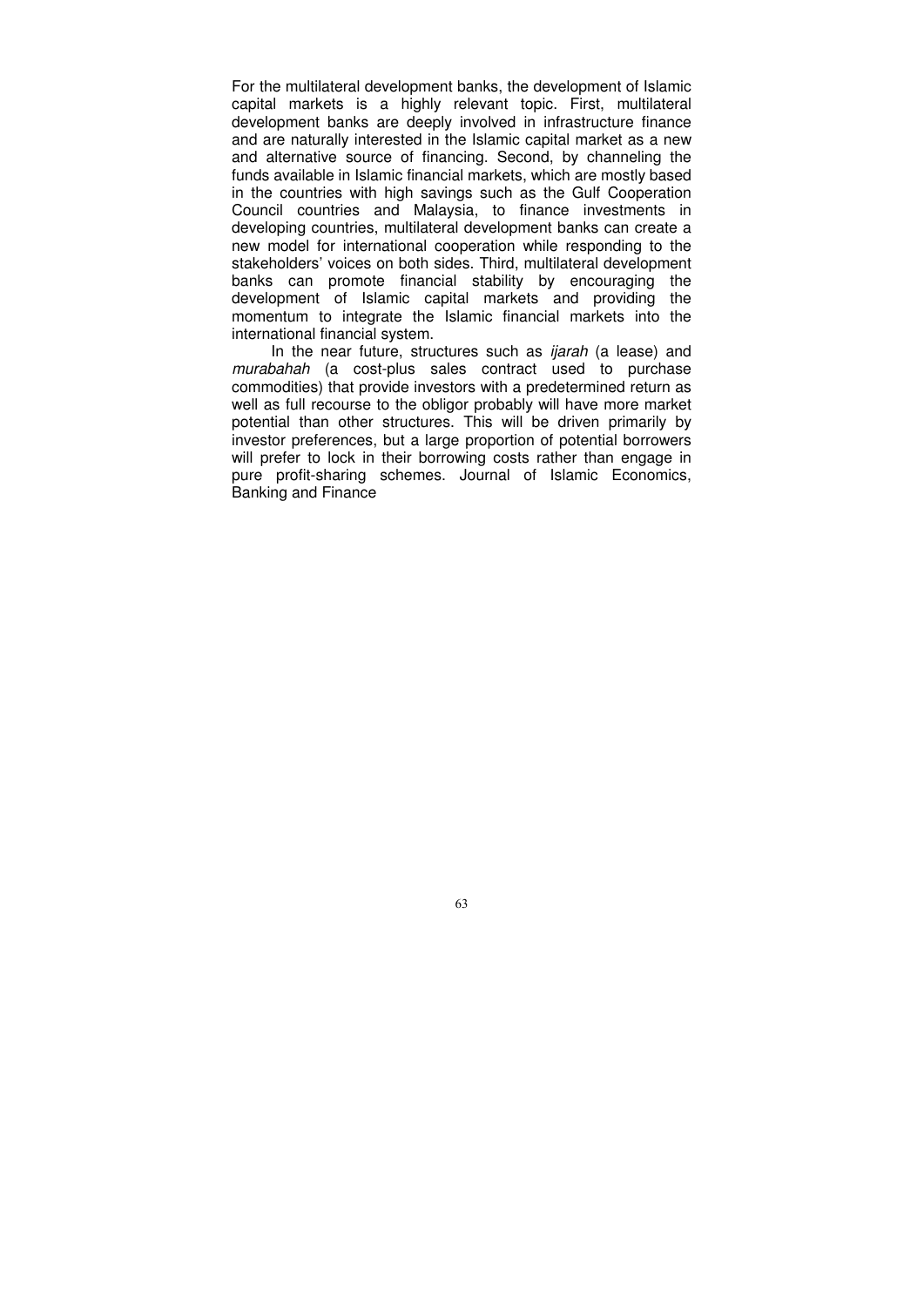For the multilateral development banks, the development of Islamic capital markets is a highly relevant topic. First, multilateral development banks are deeply involved in infrastructure finance and are naturally interested in the Islamic capital market as a new and alternative source of financing. Second, by channeling the funds available in Islamic financial markets, which are mostly based in the countries with high savings such as the Gulf Cooperation Council countries and Malaysia, to finance investments in developing countries, multilateral development banks can create a new model for international cooperation while responding to the stakeholders' voices on both sides. Third, multilateral development banks can promote financial stability by encouraging the development of Islamic capital markets and providing the momentum to integrate the Islamic financial markets into the international financial system.

In the near future, structures such as *ijarah* (a lease) and murabahah (a cost-plus sales contract used to purchase commodities) that provide investors with a predetermined return as well as full recourse to the obligor probably will have more market potential than other structures. This will be driven primarily by investor preferences, but a large proportion of potential borrowers will prefer to lock in their borrowing costs rather than engage in pure profit-sharing schemes. Journal of Islamic Economics, Banking and Finance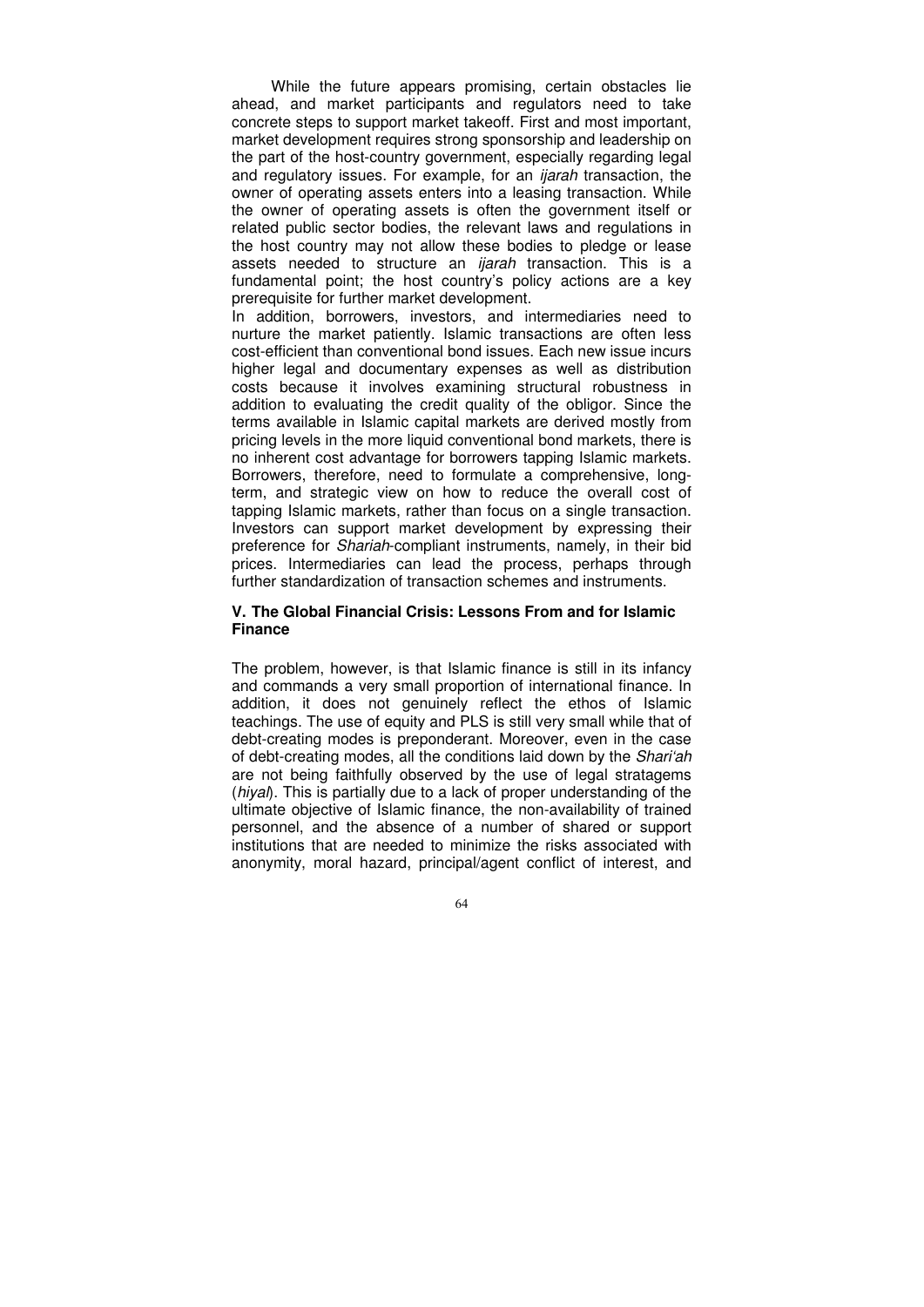While the future appears promising, certain obstacles lie ahead, and market participants and regulators need to take concrete steps to support market takeoff. First and most important, market development requires strong sponsorship and leadership on the part of the host-country government, especially regarding legal and regulatory issues. For example, for an ijarah transaction, the owner of operating assets enters into a leasing transaction. While the owner of operating assets is often the government itself or related public sector bodies, the relevant laws and regulations in the host country may not allow these bodies to pledge or lease assets needed to structure an *ijarah* transaction. This is a fundamental point; the host country's policy actions are a key prerequisite for further market development.

In addition, borrowers, investors, and intermediaries need to nurture the market patiently. Islamic transactions are often less cost-efficient than conventional bond issues. Each new issue incurs higher legal and documentary expenses as well as distribution costs because it involves examining structural robustness in addition to evaluating the credit quality of the obligor. Since the terms available in Islamic capital markets are derived mostly from pricing levels in the more liquid conventional bond markets, there is no inherent cost advantage for borrowers tapping Islamic markets. Borrowers, therefore, need to formulate a comprehensive, longterm, and strategic view on how to reduce the overall cost of tapping Islamic markets, rather than focus on a single transaction. Investors can support market development by expressing their preference for Shariah-compliant instruments, namely, in their bid prices. Intermediaries can lead the process, perhaps through further standardization of transaction schemes and instruments.

# V. The Global Financial Crisis: Lessons From and for Islamic Finance

The problem, however, is that Islamic finance is still in its infancy and commands a very small proportion of international finance. In addition, it does not genuinely reflect the ethos of Islamic teachings. The use of equity and PLS is still very small while that of debt-creating modes is preponderant. Moreover, even in the case of debt-creating modes, all the conditions laid down by the Shari'ah are not being faithfully observed by the use of legal stratagems (hiyal). This is partially due to a lack of proper understanding of the ultimate objective of Islamic finance, the non-availability of trained personnel, and the absence of a number of shared or support institutions that are needed to minimize the risks associated with anonymity, moral hazard, principal/agent conflict of interest, and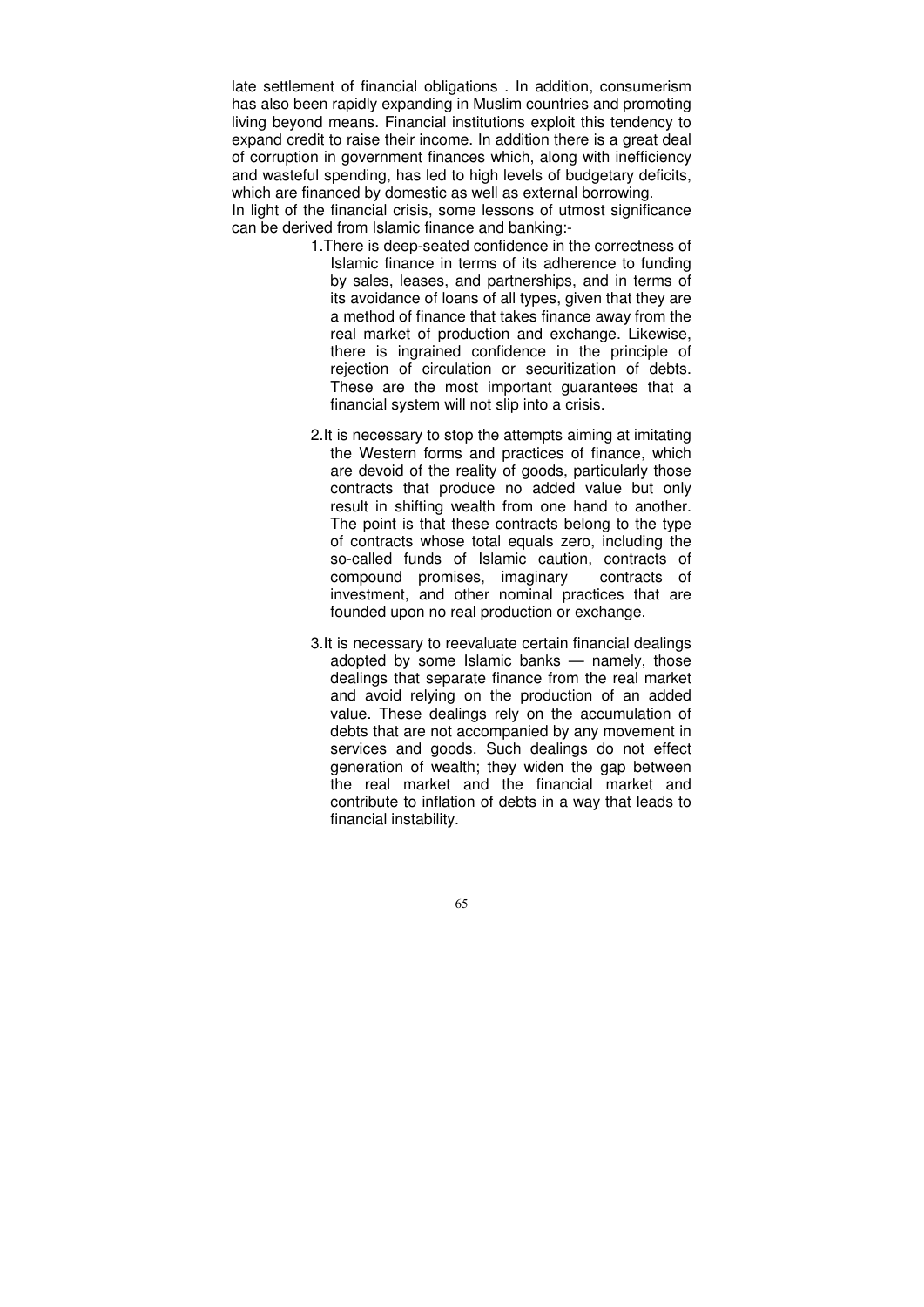late settlement of financial obligations . In addition, consumerism has also been rapidly expanding in Muslim countries and promoting living beyond means. Financial institutions exploit this tendency to expand credit to raise their income. In addition there is a great deal of corruption in government finances which, along with inefficiency and wasteful spending, has led to high levels of budgetary deficits, which are financed by domestic as well as external borrowing.

In light of the financial crisis, some lessons of utmost significance can be derived from Islamic finance and banking:-

- 1.There is deep-seated confidence in the correctness of Islamic finance in terms of its adherence to funding by sales, leases, and partnerships, and in terms of its avoidance of loans of all types, given that they are a method of finance that takes finance away from the real market of production and exchange. Likewise, there is ingrained confidence in the principle of rejection of circulation or securitization of debts. These are the most important guarantees that a financial system will not slip into a crisis.
- 2.It is necessary to stop the attempts aiming at imitating the Western forms and practices of finance, which are devoid of the reality of goods, particularly those contracts that produce no added value but only result in shifting wealth from one hand to another. The point is that these contracts belong to the type of contracts whose total equals zero, including the so-called funds of Islamic caution, contracts of compound promises, imaginary contracts of investment, and other nominal practices that are founded upon no real production or exchange.
- 3.It is necessary to reevaluate certain financial dealings adopted by some Islamic banks — namely, those dealings that separate finance from the real market and avoid relying on the production of an added value. These dealings rely on the accumulation of debts that are not accompanied by any movement in services and goods. Such dealings do not effect generation of wealth; they widen the gap between the real market and the financial market and contribute to inflation of debts in a way that leads to financial instability.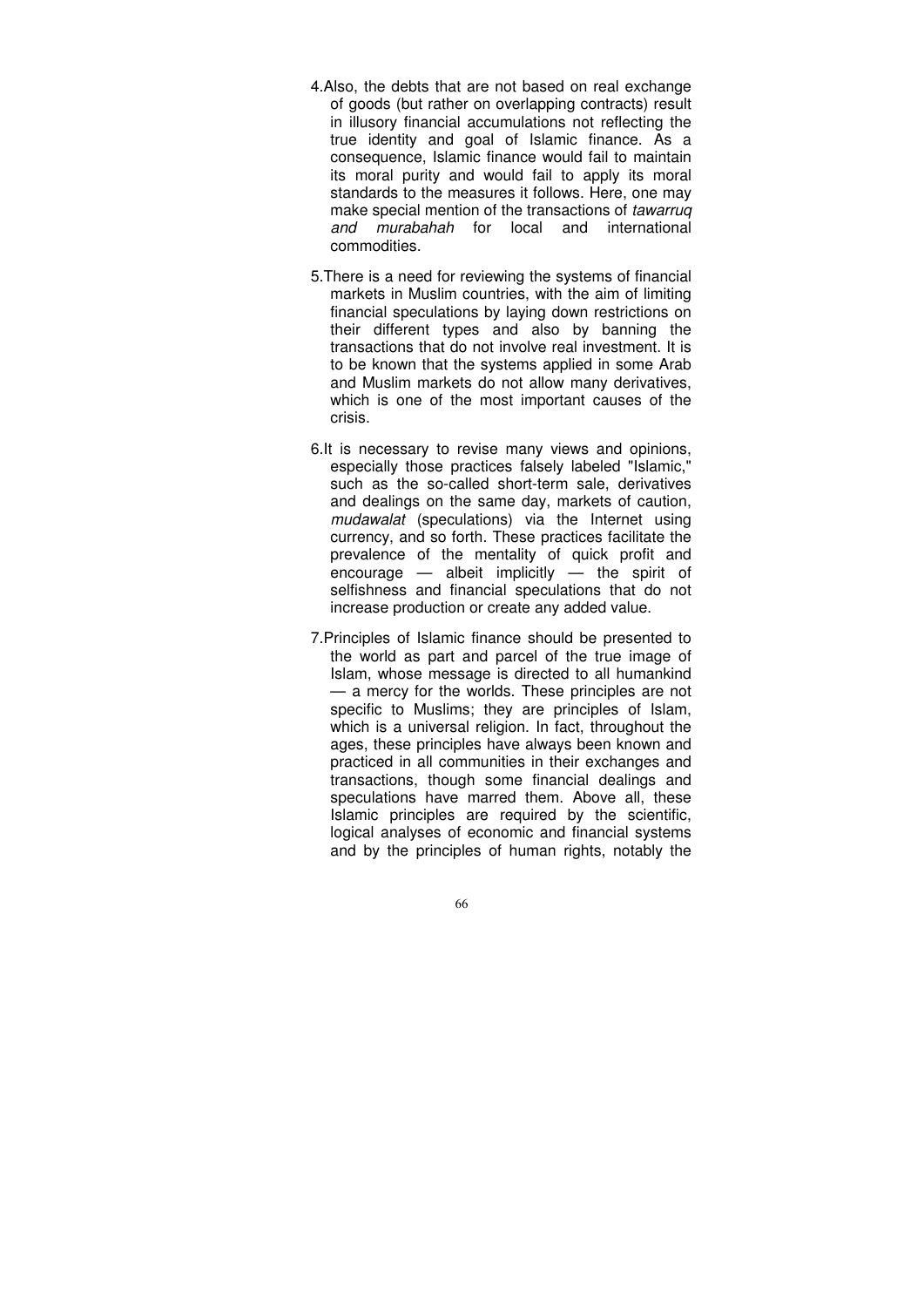- 4.Also, the debts that are not based on real exchange of goods (but rather on overlapping contracts) result in illusory financial accumulations not reflecting the true identity and goal of Islamic finance. As a consequence, Islamic finance would fail to maintain its moral purity and would fail to apply its moral standards to the measures it follows. Here, one may make special mention of the transactions of tawarruq and murabahah for local and international commodities.
- 5.There is a need for reviewing the systems of financial markets in Muslim countries, with the aim of limiting financial speculations by laying down restrictions on their different types and also by banning the transactions that do not involve real investment. It is to be known that the systems applied in some Arab and Muslim markets do not allow many derivatives, which is one of the most important causes of the crisis.
- 6.It is necessary to revise many views and opinions, especially those practices falsely labeled "Islamic," such as the so-called short-term sale, derivatives and dealings on the same day, markets of caution, mudawalat (speculations) via the Internet using currency, and so forth. These practices facilitate the prevalence of the mentality of quick profit and encourage — albeit implicitly — the spirit of selfishness and financial speculations that do not increase production or create any added value.
- 7.Principles of Islamic finance should be presented to the world as part and parcel of the true image of Islam, whose message is directed to all humankind — a mercy for the worlds. These principles are not specific to Muslims; they are principles of Islam, which is a universal religion. In fact, throughout the ages, these principles have always been known and practiced in all communities in their exchanges and transactions, though some financial dealings and speculations have marred them. Above all, these Islamic principles are required by the scientific, logical analyses of economic and financial systems and by the principles of human rights, notably the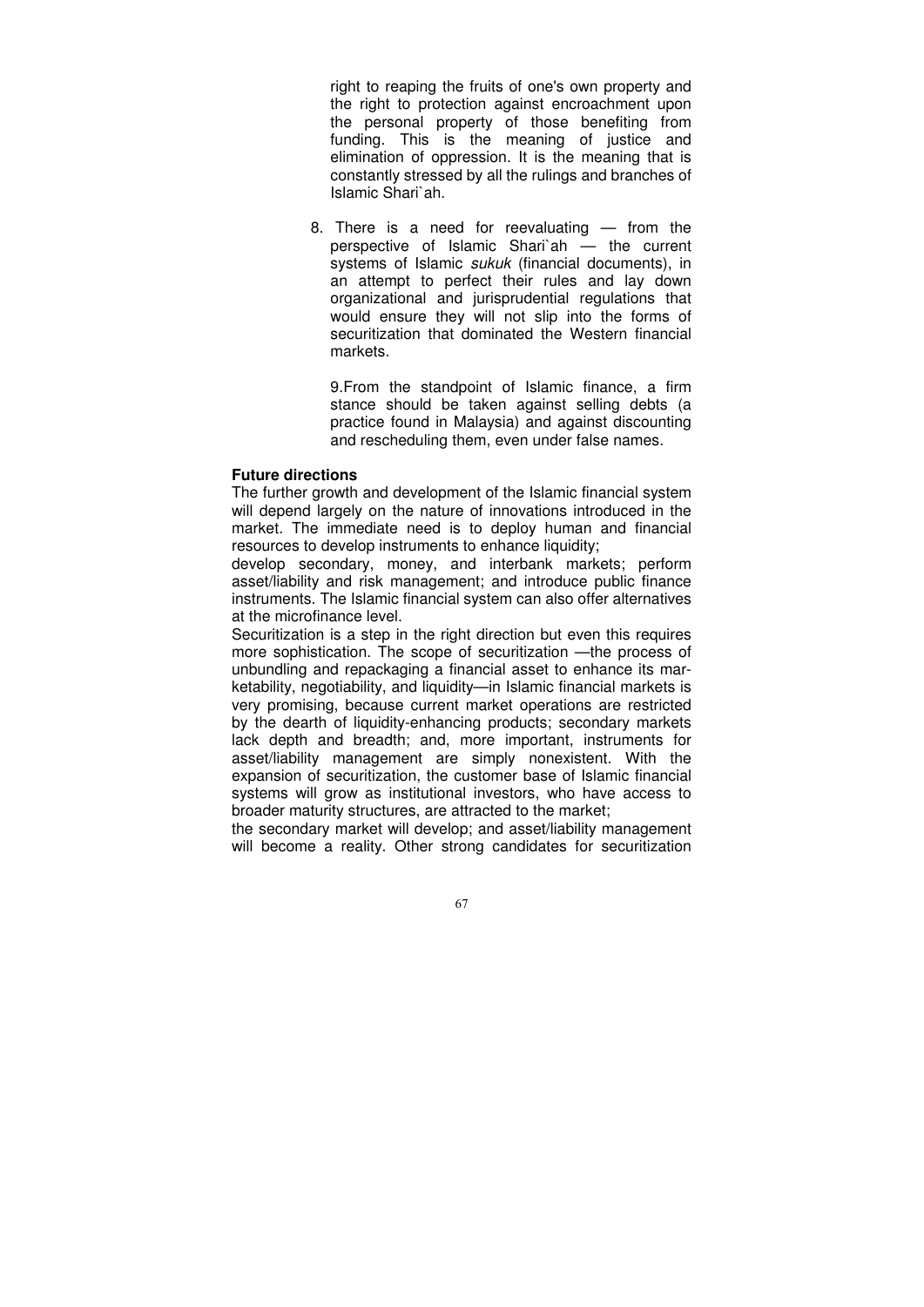right to reaping the fruits of one's own property and the right to protection against encroachment upon the personal property of those benefiting from funding. This is the meaning of justice and elimination of oppression. It is the meaning that is constantly stressed by all the rulings and branches of Islamic Shari`ah.

8. There is a need for reevaluating — from the perspective of Islamic Shari`ah — the current systems of Islamic sukuk (financial documents), in an attempt to perfect their rules and lay down organizational and jurisprudential regulations that would ensure they will not slip into the forms of securitization that dominated the Western financial markets.

9.From the standpoint of Islamic finance, a firm stance should be taken against selling debts (a practice found in Malaysia) and against discounting and rescheduling them, even under false names.

#### Future directions

The further growth and development of the Islamic financial system will depend largely on the nature of innovations introduced in the market. The immediate need is to deploy human and financial resources to develop instruments to enhance liquidity;

develop secondary, money, and interbank markets; perform asset/liability and risk management; and introduce public finance instruments. The Islamic financial system can also offer alternatives at the microfinance level.

Securitization is a step in the right direction but even this requires more sophistication. The scope of securitization —the process of unbundling and repackaging a financial asset to enhance its marketability, negotiability, and liquidity—in Islamic financial markets is very promising, because current market operations are restricted by the dearth of liquidity-enhancing products; secondary markets lack depth and breadth; and, more important, instruments for asset/liability management are simply nonexistent. With the expansion of securitization, the customer base of Islamic financial systems will grow as institutional investors, who have access to broader maturity structures, are attracted to the market;

the secondary market will develop; and asset/liability management will become a reality. Other strong candidates for securitization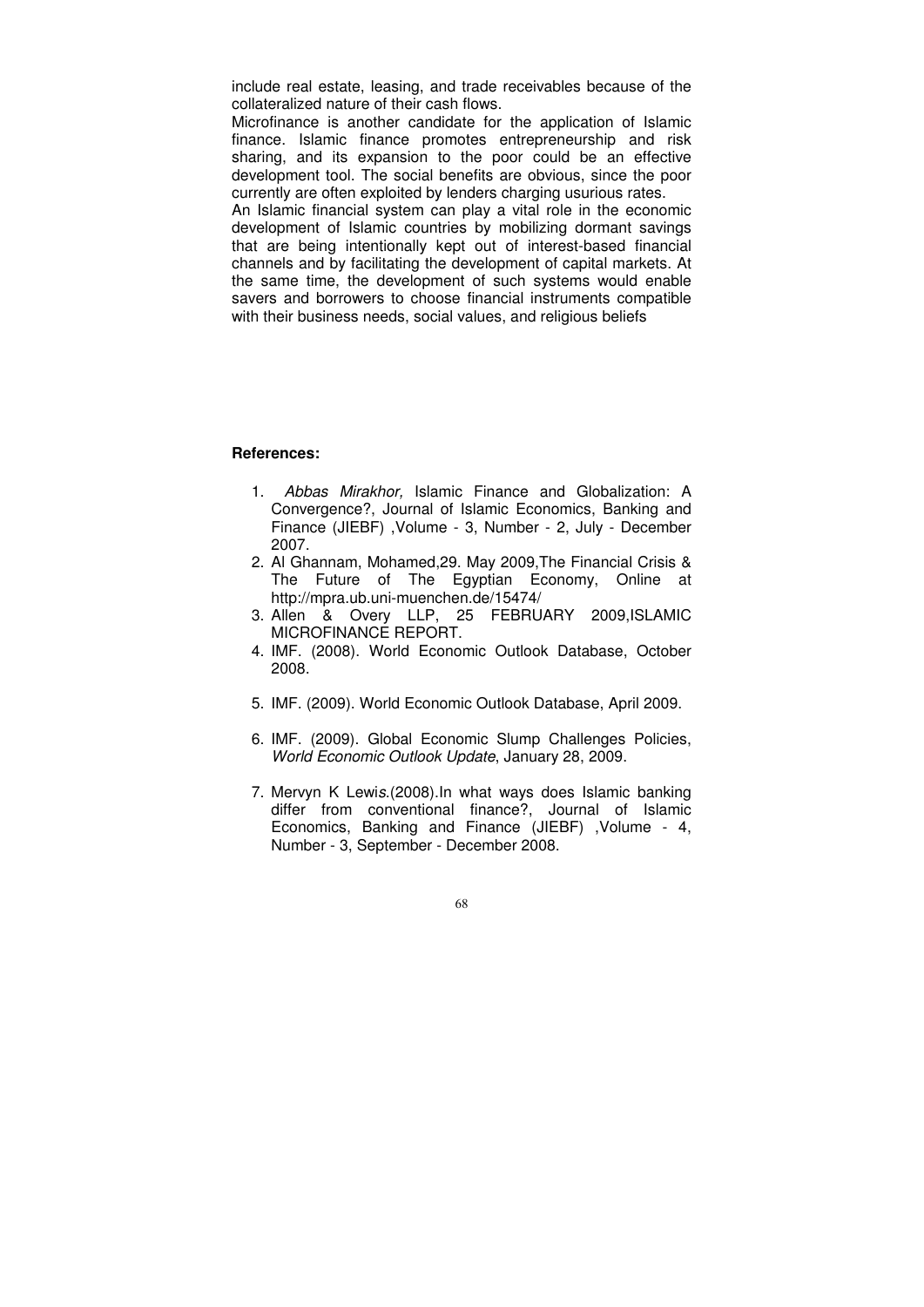include real estate, leasing, and trade receivables because of the collateralized nature of their cash flows.

Microfinance is another candidate for the application of Islamic finance. Islamic finance promotes entrepreneurship and risk sharing, and its expansion to the poor could be an effective development tool. The social benefits are obvious, since the poor currently are often exploited by lenders charging usurious rates.

An Islamic financial system can play a vital role in the economic development of Islamic countries by mobilizing dormant savings that are being intentionally kept out of interest-based financial channels and by facilitating the development of capital markets. At the same time, the development of such systems would enable savers and borrowers to choose financial instruments compatible with their business needs, social values, and religious beliefs

#### References:

- 1. Abbas Mirakhor, Islamic Finance and Globalization: A Convergence?, Journal of Islamic Economics, Banking and Finance (JIEBF) ,Volume - 3, Number - 2, July - December 2007.
- 2. Al Ghannam, Mohamed,29. May 2009,The Financial Crisis & The Future of The Egyptian Economy, Online at http://mpra.ub.uni-muenchen.de/15474/
- 3. Allen & Overy LLP, 25 FEBRUARY 2009,ISLAMIC MICROFINANCE REPORT.
- 4. IMF. (2008). World Economic Outlook Database, October 2008.
- 5. IMF. (2009). World Economic Outlook Database, April 2009.
- 6. IMF. (2009). Global Economic Slump Challenges Policies, World Economic Outlook Update, January 28, 2009.
- 7. Mervyn K Lewis.(2008).In what ways does Islamic banking differ from conventional finance?, Journal of Islamic Economics, Banking and Finance (JIEBF) ,Volume - 4, Number - 3, September - December 2008.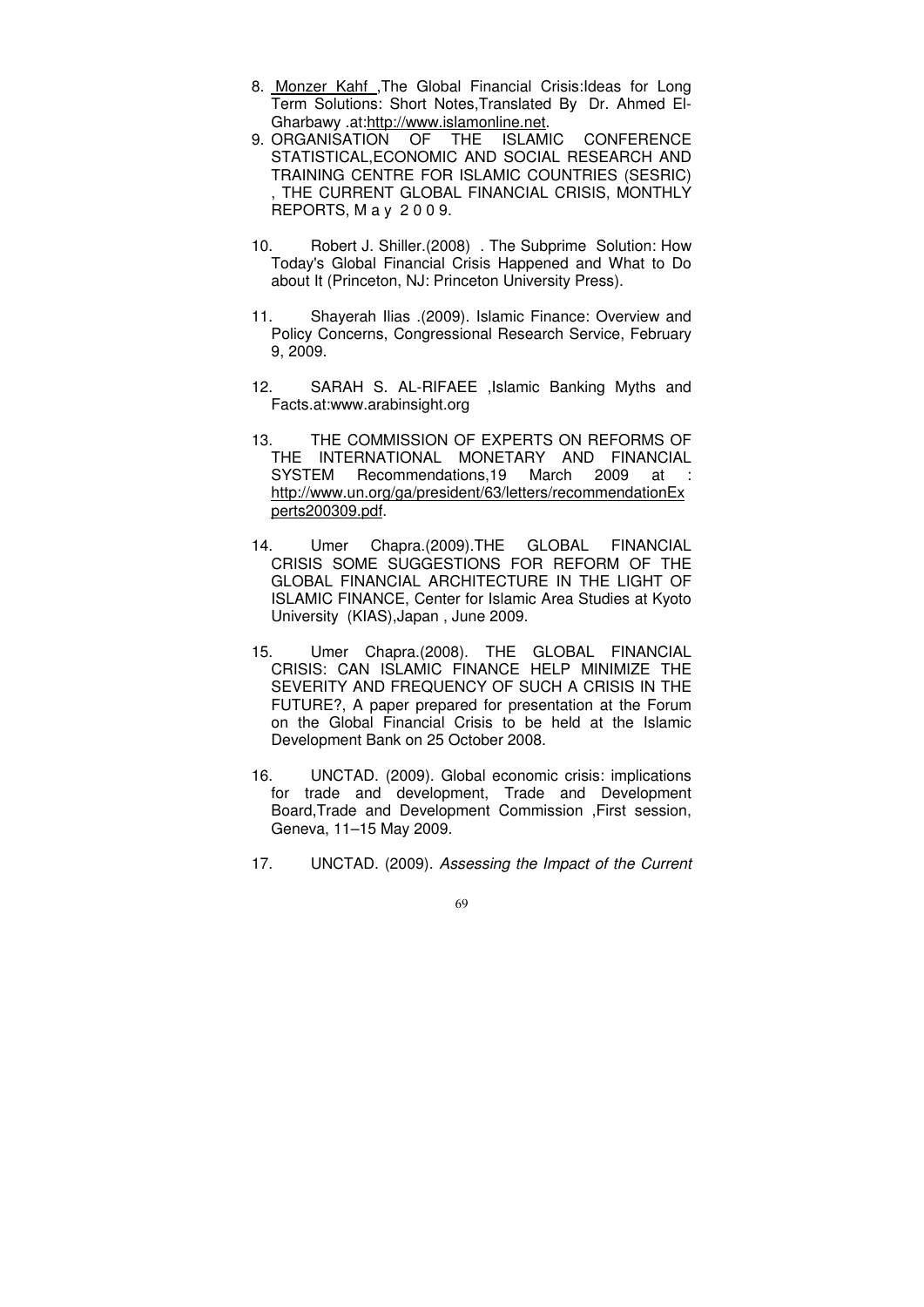- 8. Monzer Kahf ,The Global Financial Crisis:Ideas for Long Term Solutions: Short Notes,Translated By Dr. Ahmed El-Gharbawy .at:http://www.islamonline.net.
- 9. ORGANISATION OF THE ISLAMIC CONFERENCE STATISTICAL,ECONOMIC AND SOCIAL RESEARCH AND TRAINING CENTRE FOR ISLAMIC COUNTRIES (SESRIC) , THE CURRENT GLOBAL FINANCIAL CRISIS, MONTHLY REPORTS, M a y 2 0 0 9.
- 10. Robert J. Shiller.(2008) . The Subprime Solution: How Today's Global Financial Crisis Happened and What to Do about It (Princeton, NJ: Princeton University Press).
- 11. Shayerah Ilias .(2009). Islamic Finance: Overview and Policy Concerns, Congressional Research Service, February 9, 2009.
- 12. SARAH S. AL-RIFAEE ,Islamic Banking Myths and Facts.at:www.arabinsight.org
- 13. THE COMMISSION OF EXPERTS ON REFORMS OF THE INTERNATIONAL MONETARY AND FINANCIAL SYSTEM Recommendations, 19 March 2009 at http://www.un.org/ga/president/63/letters/recommendationEx perts200309.pdf.
- 14. Umer Chapra.(2009).THE GLOBAL FINANCIAL CRISIS SOME SUGGESTIONS FOR REFORM OF THE GLOBAL FINANCIAL ARCHITECTURE IN THE LIGHT OF ISLAMIC FINANCE, Center for Islamic Area Studies at Kyoto University (KIAS),Japan , June 2009.
- 15. Umer Chapra.(2008). THE GLOBAL FINANCIAL CRISIS: CAN ISLAMIC FINANCE HELP MINIMIZE THE SEVERITY AND FREQUENCY OF SUCH A CRISIS IN THE FUTURE?, A paper prepared for presentation at the Forum on the Global Financial Crisis to be held at the Islamic Development Bank on 25 October 2008.
- 16. UNCTAD. (2009). Global economic crisis: implications for trade and development, Trade and Development Board,Trade and Development Commission ,First session, Geneva, 11–15 May 2009.
- 17. UNCTAD. (2009). Assessing the Impact of the Current